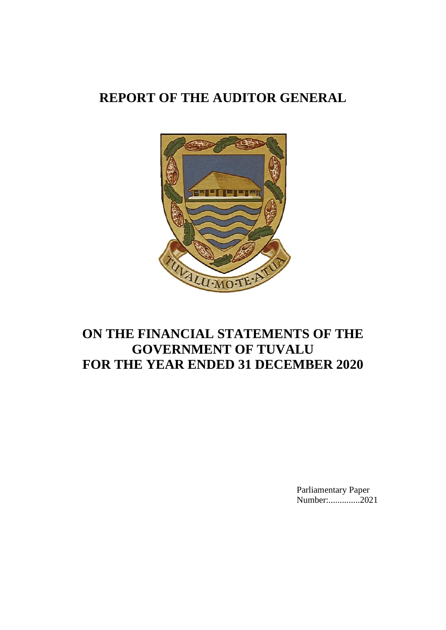# **REPORT OF THE AUDITOR GENERAL**



# **ON THE FINANCIAL STATEMENTS OF THE GOVERNMENT OF TUVALU FOR THE YEAR ENDED 31 DECEMBER 2020**

Parliamentary Paper Number:...............2021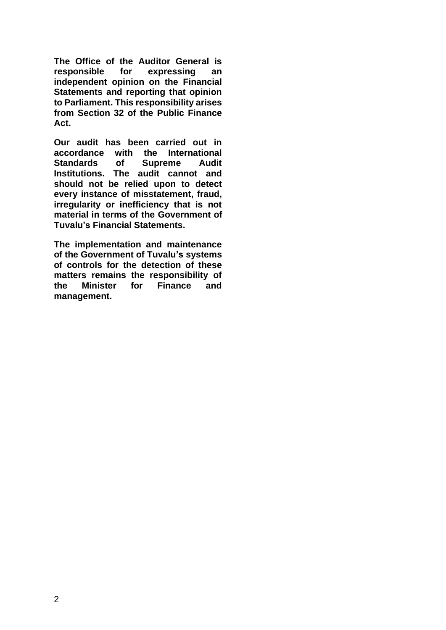**The Office of the Auditor General is responsible for expressing an independent opinion on the Financial Statements and reporting that opinion to Parliament. This responsibility arises from Section 32 of the Public Finance Act.**

**Our audit has been carried out in accordance with the International Standards of Supreme Audit Institutions. The audit cannot and should not be relied upon to detect every instance of misstatement, fraud, irregularity or inefficiency that is not material in terms of the Government of Tuvalu's Financial Statements.**

**The implementation and maintenance of the Government of Tuvalu's systems of controls for the detection of these matters remains the responsibility of the Minister for Finance and management.**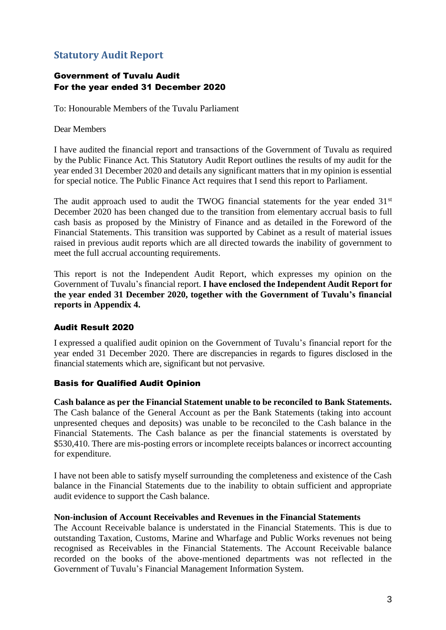# <span id="page-2-0"></span>**Statutory Audit Report**

### Government of Tuvalu Audit For the year ended 31 December 2020

To: Honourable Members of the Tuvalu Parliament

Dear Members

I have audited the financial report and transactions of the Government of Tuvalu as required by the Public Finance Act. This Statutory Audit Report outlines the results of my audit for the year ended 31 December 2020 and details any significant matters that in my opinion is essential for special notice. The Public Finance Act requires that I send this report to Parliament.

The audit approach used to audit the TWOG financial statements for the year ended  $31<sup>st</sup>$ December 2020 has been changed due to the transition from elementary accrual basis to full cash basis as proposed by the Ministry of Finance and as detailed in the Foreword of the Financial Statements. This transition was supported by Cabinet as a result of material issues raised in previous audit reports which are all directed towards the inability of government to meet the full accrual accounting requirements.

This report is not the Independent Audit Report, which expresses my opinion on the Government of Tuvalu's financial report. **I have enclosed the Independent Audit Report for the year ended 31 December 2020, together with the Government of Tuvalu's financial reports in Appendix 4.**

### Audit Result 2020

I expressed a qualified audit opinion on the Government of Tuvalu's financial report for the year ended 31 December 2020. There are discrepancies in regards to figures disclosed in the financial statements which are, significant but not pervasive.

### Basis for Qualified Audit Opinion

**Cash balance as per the Financial Statement unable to be reconciled to Bank Statements.** The Cash balance of the General Account as per the Bank Statements (taking into account unpresented cheques and deposits) was unable to be reconciled to the Cash balance in the Financial Statements. The Cash balance as per the financial statements is overstated by \$530,410. There are mis-posting errors or incomplete receipts balances or incorrect accounting for expenditure.

I have not been able to satisfy myself surrounding the completeness and existence of the Cash balance in the Financial Statements due to the inability to obtain sufficient and appropriate audit evidence to support the Cash balance.

### **Non-inclusion of Account Receivables and Revenues in the Financial Statements**

The Account Receivable balance is understated in the Financial Statements. This is due to outstanding Taxation, Customs, Marine and Wharfage and Public Works revenues not being recognised as Receivables in the Financial Statements. The Account Receivable balance recorded on the books of the above-mentioned departments was not reflected in the Government of Tuvalu's Financial Management Information System.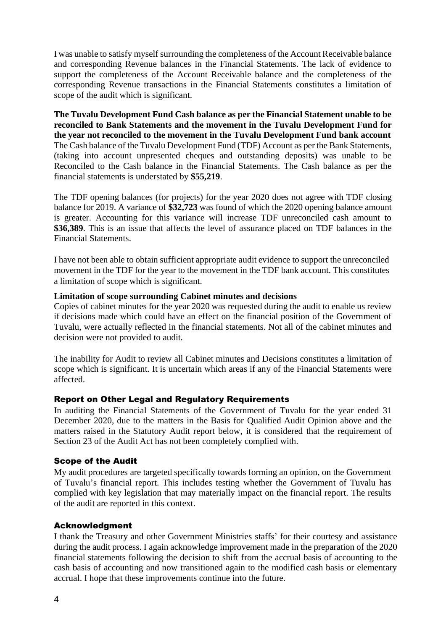I was unable to satisfy myself surrounding the completeness of the Account Receivable balance and corresponding Revenue balances in the Financial Statements. The lack of evidence to support the completeness of the Account Receivable balance and the completeness of the corresponding Revenue transactions in the Financial Statements constitutes a limitation of scope of the audit which is significant.

**The Tuvalu Development Fund Cash balance as per the Financial Statement unable to be reconciled to Bank Statements and the movement in the Tuvalu Development Fund for the year not reconciled to the movement in the Tuvalu Development Fund bank account** The Cash balance of the Tuvalu Development Fund (TDF) Account as per the Bank Statements, (taking into account unpresented cheques and outstanding deposits) was unable to be Reconciled to the Cash balance in the Financial Statements. The Cash balance as per the financial statements is understated by **\$55,219**.

The TDF opening balances (for projects) for the year 2020 does not agree with TDF closing balance for 2019. A variance of **\$32,723** was found of which the 2020 opening balance amount is greater. Accounting for this variance will increase TDF unreconciled cash amount to **\$36,389**. This is an issue that affects the level of assurance placed on TDF balances in the Financial Statements.

I have not been able to obtain sufficient appropriate audit evidence to support the unreconciled movement in the TDF for the year to the movement in the TDF bank account. This constitutes a limitation of scope which is significant.

#### **Limitation of scope surrounding Cabinet minutes and decisions**

Copies of cabinet minutes for the year 2020 was requested during the audit to enable us review if decisions made which could have an effect on the financial position of the Government of Tuvalu, were actually reflected in the financial statements. Not all of the cabinet minutes and decision were not provided to audit.

The inability for Audit to review all Cabinet minutes and Decisions constitutes a limitation of scope which is significant. It is uncertain which areas if any of the Financial Statements were affected.

### Report on Other Legal and Regulatory Requirements

In auditing the Financial Statements of the Government of Tuvalu for the year ended 31 December 2020, due to the matters in the Basis for Qualified Audit Opinion above and the matters raised in the Statutory Audit report below, it is considered that the requirement of Section 23 of the Audit Act has not been completely complied with.

#### Scope of the Audit

My audit procedures are targeted specifically towards forming an opinion, on the Government of Tuvalu's financial report. This includes testing whether the Government of Tuvalu has complied with key legislation that may materially impact on the financial report. The results of the audit are reported in this context.

#### Acknowledgment

I thank the Treasury and other Government Ministries staffs' for their courtesy and assistance during the audit process. I again acknowledge improvement made in the preparation of the 2020 financial statements following the decision to shift from the accrual basis of accounting to the cash basis of accounting and now transitioned again to the modified cash basis or elementary accrual. I hope that these improvements continue into the future.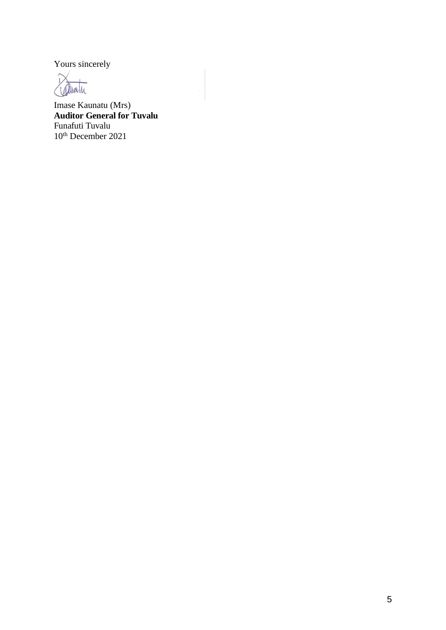Yours sincerely

 $\tilde{L}$ alwath

Imase Kaunatu (Mrs) **Auditor General for Tuvalu**  Funafuti Tuvalu 10th December 2021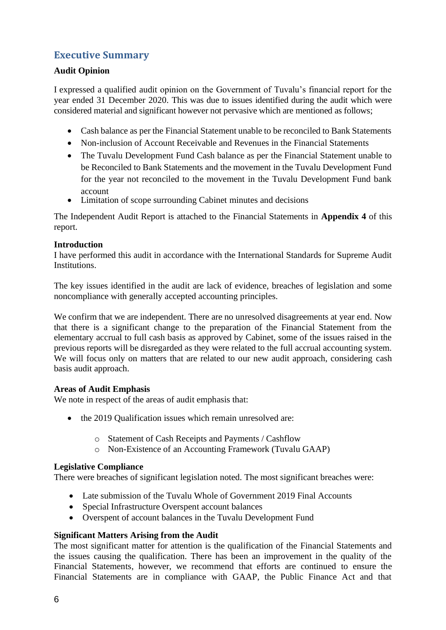# <span id="page-5-0"></span>**Executive Summary**

### **Audit Opinion**

I expressed a qualified audit opinion on the Government of Tuvalu's financial report for the year ended 31 December 2020. This was due to issues identified during the audit which were considered material and significant however not pervasive which are mentioned as follows;

- Cash balance as per the Financial Statement unable to be reconciled to Bank Statements
- Non-inclusion of Account Receivable and Revenues in the Financial Statements
- The Tuvalu Development Fund Cash balance as per the Financial Statement unable to be Reconciled to Bank Statements and the movement in the Tuvalu Development Fund for the year not reconciled to the movement in the Tuvalu Development Fund bank account
- Limitation of scope surrounding Cabinet minutes and decisions

The Independent Audit Report is attached to the Financial Statements in **Appendix 4** of this report.

### **Introduction**

I have performed this audit in accordance with the International Standards for Supreme Audit **Institutions** 

The key issues identified in the audit are lack of evidence, breaches of legislation and some noncompliance with generally accepted accounting principles.

We confirm that we are independent. There are no unresolved disagreements at year end. Now that there is a significant change to the preparation of the Financial Statement from the elementary accrual to full cash basis as approved by Cabinet, some of the issues raised in the previous reports will be disregarded as they were related to the full accrual accounting system. We will focus only on matters that are related to our new audit approach, considering cash basis audit approach.

### **Areas of Audit Emphasis**

We note in respect of the areas of audit emphasis that:

- the 2019 Qualification issues which remain unresolved are:
	- o Statement of Cash Receipts and Payments / Cashflow
	- o Non-Existence of an Accounting Framework (Tuvalu GAAP)

#### **Legislative Compliance**

There were breaches of significant legislation noted. The most significant breaches were:

- Late submission of the Tuvalu Whole of Government 2019 Final Accounts
- Special Infrastructure Overspent account balances
- Overspent of account balances in the Tuvalu Development Fund

### **Significant Matters Arising from the Audit**

The most significant matter for attention is the qualification of the Financial Statements and the issues causing the qualification. There has been an improvement in the quality of the Financial Statements, however, we recommend that efforts are continued to ensure the Financial Statements are in compliance with GAAP, the Public Finance Act and that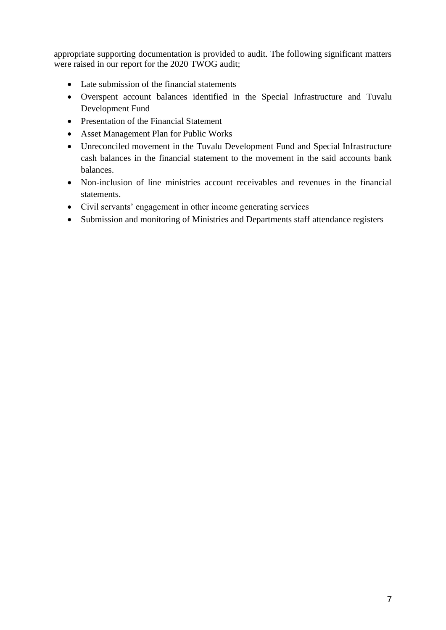appropriate supporting documentation is provided to audit. The following significant matters were raised in our report for the 2020 TWOG audit;

- Late submission of the financial statements
- Overspent account balances identified in the Special Infrastructure and Tuvalu Development Fund
- Presentation of the Financial Statement
- Asset Management Plan for Public Works
- Unreconciled movement in the Tuvalu Development Fund and Special Infrastructure cash balances in the financial statement to the movement in the said accounts bank balances.
- Non-inclusion of line ministries account receivables and revenues in the financial statements.
- Civil servants' engagement in other income generating services
- Submission and monitoring of Ministries and Departments staff attendance registers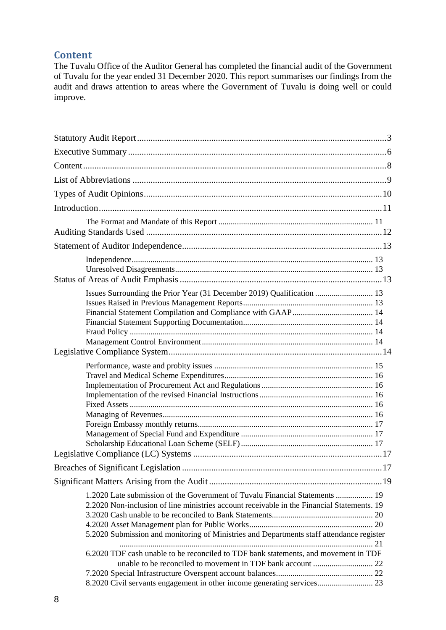### <span id="page-7-0"></span>**Content**

The Tuvalu Office of the Auditor General has completed the financial audit of the Government of Tuvalu for the year ended 31 December 2020. This report summarises our findings from the audit and draws attention to areas where the Government of Tuvalu is doing well or could improve.

| Issues Surrounding the Prior Year (31 December 2019) Qualification  13                                                                                                                                                                                                                                                                                                                                                                  |  |
|-----------------------------------------------------------------------------------------------------------------------------------------------------------------------------------------------------------------------------------------------------------------------------------------------------------------------------------------------------------------------------------------------------------------------------------------|--|
|                                                                                                                                                                                                                                                                                                                                                                                                                                         |  |
|                                                                                                                                                                                                                                                                                                                                                                                                                                         |  |
|                                                                                                                                                                                                                                                                                                                                                                                                                                         |  |
| . 17                                                                                                                                                                                                                                                                                                                                                                                                                                    |  |
| 1.2020 Late submission of the Government of Tuvalu Financial Statements  19<br>2.2020 Non-inclusion of line ministries account receivable in the Financial Statements. 19<br>5.2020 Submission and monitoring of Ministries and Departments staff attendance register<br>6.2020 TDF cash unable to be reconciled to TDF bank statements, and movement in TDF<br>8.2020 Civil servants engagement in other income generating services 23 |  |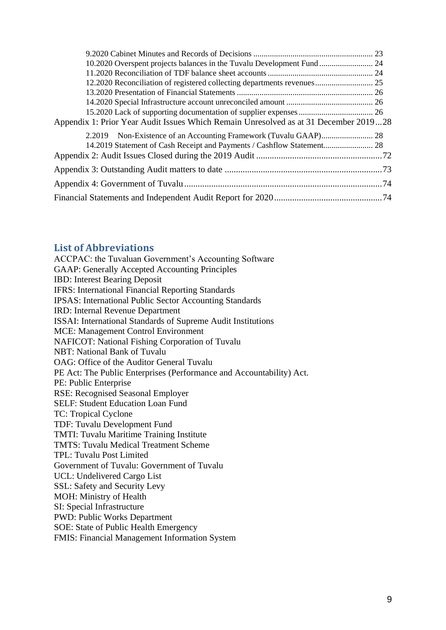| 10.2020 Overspent projects balances in the Tuvalu Development Fund  24               |  |
|--------------------------------------------------------------------------------------|--|
|                                                                                      |  |
| 12.2020 Reconciliation of registered collecting departments revenues 25              |  |
|                                                                                      |  |
|                                                                                      |  |
|                                                                                      |  |
| Appendix 1: Prior Year Audit Issues Which Remain Unresolved as at 31 December 201928 |  |
|                                                                                      |  |
|                                                                                      |  |
|                                                                                      |  |
|                                                                                      |  |
|                                                                                      |  |
|                                                                                      |  |

### <span id="page-8-0"></span>**List of Abbreviations**

ACCPAC: the Tuvaluan Government's Accounting Software GAAP: Generally Accepted Accounting Principles IBD: Interest Bearing Deposit IFRS: International Financial Reporting Standards IPSAS: International Public Sector Accounting Standards IRD: Internal Revenue Department ISSAI: International Standards of Supreme Audit Institutions MCE: Management Control Environment NAFICOT: National Fishing Corporation of Tuvalu NBT: National Bank of Tuvalu OAG: Office of the Auditor General Tuvalu PE Act: The Public Enterprises (Performance and Accountability) Act. PE: Public Enterprise RSE: Recognised Seasonal Employer SELF: Student Education Loan Fund TC: Tropical Cyclone TDF: Tuvalu Development Fund TMTI: Tuvalu Maritime Training Institute TMTS: Tuvalu Medical Treatment Scheme TPL: Tuvalu Post Limited Government of Tuvalu: Government of Tuvalu UCL: Undelivered Cargo List SSL: Safety and Security Levy MOH: Ministry of Health SI: Special Infrastructure PWD: Public Works Department SOE: State of Public Health Emergency FMIS: Financial Management Information System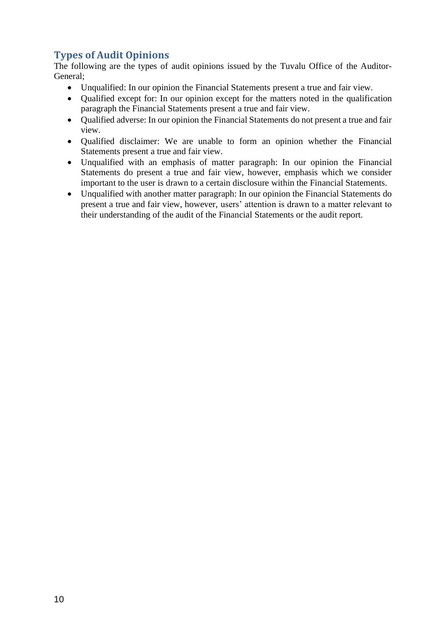# <span id="page-9-0"></span>**Types of Audit Opinions**

The following are the types of audit opinions issued by the Tuvalu Office of the Auditor-General;

- Unqualified: In our opinion the Financial Statements present a true and fair view.
- Oualified except for: In our opinion except for the matters noted in the qualification paragraph the Financial Statements present a true and fair view.
- Qualified adverse: In our opinion the Financial Statements do not present a true and fair view.
- Qualified disclaimer: We are unable to form an opinion whether the Financial Statements present a true and fair view.
- Unqualified with an emphasis of matter paragraph: In our opinion the Financial Statements do present a true and fair view, however, emphasis which we consider important to the user is drawn to a certain disclosure within the Financial Statements.
- Unqualified with another matter paragraph: In our opinion the Financial Statements do present a true and fair view, however, users' attention is drawn to a matter relevant to their understanding of the audit of the Financial Statements or the audit report.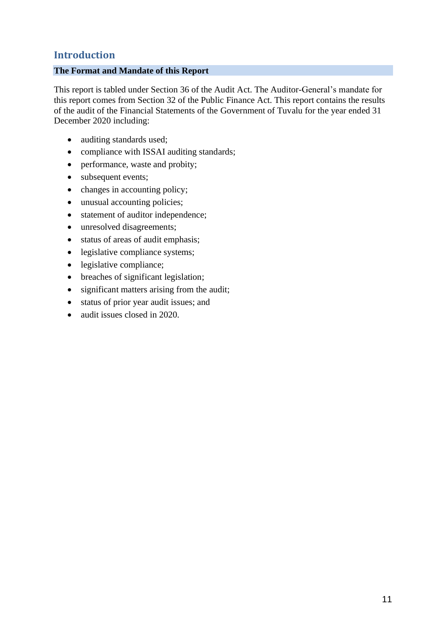# <span id="page-10-0"></span>**Introduction**

### <span id="page-10-1"></span>**The Format and Mandate of this Report**

This report is tabled under Section 36 of the Audit Act. The Auditor-General's mandate for this report comes from Section 32 of the Public Finance Act. This report contains the results of the audit of the Financial Statements of the Government of Tuvalu for the year ended 31 December 2020 including:

- auditing standards used;
- compliance with ISSAI auditing standards;
- performance, waste and probity;
- subsequent events;
- changes in accounting policy;
- unusual accounting policies;
- statement of auditor independence;
- unresolved disagreements;
- status of areas of audit emphasis;
- legislative compliance systems;
- legislative compliance;
- breaches of significant legislation;
- significant matters arising from the audit;
- status of prior year audit issues; and
- audit issues closed in 2020.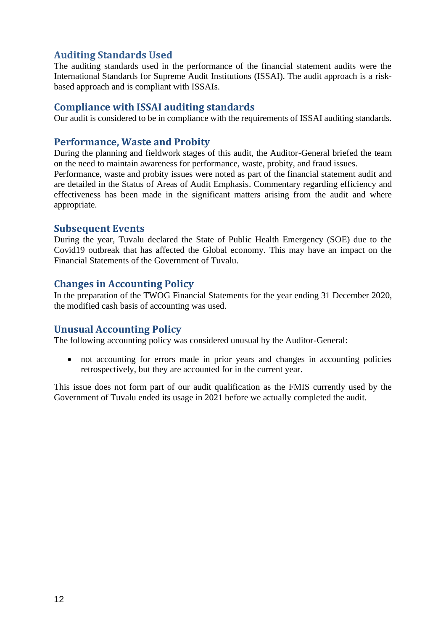## <span id="page-11-0"></span>**Auditing Standards Used**

The auditing standards used in the performance of the financial statement audits were the International Standards for Supreme Audit Institutions (ISSAI). The audit approach is a riskbased approach and is compliant with ISSAIs.

### **Compliance with ISSAI auditing standards**

Our audit is considered to be in compliance with the requirements of ISSAI auditing standards.

### **Performance, Waste and Probity**

During the planning and fieldwork stages of this audit, the Auditor-General briefed the team on the need to maintain awareness for performance, waste, probity, and fraud issues.

Performance, waste and probity issues were noted as part of the financial statement audit and are detailed in the Status of Areas of Audit Emphasis. Commentary regarding efficiency and effectiveness has been made in the significant matters arising from the audit and where appropriate.

### **Subsequent Events**

During the year, Tuvalu declared the State of Public Health Emergency (SOE) due to the Covid19 outbreak that has affected the Global economy. This may have an impact on the Financial Statements of the Government of Tuvalu.

### **Changes in Accounting Policy**

In the preparation of the TWOG Financial Statements for the year ending 31 December 2020, the modified cash basis of accounting was used.

### **Unusual Accounting Policy**

The following accounting policy was considered unusual by the Auditor-General:

• not accounting for errors made in prior years and changes in accounting policies retrospectively, but they are accounted for in the current year.

This issue does not form part of our audit qualification as the FMIS currently used by the Government of Tuvalu ended its usage in 2021 before we actually completed the audit.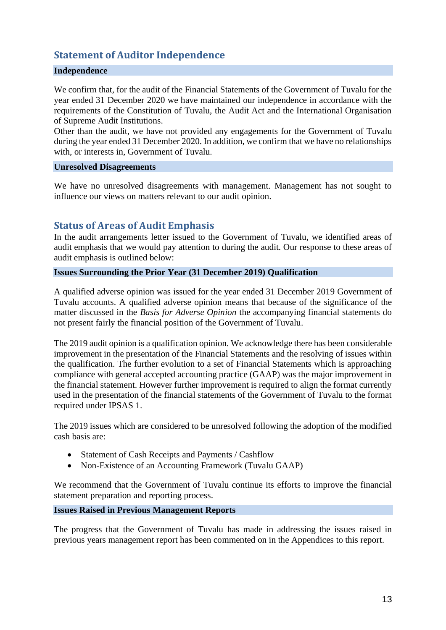# <span id="page-12-0"></span>**Statement of Auditor Independence**

### <span id="page-12-1"></span>**Independence**

We confirm that, for the audit of the Financial Statements of the Government of Tuvalu for the year ended 31 December 2020 we have maintained our independence in accordance with the requirements of the Constitution of Tuvalu, the Audit Act and the International Organisation of Supreme Audit Institutions.

Other than the audit, we have not provided any engagements for the Government of Tuvalu during the year ended 31 December 2020. In addition, we confirm that we have no relationships with, or interests in, Government of Tuvalu.

#### <span id="page-12-2"></span>**Unresolved Disagreements**

<span id="page-12-3"></span>We have no unresolved disagreements with management. Management has not sought to influence our views on matters relevant to our audit opinion.

### **Status of Areas of Audit Emphasis**

In the audit arrangements letter issued to the Government of Tuvalu, we identified areas of audit emphasis that we would pay attention to during the audit. Our response to these areas of audit emphasis is outlined below:

#### <span id="page-12-4"></span>**Issues Surrounding the Prior Year (31 December 2019) Qualification**

A qualified adverse opinion was issued for the year ended 31 December 2019 Government of Tuvalu accounts. A qualified adverse opinion means that because of the significance of the matter discussed in the *Basis for Adverse Opinion* the accompanying financial statements do not present fairly the financial position of the Government of Tuvalu.

The 2019 audit opinion is a qualification opinion. We acknowledge there has been considerable improvement in the presentation of the Financial Statements and the resolving of issues within the qualification. The further evolution to a set of Financial Statements which is approaching compliance with general accepted accounting practice (GAAP) was the major improvement in the financial statement. However further improvement is required to align the format currently used in the presentation of the financial statements of the Government of Tuvalu to the format required under IPSAS 1.

The 2019 issues which are considered to be unresolved following the adoption of the modified cash basis are:

- Statement of Cash Receipts and Payments / Cashflow
- Non-Existence of an Accounting Framework (Tuvalu GAAP)

We recommend that the Government of Tuvalu continue its efforts to improve the financial statement preparation and reporting process.

#### <span id="page-12-5"></span>**Issues Raised in Previous Management Reports**

The progress that the Government of Tuvalu has made in addressing the issues raised in previous years management report has been commented on in the Appendices to this report.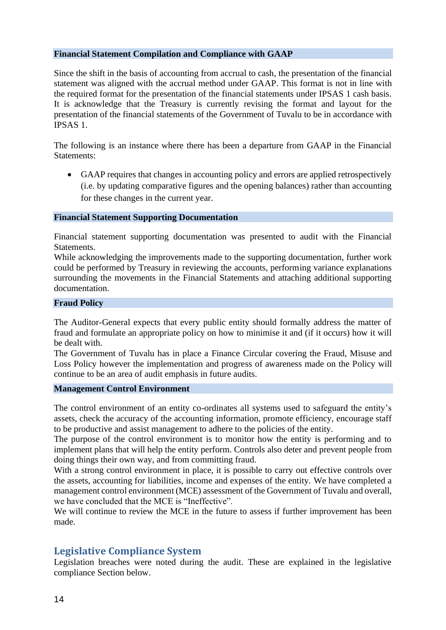#### <span id="page-13-0"></span>**Financial Statement Compilation and Compliance with GAAP**

Since the shift in the basis of accounting from accrual to cash, the presentation of the financial statement was aligned with the accrual method under GAAP. This format is not in line with the required format for the presentation of the financial statements under IPSAS 1 cash basis. It is acknowledge that the Treasury is currently revising the format and layout for the presentation of the financial statements of the Government of Tuvalu to be in accordance with IPSAS 1.

The following is an instance where there has been a departure from GAAP in the Financial Statements:

• GAAP requires that changes in accounting policy and errors are applied retrospectively (i.e. by updating comparative figures and the opening balances) rather than accounting for these changes in the current year.

#### <span id="page-13-1"></span>**Financial Statement Supporting Documentation**

Financial statement supporting documentation was presented to audit with the Financial Statements.

While acknowledging the improvements made to the supporting documentation, further work could be performed by Treasury in reviewing the accounts, performing variance explanations surrounding the movements in the Financial Statements and attaching additional supporting documentation.

#### <span id="page-13-2"></span>**Fraud Policy**

The Auditor-General expects that every public entity should formally address the matter of fraud and formulate an appropriate policy on how to minimise it and (if it occurs) how it will be dealt with.

The Government of Tuvalu has in place a Finance Circular covering the Fraud, Misuse and Loss Policy however the implementation and progress of awareness made on the Policy will continue to be an area of audit emphasis in future audits.

#### <span id="page-13-3"></span>**Management Control Environment**

The control environment of an entity co-ordinates all systems used to safeguard the entity's assets, check the accuracy of the accounting information, promote efficiency, encourage staff to be productive and assist management to adhere to the policies of the entity.

The purpose of the control environment is to monitor how the entity is performing and to implement plans that will help the entity perform. Controls also deter and prevent people from doing things their own way, and from committing fraud.

With a strong control environment in place, it is possible to carry out effective controls over the assets, accounting for liabilities, income and expenses of the entity. We have completed a management control environment (MCE) assessment of the Government of Tuvalu and overall, we have concluded that the MCE is "Ineffective".

<span id="page-13-4"></span>We will continue to review the MCE in the future to assess if further improvement has been made.

### **Legislative Compliance System**

Legislation breaches were noted during the audit. These are explained in the legislative compliance Section below.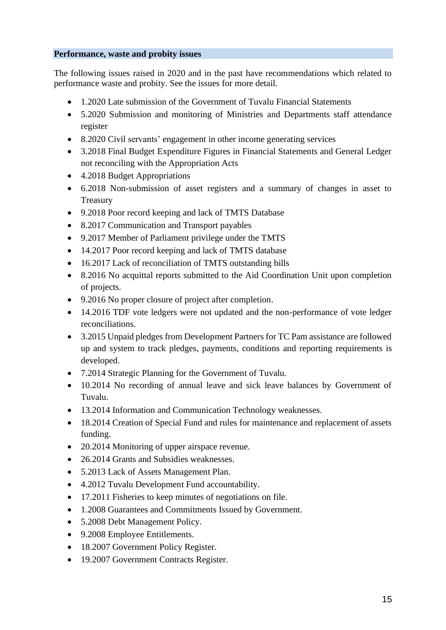### <span id="page-14-0"></span>**Performance, waste and probity issues**

The following issues raised in 2020 and in the past have recommendations which related to performance waste and probity. See the issues for more detail.

- 1.2020 Late submission of the Government of Tuvalu Financial Statements
- 5.2020 Submission and monitoring of Ministries and Departments staff attendance register
- 8.2020 Civil servants' engagement in other income generating services
- 3.2018 Final Budget Expenditure Figures in Financial Statements and General Ledger not reconciling with the Appropriation Acts
- 4.2018 Budget Appropriations
- 6.2018 Non-submission of asset registers and a summary of changes in asset to Treasury
- 9.2018 Poor record keeping and lack of TMTS Database
- 8.2017 Communication and Transport payables
- 9.2017 Member of Parliament privilege under the TMTS
- 14.2017 Poor record keeping and lack of TMTS database
- 16.2017 Lack of reconciliation of TMTS outstanding bills
- 8.2016 No acquittal reports submitted to the Aid Coordination Unit upon completion of projects.
- 9.2016 No proper closure of project after completion.
- 14.2016 TDF vote ledgers were not updated and the non-performance of vote ledger reconciliations.
- 3.2015 Unpaid pledges from Development Partners for TC Pam assistance are followed up and system to track pledges, payments, conditions and reporting requirements is developed.
- 7.2014 Strategic Planning for the Government of Tuvalu.
- 10.2014 No recording of annual leave and sick leave balances by Government of Tuvalu.
- 13.2014 Information and Communication Technology weaknesses.
- 18.2014 Creation of Special Fund and rules for maintenance and replacement of assets funding.
- 20.2014 Monitoring of upper airspace revenue.
- 26.2014 Grants and Subsidies weaknesses.
- 5.2013 Lack of Assets Management Plan.
- 4.2012 Tuvalu Development Fund accountability.
- 17.2011 Fisheries to keep minutes of negotiations on file.
- 1.2008 Guarantees and Commitments Issued by Government.
- 5.2008 Debt Management Policy.
- 9.2008 Employee Entitlements.
- 18.2007 Government Policy Register.
- 19.2007 Government Contracts Register.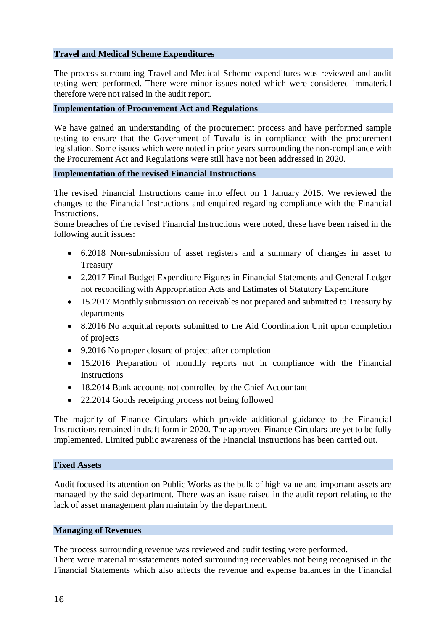#### <span id="page-15-0"></span>**Travel and Medical Scheme Expenditures**

The process surrounding Travel and Medical Scheme expenditures was reviewed and audit testing were performed. There were minor issues noted which were considered immaterial therefore were not raised in the audit report.

#### <span id="page-15-1"></span>**Implementation of Procurement Act and Regulations**

We have gained an understanding of the procurement process and have performed sample testing to ensure that the Government of Tuvalu is in compliance with the procurement legislation. Some issues which were noted in prior years surrounding the non-compliance with the Procurement Act and Regulations were still have not been addressed in 2020.

#### <span id="page-15-2"></span>**Implementation of the revised Financial Instructions**

The revised Financial Instructions came into effect on 1 January 2015. We reviewed the changes to the Financial Instructions and enquired regarding compliance with the Financial Instructions.

Some breaches of the revised Financial Instructions were noted, these have been raised in the following audit issues:

- 6.2018 Non-submission of asset registers and a summary of changes in asset to Treasury
- 2.2017 Final Budget Expenditure Figures in Financial Statements and General Ledger not reconciling with Appropriation Acts and Estimates of Statutory Expenditure
- 15.2017 Monthly submission on receivables not prepared and submitted to Treasury by departments
- 8.2016 No acquittal reports submitted to the Aid Coordination Unit upon completion of projects
- 9.2016 No proper closure of project after completion
- 15.2016 Preparation of monthly reports not in compliance with the Financial **Instructions**
- 18.2014 Bank accounts not controlled by the Chief Accountant
- 22.2014 Goods receipting process not being followed

The majority of Finance Circulars which provide additional guidance to the Financial Instructions remained in draft form in 2020. The approved Finance Circulars are yet to be fully implemented. Limited public awareness of the Financial Instructions has been carried out.

#### <span id="page-15-3"></span>**Fixed Assets**

Audit focused its attention on Public Works as the bulk of high value and important assets are managed by the said department. There was an issue raised in the audit report relating to the lack of asset management plan maintain by the department.

#### <span id="page-15-4"></span>**Managing of Revenues**

The process surrounding revenue was reviewed and audit testing were performed.

There were material misstatements noted surrounding receivables not being recognised in the Financial Statements which also affects the revenue and expense balances in the Financial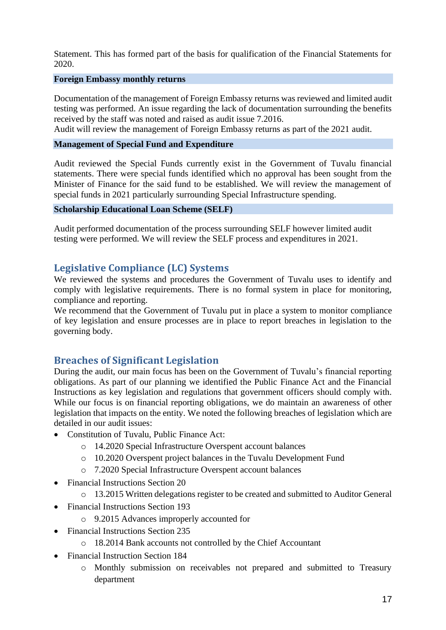Statement. This has formed part of the basis for qualification of the Financial Statements for 2020.

#### <span id="page-16-0"></span>**Foreign Embassy monthly returns**

Documentation of the management of Foreign Embassy returns was reviewed and limited audit testing was performed. An issue regarding the lack of documentation surrounding the benefits received by the staff was noted and raised as audit issue 7.2016.

Audit will review the management of Foreign Embassy returns as part of the 2021 audit.

### <span id="page-16-1"></span>**Management of Special Fund and Expenditure**

Audit reviewed the Special Funds currently exist in the Government of Tuvalu financial statements. There were special funds identified which no approval has been sought from the Minister of Finance for the said fund to be established. We will review the management of special funds in 2021 particularly surrounding Special Infrastructure spending.

### <span id="page-16-2"></span>**Scholarship Educational Loan Scheme (SELF)**

Audit performed documentation of the process surrounding SELF however limited audit testing were performed. We will review the SELF process and expenditures in 2021.

### <span id="page-16-3"></span>**Legislative Compliance (LC) Systems**

We reviewed the systems and procedures the Government of Tuvalu uses to identify and comply with legislative requirements. There is no formal system in place for monitoring, compliance and reporting.

We recommend that the Government of Tuvalu put in place a system to monitor compliance of key legislation and ensure processes are in place to report breaches in legislation to the governing body.

### <span id="page-16-4"></span>**Breaches of Significant Legislation**

During the audit, our main focus has been on the Government of Tuvalu's financial reporting obligations. As part of our planning we identified the Public Finance Act and the Financial Instructions as key legislation and regulations that government officers should comply with. While our focus is on financial reporting obligations, we do maintain an awareness of other legislation that impacts on the entity. We noted the following breaches of legislation which are detailed in our audit issues:

- Constitution of Tuvalu, Public Finance Act:
	- o 14.2020 Special Infrastructure Overspent account balances
	- o 10.2020 Overspent project balances in the Tuvalu Development Fund
	- o 7.2020 Special Infrastructure Overspent account balances
- Financial Instructions Section 20
	- o 13.2015 Written delegations register to be created and submitted to Auditor General
- Financial Instructions Section 193
	- o 9.2015 Advances improperly accounted for
- Financial Instructions Section 235
	- o 18.2014 Bank accounts not controlled by the Chief Accountant
- Financial Instruction Section 184
	- o Monthly submission on receivables not prepared and submitted to Treasury department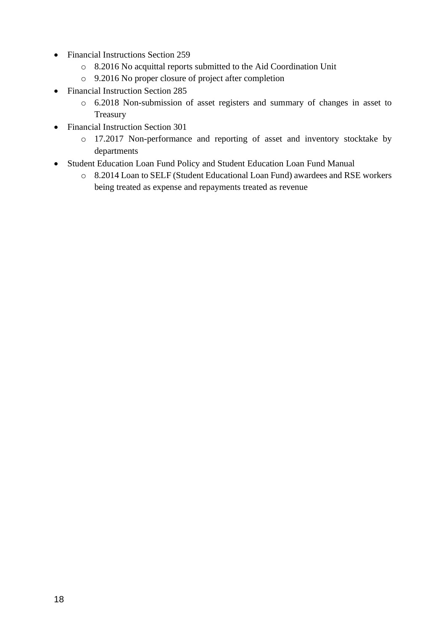- Financial Instructions Section 259
	- o 8.2016 No acquittal reports submitted to the Aid Coordination Unit
	- o 9.2016 No proper closure of project after completion
- Financial Instruction Section 285
	- o 6.2018 Non-submission of asset registers and summary of changes in asset to Treasury
- Financial Instruction Section 301
	- o 17.2017 Non-performance and reporting of asset and inventory stocktake by departments
- Student Education Loan Fund Policy and Student Education Loan Fund Manual
	- o 8.2014 Loan to SELF (Student Educational Loan Fund) awardees and RSE workers being treated as expense and repayments treated as revenue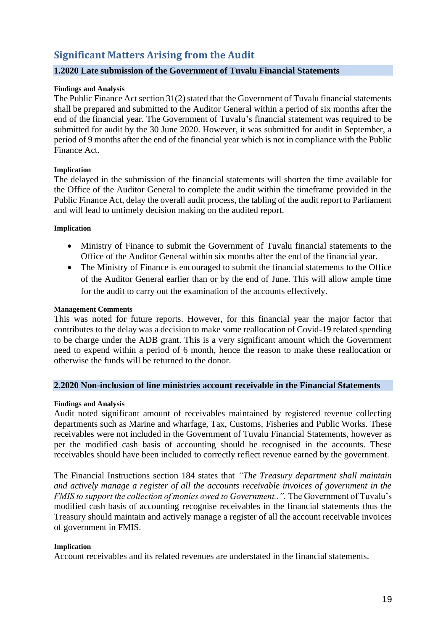# <span id="page-18-0"></span>**Significant Matters Arising from the Audit**

#### <span id="page-18-1"></span>**1.2020 Late submission of the Government of Tuvalu Financial Statements**

#### **Findings and Analysis**

The Public Finance Act section 31(2) stated that the Government of Tuvalu financial statements shall be prepared and submitted to the Auditor General within a period of six months after the end of the financial year. The Government of Tuvalu's financial statement was required to be submitted for audit by the 30 June 2020. However, it was submitted for audit in September, a period of 9 months after the end of the financial year which is not in compliance with the Public Finance Act.

#### **Implication**

The delayed in the submission of the financial statements will shorten the time available for the Office of the Auditor General to complete the audit within the timeframe provided in the Public Finance Act, delay the overall audit process, the tabling of the audit report to Parliament and will lead to untimely decision making on the audited report.

#### **Implication**

- Ministry of Finance to submit the Government of Tuvalu financial statements to the Office of the Auditor General within six months after the end of the financial year.
- The Ministry of Finance is encouraged to submit the financial statements to the Office of the Auditor General earlier than or by the end of June. This will allow ample time for the audit to carry out the examination of the accounts effectively.

#### **Management Comments**

This was noted for future reports. However, for this financial year the major factor that contributes to the delay was a decision to make some reallocation of Covid-19 related spending to be charge under the ADB grant. This is a very significant amount which the Government need to expend within a period of 6 month, hence the reason to make these reallocation or otherwise the funds will be returned to the donor.

#### <span id="page-18-2"></span>**2.2020 Non-inclusion of line ministries account receivable in the Financial Statements**

#### **Findings and Analysis**

Audit noted significant amount of receivables maintained by registered revenue collecting departments such as Marine and wharfage, Tax, Customs, Fisheries and Public Works. These receivables were not included in the Government of Tuvalu Financial Statements, however as per the modified cash basis of accounting should be recognised in the accounts. These receivables should have been included to correctly reflect revenue earned by the government.

The Financial Instructions section 184 states that *"The Treasury department shall maintain and actively manage a register of all the accounts receivable invoices of government in the FMIS to support the collection of monies owed to Government..". The Government of Tuvalu's* modified cash basis of accounting recognise receivables in the financial statements thus the Treasury should maintain and actively manage a register of all the account receivable invoices of government in FMIS.

#### **Implication**

Account receivables and its related revenues are understated in the financial statements.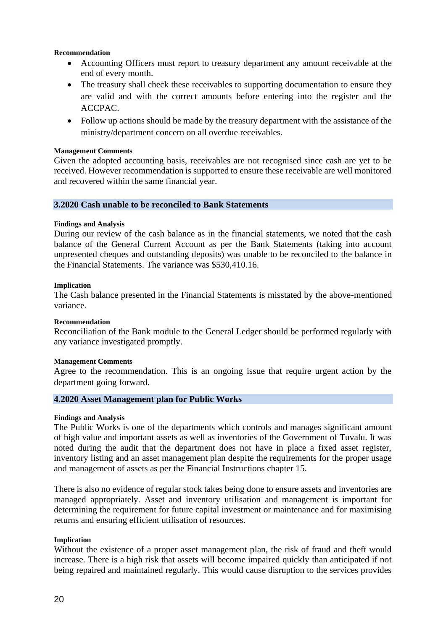#### **Recommendation**

- Accounting Officers must report to treasury department any amount receivable at the end of every month.
- The treasury shall check these receivables to supporting documentation to ensure they are valid and with the correct amounts before entering into the register and the ACCPAC.
- Follow up actions should be made by the treasury department with the assistance of the ministry/department concern on all overdue receivables.

#### **Management Comments**

Given the adopted accounting basis, receivables are not recognised since cash are yet to be received. However recommendation is supported to ensure these receivable are well monitored and recovered within the same financial year.

#### <span id="page-19-0"></span>**3.2020 Cash unable to be reconciled to Bank Statements**

#### **Findings and Analysis**

During our review of the cash balance as in the financial statements, we noted that the cash balance of the General Current Account as per the Bank Statements (taking into account unpresented cheques and outstanding deposits) was unable to be reconciled to the balance in the Financial Statements. The variance was \$530,410.16.

#### **Implication**

The Cash balance presented in the Financial Statements is misstated by the above-mentioned variance.

#### **Recommendation**

Reconciliation of the Bank module to the General Ledger should be performed regularly with any variance investigated promptly.

#### **Management Comments**

Agree to the recommendation. This is an ongoing issue that require urgent action by the department going forward.

### <span id="page-19-1"></span>**4.2020 Asset Management plan for Public Works**

#### **Findings and Analysis**

The Public Works is one of the departments which controls and manages significant amount of high value and important assets as well as inventories of the Government of Tuvalu. It was noted during the audit that the department does not have in place a fixed asset register, inventory listing and an asset management plan despite the requirements for the proper usage and management of assets as per the Financial Instructions chapter 15.

There is also no evidence of regular stock takes being done to ensure assets and inventories are managed appropriately. Asset and inventory utilisation and management is important for determining the requirement for future capital investment or maintenance and for maximising returns and ensuring efficient utilisation of resources.

#### **Implication**

Without the existence of a proper asset management plan, the risk of fraud and theft would increase. There is a high risk that assets will become impaired quickly than anticipated if not being repaired and maintained regularly. This would cause disruption to the services provides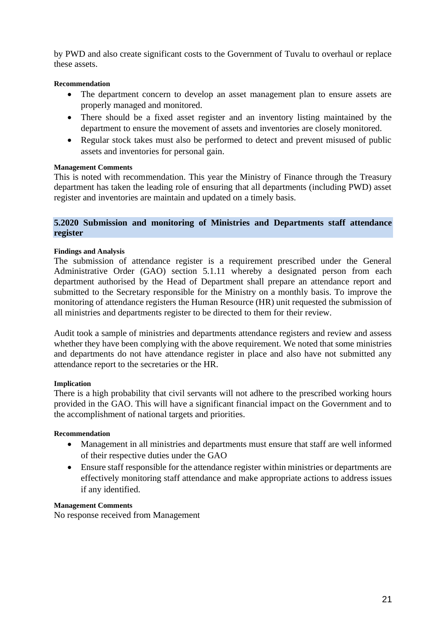by PWD and also create significant costs to the Government of Tuvalu to overhaul or replace these assets.

#### **Recommendation**

- The department concern to develop an asset management plan to ensure assets are properly managed and monitored.
- There should be a fixed asset register and an inventory listing maintained by the department to ensure the movement of assets and inventories are closely monitored.
- Regular stock takes must also be performed to detect and prevent misused of public assets and inventories for personal gain.

#### **Management Comments**

This is noted with recommendation. This year the Ministry of Finance through the Treasury department has taken the leading role of ensuring that all departments (including PWD) asset register and inventories are maintain and updated on a timely basis.

#### <span id="page-20-0"></span>**5.2020 Submission and monitoring of Ministries and Departments staff attendance register**

#### **Findings and Analysis**

The submission of attendance register is a requirement prescribed under the General Administrative Order (GAO) section 5.1.11 whereby a designated person from each department authorised by the Head of Department shall prepare an attendance report and submitted to the Secretary responsible for the Ministry on a monthly basis. To improve the monitoring of attendance registers the Human Resource (HR) unit requested the submission of all ministries and departments register to be directed to them for their review.

Audit took a sample of ministries and departments attendance registers and review and assess whether they have been complying with the above requirement. We noted that some ministries and departments do not have attendance register in place and also have not submitted any attendance report to the secretaries or the HR.

#### **Implication**

There is a high probability that civil servants will not adhere to the prescribed working hours provided in the GAO. This will have a significant financial impact on the Government and to the accomplishment of national targets and priorities.

#### **Recommendation**

- Management in all ministries and departments must ensure that staff are well informed of their respective duties under the GAO
- Ensure staff responsible for the attendance register within ministries or departments are effectively monitoring staff attendance and make appropriate actions to address issues if any identified.

#### **Management Comments**

No response received from Management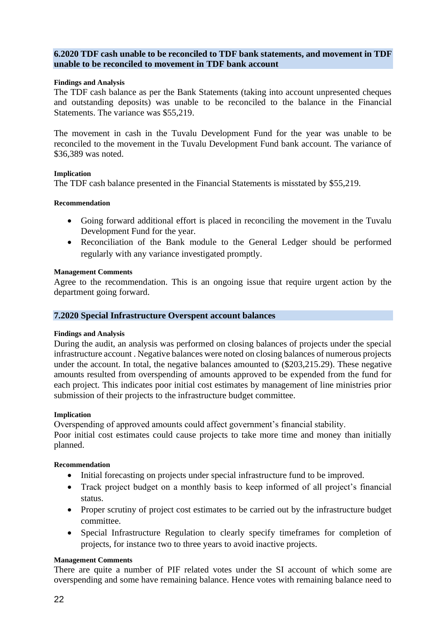#### <span id="page-21-0"></span>**6.2020 TDF cash unable to be reconciled to TDF bank statements, and movement in TDF unable to be reconciled to movement in TDF bank account**

#### **Findings and Analysis**

The TDF cash balance as per the Bank Statements (taking into account unpresented cheques and outstanding deposits) was unable to be reconciled to the balance in the Financial Statements. The variance was \$55,219.

The movement in cash in the Tuvalu Development Fund for the year was unable to be reconciled to the movement in the Tuvalu Development Fund bank account. The variance of \$36,389 was noted.

#### **Implication**

The TDF cash balance presented in the Financial Statements is misstated by \$55,219.

#### **Recommendation**

- Going forward additional effort is placed in reconciling the movement in the Tuvalu Development Fund for the year.
- Reconciliation of the Bank module to the General Ledger should be performed regularly with any variance investigated promptly.

#### **Management Comments**

Agree to the recommendation. This is an ongoing issue that require urgent action by the department going forward.

#### <span id="page-21-1"></span>**7.2020 Special Infrastructure Overspent account balances**

#### **Findings and Analysis**

During the audit, an analysis was performed on closing balances of projects under the special infrastructure account . Negative balances were noted on closing balances of numerous projects under the account. In total, the negative balances amounted to (\$203,215.29). These negative amounts resulted from overspending of amounts approved to be expended from the fund for each project. This indicates poor initial cost estimates by management of line ministries prior submission of their projects to the infrastructure budget committee.

#### **Implication**

Overspending of approved amounts could affect government's financial stability.

Poor initial cost estimates could cause projects to take more time and money than initially planned.

#### **Recommendation**

- Initial forecasting on projects under special infrastructure fund to be improved.
- Track project budget on a monthly basis to keep informed of all project's financial status.
- Proper scrutiny of project cost estimates to be carried out by the infrastructure budget committee.
- Special Infrastructure Regulation to clearly specify timeframes for completion of projects, for instance two to three years to avoid inactive projects.

#### **Management Comments**

There are quite a number of PIF related votes under the SI account of which some are overspending and some have remaining balance. Hence votes with remaining balance need to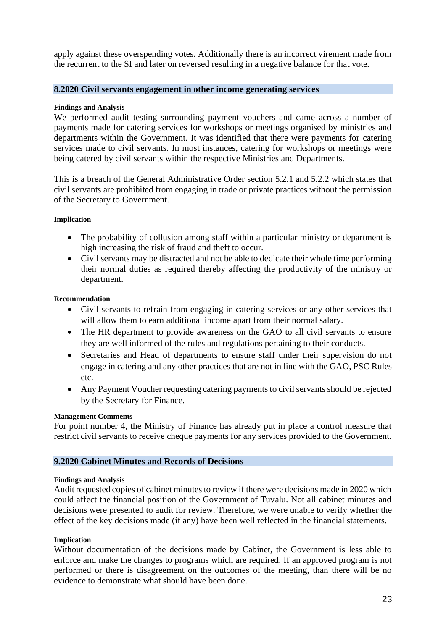apply against these overspending votes. Additionally there is an incorrect virement made from the recurrent to the SI and later on reversed resulting in a negative balance for that vote.

#### <span id="page-22-0"></span>**8.2020 Civil servants engagement in other income generating services**

#### **Findings and Analysis**

We performed audit testing surrounding payment vouchers and came across a number of payments made for catering services for workshops or meetings organised by ministries and departments within the Government. It was identified that there were payments for catering services made to civil servants. In most instances, catering for workshops or meetings were being catered by civil servants within the respective Ministries and Departments.

This is a breach of the General Administrative Order section 5.2.1 and 5.2.2 which states that civil servants are prohibited from engaging in trade or private practices without the permission of the Secretary to Government.

#### **Implication**

- The probability of collusion among staff within a particular ministry or department is high increasing the risk of fraud and theft to occur.
- Civil servants may be distracted and not be able to dedicate their whole time performing their normal duties as required thereby affecting the productivity of the ministry or department.

#### **Recommendation**

- Civil servants to refrain from engaging in catering services or any other services that will allow them to earn additional income apart from their normal salary.
- The HR department to provide awareness on the GAO to all civil servants to ensure they are well informed of the rules and regulations pertaining to their conducts.
- Secretaries and Head of departments to ensure staff under their supervision do not engage in catering and any other practices that are not in line with the GAO, PSC Rules etc.
- Any Payment Voucher requesting catering payments to civil servants should be rejected by the Secretary for Finance.

#### **Management Comments**

For point number 4, the Ministry of Finance has already put in place a control measure that restrict civil servants to receive cheque payments for any services provided to the Government.

#### <span id="page-22-1"></span>**9.2020 Cabinet Minutes and Records of Decisions**

#### **Findings and Analysis**

Audit requested copies of cabinet minutes to review if there were decisions made in 2020 which could affect the financial position of the Government of Tuvalu. Not all cabinet minutes and decisions were presented to audit for review. Therefore, we were unable to verify whether the effect of the key decisions made (if any) have been well reflected in the financial statements.

#### **Implication**

Without documentation of the decisions made by Cabinet, the Government is less able to enforce and make the changes to programs which are required. If an approved program is not performed or there is disagreement on the outcomes of the meeting, than there will be no evidence to demonstrate what should have been done.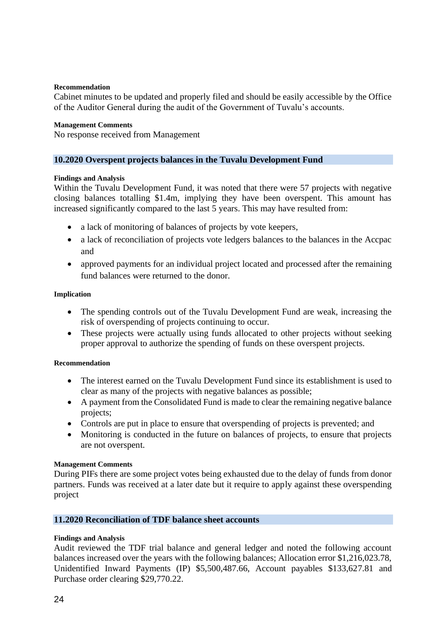#### **Recommendation**

Cabinet minutes to be updated and properly filed and should be easily accessible by the Office of the Auditor General during the audit of the Government of Tuvalu's accounts.

#### **Management Comments**

No response received from Management

#### <span id="page-23-0"></span>**10.2020 Overspent projects balances in the Tuvalu Development Fund**

#### **Findings and Analysis**

Within the Tuvalu Development Fund, it was noted that there were 57 projects with negative closing balances totalling \$1.4m, implying they have been overspent. This amount has increased significantly compared to the last 5 years. This may have resulted from:

- a lack of monitoring of balances of projects by vote keepers,
- a lack of reconciliation of projects vote ledgers balances to the balances in the Accpac and
- approved payments for an individual project located and processed after the remaining fund balances were returned to the donor.

#### **Implication**

- The spending controls out of the Tuvalu Development Fund are weak, increasing the risk of overspending of projects continuing to occur.
- These projects were actually using funds allocated to other projects without seeking proper approval to authorize the spending of funds on these overspent projects.

#### **Recommendation**

- The interest earned on the Tuvalu Development Fund since its establishment is used to clear as many of the projects with negative balances as possible;
- A payment from the Consolidated Fund is made to clear the remaining negative balance projects;
- Controls are put in place to ensure that overspending of projects is prevented; and
- Monitoring is conducted in the future on balances of projects, to ensure that projects are not overspent.

#### **Management Comments**

During PIFs there are some project votes being exhausted due to the delay of funds from donor partners. Funds was received at a later date but it require to apply against these overspending project

#### <span id="page-23-1"></span>**11.2020 Reconciliation of TDF balance sheet accounts**

#### **Findings and Analysis**

Audit reviewed the TDF trial balance and general ledger and noted the following account balances increased over the years with the following balances; Allocation error \$1,216,023.78, Unidentified Inward Payments (IP) \$5,500,487.66, Account payables \$133,627.81 and Purchase order clearing \$29,770.22.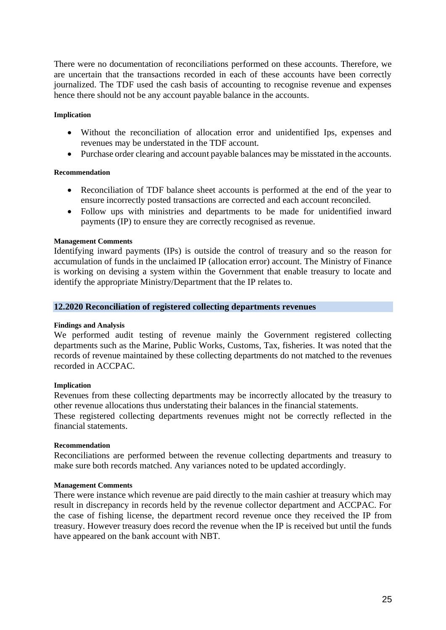There were no documentation of reconciliations performed on these accounts. Therefore, we are uncertain that the transactions recorded in each of these accounts have been correctly journalized. The TDF used the cash basis of accounting to recognise revenue and expenses hence there should not be any account payable balance in the accounts.

#### **Implication**

- Without the reconciliation of allocation error and unidentified Ips, expenses and revenues may be understated in the TDF account.
- Purchase order clearing and account payable balances may be misstated in the accounts.

#### **Recommendation**

- Reconciliation of TDF balance sheet accounts is performed at the end of the year to ensure incorrectly posted transactions are corrected and each account reconciled.
- Follow ups with ministries and departments to be made for unidentified inward payments (IP) to ensure they are correctly recognised as revenue.

#### **Management Comments**

Identifying inward payments (IPs) is outside the control of treasury and so the reason for accumulation of funds in the unclaimed IP (allocation error) account. The Ministry of Finance is working on devising a system within the Government that enable treasury to locate and identify the appropriate Ministry/Department that the IP relates to.

### <span id="page-24-0"></span>**12.2020 Reconciliation of registered collecting departments revenues**

#### **Findings and Analysis**

We performed audit testing of revenue mainly the Government registered collecting departments such as the Marine, Public Works, Customs, Tax, fisheries. It was noted that the records of revenue maintained by these collecting departments do not matched to the revenues recorded in ACCPAC.

#### **Implication**

Revenues from these collecting departments may be incorrectly allocated by the treasury to other revenue allocations thus understating their balances in the financial statements.

These registered collecting departments revenues might not be correctly reflected in the financial statements.

#### **Recommendation**

Reconciliations are performed between the revenue collecting departments and treasury to make sure both records matched. Any variances noted to be updated accordingly.

#### **Management Comments**

There were instance which revenue are paid directly to the main cashier at treasury which may result in discrepancy in records held by the revenue collector department and ACCPAC. For the case of fishing license, the department record revenue once they received the IP from treasury. However treasury does record the revenue when the IP is received but until the funds have appeared on the bank account with NBT.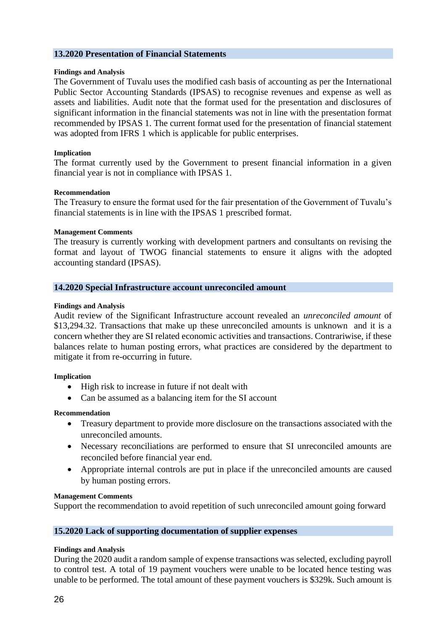#### <span id="page-25-0"></span>**13.2020 Presentation of Financial Statements**

#### **Findings and Analysis**

The Government of Tuvalu uses the modified cash basis of accounting as per the International Public Sector Accounting Standards (IPSAS) to recognise revenues and expense as well as assets and liabilities. Audit note that the format used for the presentation and disclosures of significant information in the financial statements was not in line with the presentation format recommended by IPSAS 1. The current format used for the presentation of financial statement was adopted from IFRS 1 which is applicable for public enterprises.

#### **Implication**

The format currently used by the Government to present financial information in a given financial year is not in compliance with IPSAS 1.

#### **Recommendation**

The Treasury to ensure the format used for the fair presentation of the Government of Tuvalu's financial statements is in line with the IPSAS 1 prescribed format.

#### **Management Comments**

The treasury is currently working with development partners and consultants on revising the format and layout of TWOG financial statements to ensure it aligns with the adopted accounting standard (IPSAS).

#### <span id="page-25-1"></span>**14.2020 Special Infrastructure account unreconciled amount**

#### **Findings and Analysis**

Audit review of the Significant Infrastructure account revealed an *unreconciled amount* of \$13,294.32. Transactions that make up these unreconciled amounts is unknown and it is a concern whether they are SI related economic activities and transactions. Contrariwise, if these balances relate to human posting errors, what practices are considered by the department to mitigate it from re-occurring in future.

#### **Implication**

- High risk to increase in future if not dealt with
- Can be assumed as a balancing item for the SI account

#### **Recommendation**

- Treasury department to provide more disclosure on the transactions associated with the unreconciled amounts.
- Necessary reconciliations are performed to ensure that SI unreconciled amounts are reconciled before financial year end.
- Appropriate internal controls are put in place if the unreconciled amounts are caused by human posting errors.

#### **Management Comments**

Support the recommendation to avoid repetition of such unreconciled amount going forward

#### <span id="page-25-2"></span>**15.2020 Lack of supporting documentation of supplier expenses**

#### **Findings and Analysis**

During the 2020 audit a random sample of expense transactions was selected, excluding payroll to control test. A total of 19 payment vouchers were unable to be located hence testing was unable to be performed. The total amount of these payment vouchers is \$329k. Such amount is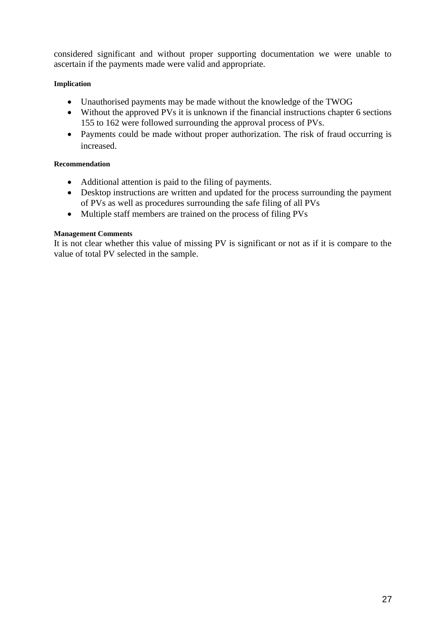considered significant and without proper supporting documentation we were unable to ascertain if the payments made were valid and appropriate.

#### **Implication**

- Unauthorised payments may be made without the knowledge of the TWOG
- Without the approved PVs it is unknown if the financial instructions chapter 6 sections 155 to 162 were followed surrounding the approval process of PVs.
- Payments could be made without proper authorization. The risk of fraud occurring is increased.

### **Recommendation**

- Additional attention is paid to the filing of payments.
- Desktop instructions are written and updated for the process surrounding the payment of PVs as well as procedures surrounding the safe filing of all PVs
- Multiple staff members are trained on the process of filing PVs

#### **Management Comments**

It is not clear whether this value of missing PV is significant or not as if it is compare to the value of total PV selected in the sample.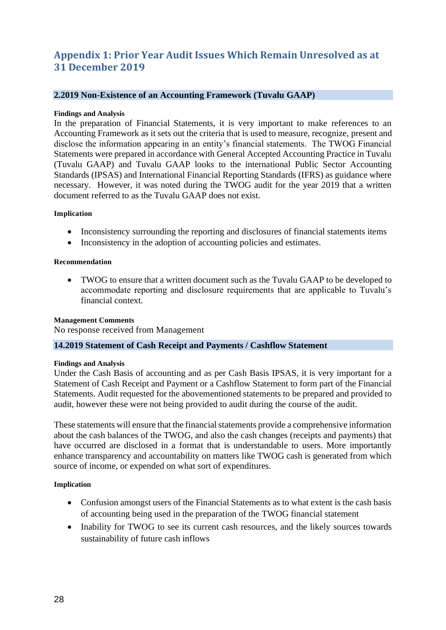# <span id="page-27-0"></span>**Appendix 1: Prior Year Audit Issues Which Remain Unresolved as at 31 December 2019**

#### <span id="page-27-1"></span>**2.2019 Non-Existence of an Accounting Framework (Tuvalu GAAP)**

#### **Findings and Analysis**

In the preparation of Financial Statements, it is very important to make references to an Accounting Framework as it sets out the criteria that is used to measure, recognize, present and disclose the information appearing in an entity's financial statements. The TWOG Financial Statements were prepared in accordance with General Accepted Accounting Practice in Tuvalu (Tuvalu GAAP) and Tuvalu GAAP looks to the international Public Sector Accounting Standards (IPSAS) and International Financial Reporting Standards (IFRS) as guidance where necessary. However, it was noted during the TWOG audit for the year 2019 that a written document referred to as the Tuvalu GAAP does not exist.

#### **Implication**

- Inconsistency surrounding the reporting and disclosures of financial statements items
- Inconsistency in the adoption of accounting policies and estimates.

#### **Recommendation**

• TWOG to ensure that a written document such as the Tuvalu GAAP to be developed to accommodate reporting and disclosure requirements that are applicable to Tuvalu's financial context.

#### **Management Comments**

No response received from Management

#### <span id="page-27-2"></span>**14.2019 Statement of Cash Receipt and Payments / Cashflow Statement**

#### **Findings and Analysis**

Under the Cash Basis of accounting and as per Cash Basis IPSAS, it is very important for a Statement of Cash Receipt and Payment or a Cashflow Statement to form part of the Financial Statements. Audit requested for the abovementioned statements to be prepared and provided to audit, however these were not being provided to audit during the course of the audit.

These statements will ensure that the financial statements provide a comprehensive information about the cash balances of the TWOG, and also the cash changes (receipts and payments) that have occurred are disclosed in a format that is understandable to users. More importantly enhance transparency and accountability on matters like TWOG cash is generated from which source of income, or expended on what sort of expenditures.

#### **Implication**

- Confusion amongst users of the Financial Statements as to what extent is the cash basis of accounting being used in the preparation of the TWOG financial statement
- Inability for TWOG to see its current cash resources, and the likely sources towards sustainability of future cash inflows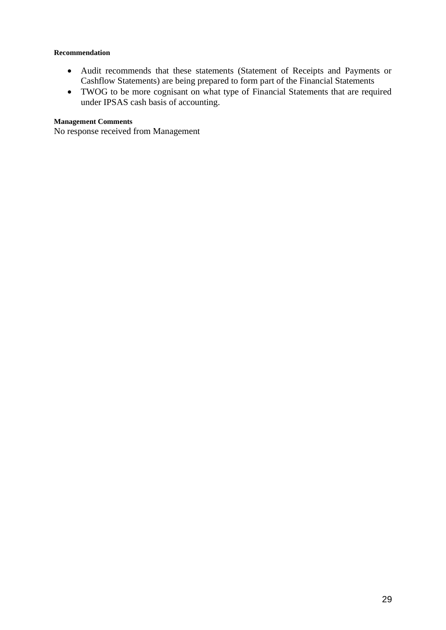#### **Recommendation**

- Audit recommends that these statements (Statement of Receipts and Payments or Cashflow Statements) are being prepared to form part of the Financial Statements
- TWOG to be more cognisant on what type of Financial Statements that are required under IPSAS cash basis of accounting.

#### **Management Comments**

No response received from Management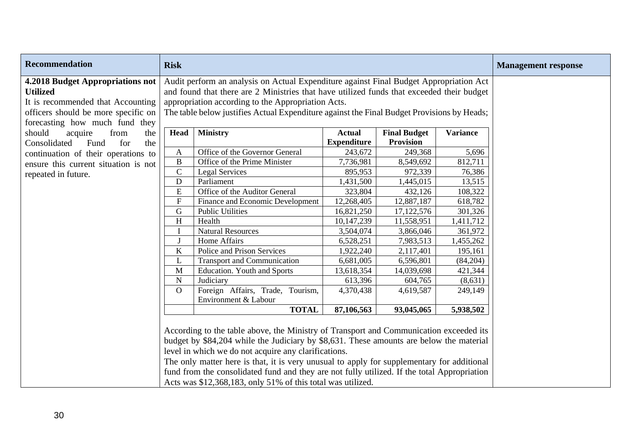| <b>Recommendation</b>                                                                                                                                      | <b>Risk</b>               |                                                                                                                                                                                                                                                                                                                                                                                                                                                                                                       |                    |                     |                 | <b>Management response</b> |
|------------------------------------------------------------------------------------------------------------------------------------------------------------|---------------------------|-------------------------------------------------------------------------------------------------------------------------------------------------------------------------------------------------------------------------------------------------------------------------------------------------------------------------------------------------------------------------------------------------------------------------------------------------------------------------------------------------------|--------------------|---------------------|-----------------|----------------------------|
| 4.2018 Budget Appropriations not<br>Utilized<br>It is recommended that Accounting<br>officers should be more specific on<br>forecasting how much fund they |                           | Audit perform an analysis on Actual Expenditure against Final Budget Appropriation Act<br>and found that there are 2 Ministries that have utilized funds that exceeded their budget<br>appropriation according to the Appropriation Acts.<br>The table below justifies Actual Expenditure against the Final Budget Provisions by Heads;                                                                                                                                                               |                    |                     |                 |                            |
| should<br>acquire<br>from<br>the                                                                                                                           | Head                      | <b>Ministry</b>                                                                                                                                                                                                                                                                                                                                                                                                                                                                                       | <b>Actual</b>      | <b>Final Budget</b> | <b>Variance</b> |                            |
| Consolidated<br>Fund<br>for<br>the                                                                                                                         |                           |                                                                                                                                                                                                                                                                                                                                                                                                                                                                                                       | <b>Expenditure</b> | <b>Provision</b>    |                 |                            |
| continuation of their operations to                                                                                                                        | A                         | Office of the Governor General                                                                                                                                                                                                                                                                                                                                                                                                                                                                        | 243,672            | 249,368             | 5,696           |                            |
| ensure this current situation is not                                                                                                                       | $\, {\bf B}$              | Office of the Prime Minister                                                                                                                                                                                                                                                                                                                                                                                                                                                                          | 7,736,981          | 8,549,692           | 812,711         |                            |
| repeated in future.                                                                                                                                        | ${\bf C}$                 | <b>Legal Services</b>                                                                                                                                                                                                                                                                                                                                                                                                                                                                                 | 895,953            | 972,339             | 76,386          |                            |
|                                                                                                                                                            | $\mathbf D$               | Parliament                                                                                                                                                                                                                                                                                                                                                                                                                                                                                            | 1,431,500          | 1,445,015           | 13,515          |                            |
|                                                                                                                                                            | ${\bf E}$                 | Office of the Auditor General                                                                                                                                                                                                                                                                                                                                                                                                                                                                         | 323,804            | 432,126             | 108,322         |                            |
|                                                                                                                                                            | ${\bf F}$                 | Finance and Economic Development                                                                                                                                                                                                                                                                                                                                                                                                                                                                      | 12,268,405         | 12,887,187          | 618,782         |                            |
|                                                                                                                                                            | G                         | <b>Public Utilities</b>                                                                                                                                                                                                                                                                                                                                                                                                                                                                               | 16,821,250         | 17,122,576          | 301,326         |                            |
|                                                                                                                                                            | $\boldsymbol{\mathrm{H}}$ | Health                                                                                                                                                                                                                                                                                                                                                                                                                                                                                                | 10,147,239         | 11,558,951          | 1,411,712       |                            |
|                                                                                                                                                            | I                         | <b>Natural Resources</b>                                                                                                                                                                                                                                                                                                                                                                                                                                                                              | 3,504,074          | 3,866,046           | 361,972         |                            |
|                                                                                                                                                            | J                         | Home Affairs                                                                                                                                                                                                                                                                                                                                                                                                                                                                                          | 6,528,251          | 7,983,513           | 1,455,262       |                            |
|                                                                                                                                                            | $\bf K$                   | Police and Prison Services                                                                                                                                                                                                                                                                                                                                                                                                                                                                            | 1,922,240          | 2,117,401           | 195,161         |                            |
|                                                                                                                                                            | L                         | <b>Transport and Communication</b>                                                                                                                                                                                                                                                                                                                                                                                                                                                                    | 6,681,005          | 6,596,801           | (84,204)        |                            |
|                                                                                                                                                            | M                         | <b>Education. Youth and Sports</b>                                                                                                                                                                                                                                                                                                                                                                                                                                                                    | 13,618,354         | 14,039,698          | 421,344         |                            |
|                                                                                                                                                            | ${\bf N}$                 | Judiciary                                                                                                                                                                                                                                                                                                                                                                                                                                                                                             | 613,396            | 604,765             | (8,631)         |                            |
|                                                                                                                                                            | $\Omega$                  | Foreign Affairs, Trade, Tourism,<br>Environment & Labour                                                                                                                                                                                                                                                                                                                                                                                                                                              | 4,370,438          | 4,619,587           | 249,149         |                            |
|                                                                                                                                                            |                           | <b>TOTAL</b>                                                                                                                                                                                                                                                                                                                                                                                                                                                                                          | 87,106,563         | 93,045,065          | 5,938,502       |                            |
|                                                                                                                                                            |                           | According to the table above, the Ministry of Transport and Communication exceeded its<br>budget by \$84,204 while the Judiciary by \$8,631. These amounts are below the material<br>level in which we do not acquire any clarifications.<br>The only matter here is that, it is very unusual to apply for supplementary for additional<br>fund from the consolidated fund and they are not fully utilized. If the total Appropriation<br>Acts was \$12,368,183, only 51% of this total was utilized. |                    |                     |                 |                            |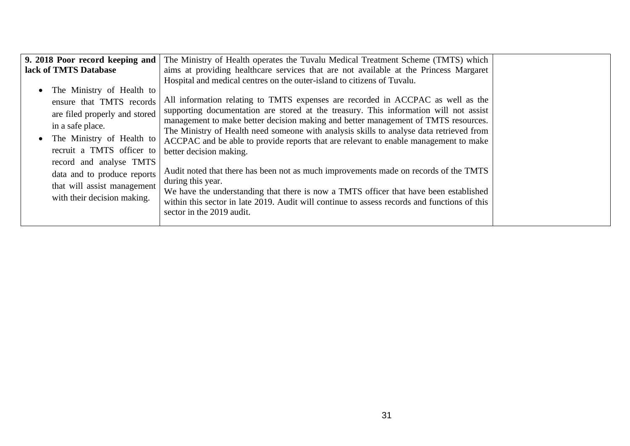| 9. 2018 Poor record keeping and                                                                                                                                                                                                                                                              | The Ministry of Health operates the Tuvalu Medical Treatment Scheme (TMTS) which                                                                                                                                                                                                                                                                                                                                                                                                                                                                                                                                                                                                                                                                                                                                                                                                           |  |
|----------------------------------------------------------------------------------------------------------------------------------------------------------------------------------------------------------------------------------------------------------------------------------------------|--------------------------------------------------------------------------------------------------------------------------------------------------------------------------------------------------------------------------------------------------------------------------------------------------------------------------------------------------------------------------------------------------------------------------------------------------------------------------------------------------------------------------------------------------------------------------------------------------------------------------------------------------------------------------------------------------------------------------------------------------------------------------------------------------------------------------------------------------------------------------------------------|--|
| lack of TMTS Database                                                                                                                                                                                                                                                                        | aims at providing healthcare services that are not available at the Princess Margaret                                                                                                                                                                                                                                                                                                                                                                                                                                                                                                                                                                                                                                                                                                                                                                                                      |  |
| The Ministry of Health to<br>ensure that TMTS records<br>are filed properly and stored<br>in a safe place.<br>The Ministry of Health to<br>recruit a TMTS officer to<br>record and analyse TMTS<br>data and to produce reports<br>that will assist management<br>with their decision making. | Hospital and medical centres on the outer-island to citizens of Tuvalu.<br>All information relating to TMTS expenses are recorded in ACCPAC as well as the<br>supporting documentation are stored at the treasury. This information will not assist<br>management to make better decision making and better management of TMTS resources.<br>The Ministry of Health need someone with analysis skills to analyse data retrieved from<br>ACCPAC and be able to provide reports that are relevant to enable management to make<br>better decision making.<br>Audit noted that there has been not as much improvements made on records of the TMTS<br>during this year.<br>We have the understanding that there is now a TMTS officer that have been established<br>within this sector in late 2019. Audit will continue to assess records and functions of this<br>sector in the 2019 audit. |  |
|                                                                                                                                                                                                                                                                                              |                                                                                                                                                                                                                                                                                                                                                                                                                                                                                                                                                                                                                                                                                                                                                                                                                                                                                            |  |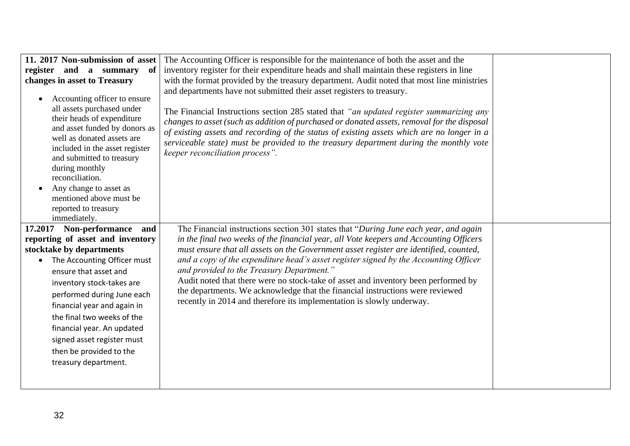| 11. 2017 Non-submission of asset<br>register and a summary of<br>changes in asset to Treasury<br>Accounting officer to ensure<br>all assets purchased under<br>their heads of expenditure<br>and asset funded by donors as<br>well as donated assets are<br>included in the asset register<br>and submitted to treasury<br>during monthly | The Accounting Officer is responsible for the maintenance of both the asset and the<br>inventory register for their expenditure heads and shall maintain these registers in line<br>with the format provided by the treasury department. Audit noted that most line ministries<br>and departments have not submitted their asset registers to treasury.<br>The Financial Instructions section 285 stated that "an updated register summarizing any<br>changes to asset (such as addition of purchased or donated assets, removal for the disposal<br>of existing assets and recording of the status of existing assets which are no longer in a<br>serviceable state) must be provided to the treasury department during the monthly vote<br>keeper reconciliation process". |  |
|-------------------------------------------------------------------------------------------------------------------------------------------------------------------------------------------------------------------------------------------------------------------------------------------------------------------------------------------|------------------------------------------------------------------------------------------------------------------------------------------------------------------------------------------------------------------------------------------------------------------------------------------------------------------------------------------------------------------------------------------------------------------------------------------------------------------------------------------------------------------------------------------------------------------------------------------------------------------------------------------------------------------------------------------------------------------------------------------------------------------------------|--|
| reconciliation.<br>Any change to asset as<br>mentioned above must be<br>reported to treasury<br>immediately.<br>17.2017 Non-performance and<br>reporting of asset and inventory<br>stocktake by departments                                                                                                                               | The Financial instructions section 301 states that "During June each year, and again<br>in the final two weeks of the financial year, all Vote keepers and Accounting Officers<br>must ensure that all assets on the Government asset register are identified, counted,                                                                                                                                                                                                                                                                                                                                                                                                                                                                                                      |  |
| The Accounting Officer must<br>$\bullet$<br>ensure that asset and<br>inventory stock-takes are<br>performed during June each<br>financial year and again in<br>the final two weeks of the<br>financial year. An updated<br>signed asset register must<br>then be provided to the<br>treasury department.                                  | and a copy of the expenditure head's asset register signed by the Accounting Officer<br>and provided to the Treasury Department."<br>Audit noted that there were no stock-take of asset and inventory been performed by<br>the departments. We acknowledge that the financial instructions were reviewed<br>recently in 2014 and therefore its implementation is slowly underway.                                                                                                                                                                                                                                                                                                                                                                                            |  |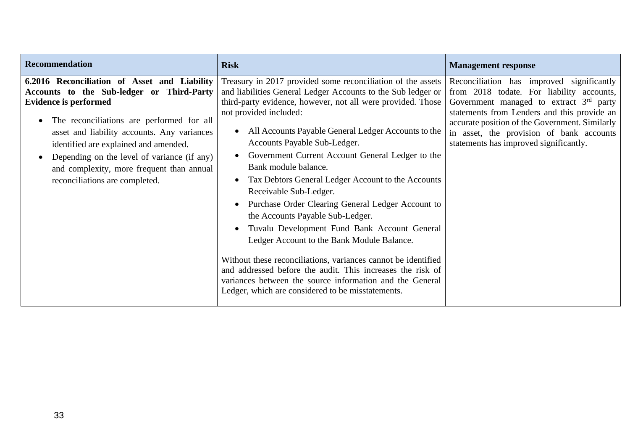| <b>Recommendation</b>                                                                                                                                                                                                                                                                                                                                                                                     | <b>Risk</b>                                                                                                                                                                                                                                                                                                                                                                                                                                                                                                                                                                                                                                                                                                                                                                                                                                                                                                    | <b>Management response</b>                                                                                                                                                                                                                                                                                                 |
|-----------------------------------------------------------------------------------------------------------------------------------------------------------------------------------------------------------------------------------------------------------------------------------------------------------------------------------------------------------------------------------------------------------|----------------------------------------------------------------------------------------------------------------------------------------------------------------------------------------------------------------------------------------------------------------------------------------------------------------------------------------------------------------------------------------------------------------------------------------------------------------------------------------------------------------------------------------------------------------------------------------------------------------------------------------------------------------------------------------------------------------------------------------------------------------------------------------------------------------------------------------------------------------------------------------------------------------|----------------------------------------------------------------------------------------------------------------------------------------------------------------------------------------------------------------------------------------------------------------------------------------------------------------------------|
| 6.2016 Reconciliation of Asset and Liability<br>Accounts to the Sub-ledger or Third-Party<br><b>Evidence is performed</b><br>The reconciliations are performed for all<br>asset and liability accounts. Any variances<br>identified are explained and amended.<br>Depending on the level of variance (if any)<br>$\bullet$<br>and complexity, more frequent than annual<br>reconciliations are completed. | Treasury in 2017 provided some reconciliation of the assets<br>and liabilities General Ledger Accounts to the Sub ledger or<br>third-party evidence, however, not all were provided. Those<br>not provided included:<br>All Accounts Payable General Ledger Accounts to the<br>Accounts Payable Sub-Ledger.<br>Government Current Account General Ledger to the<br>Bank module balance.<br>Tax Debtors General Ledger Account to the Accounts<br>Receivable Sub-Ledger.<br>Purchase Order Clearing General Ledger Account to<br>the Accounts Payable Sub-Ledger.<br>Tuvalu Development Fund Bank Account General<br>Ledger Account to the Bank Module Balance.<br>Without these reconciliations, variances cannot be identified<br>and addressed before the audit. This increases the risk of<br>variances between the source information and the General<br>Ledger, which are considered to be misstatements. | Reconciliation has improved significantly<br>from 2018 todate. For liability accounts,<br>Government managed to extract $3rd$ party<br>statements from Lenders and this provide an<br>accurate position of the Government. Similarly<br>in asset, the provision of bank accounts<br>statements has improved significantly. |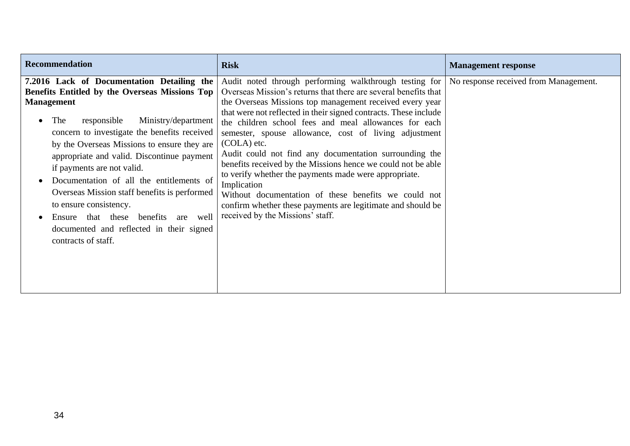| <b>Recommendation</b>                                                                                                                                                                                                                                                                                                                                                                                                                                                                                                                                                              | <b>Risk</b>                                                                                                                                                                                                                                                                                                                                                                                                                                                                                                                                                                                                                                                                                                                                               | <b>Management response</b>            |
|------------------------------------------------------------------------------------------------------------------------------------------------------------------------------------------------------------------------------------------------------------------------------------------------------------------------------------------------------------------------------------------------------------------------------------------------------------------------------------------------------------------------------------------------------------------------------------|-----------------------------------------------------------------------------------------------------------------------------------------------------------------------------------------------------------------------------------------------------------------------------------------------------------------------------------------------------------------------------------------------------------------------------------------------------------------------------------------------------------------------------------------------------------------------------------------------------------------------------------------------------------------------------------------------------------------------------------------------------------|---------------------------------------|
| 7.2016 Lack of Documentation Detailing the<br>Benefits Entitled by the Overseas Missions Top<br><b>Management</b><br>The<br>Ministry/department<br>responsible<br>concern to investigate the benefits received<br>by the Overseas Missions to ensure they are<br>appropriate and valid. Discontinue payment<br>if payments are not valid.<br>Documentation of all the entitlements of<br>Overseas Mission staff benefits is performed<br>to ensure consistency.<br>that these benefits<br>well<br>Ensure<br>are<br>documented and reflected in their signed<br>contracts of staff. | Audit noted through performing walkthrough testing for<br>Overseas Mission's returns that there are several benefits that<br>the Overseas Missions top management received every year<br>that were not reflected in their signed contracts. These include<br>the children school fees and meal allowances for each<br>semester, spouse allowance, cost of living adjustment<br>$(COLA)$ etc.<br>Audit could not find any documentation surrounding the<br>benefits received by the Missions hence we could not be able<br>to verify whether the payments made were appropriate.<br>Implication<br>Without documentation of these benefits we could not<br>confirm whether these payments are legitimate and should be<br>received by the Missions' staff. | No response received from Management. |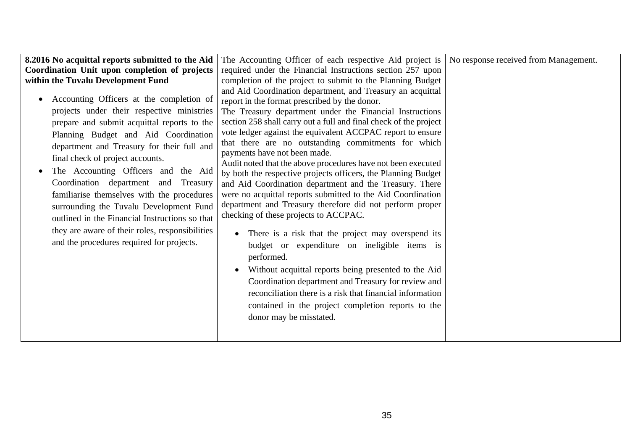| 8.2016 No acquittal reports submitted to the Aid                                                                                                                                                                                                                                                                                                                                                                                                                                                                                                                                                | The Accounting Officer of each respective Aid project is $\vert$ No response received from Management.                                                                                                                                                                                                                                                                                                                                                                                                                                                                                                                                                                                                                                                                                                                                                                                                                                                                                                                                                                                                                                                          |  |
|-------------------------------------------------------------------------------------------------------------------------------------------------------------------------------------------------------------------------------------------------------------------------------------------------------------------------------------------------------------------------------------------------------------------------------------------------------------------------------------------------------------------------------------------------------------------------------------------------|-----------------------------------------------------------------------------------------------------------------------------------------------------------------------------------------------------------------------------------------------------------------------------------------------------------------------------------------------------------------------------------------------------------------------------------------------------------------------------------------------------------------------------------------------------------------------------------------------------------------------------------------------------------------------------------------------------------------------------------------------------------------------------------------------------------------------------------------------------------------------------------------------------------------------------------------------------------------------------------------------------------------------------------------------------------------------------------------------------------------------------------------------------------------|--|
| Coordination Unit upon completion of projects                                                                                                                                                                                                                                                                                                                                                                                                                                                                                                                                                   | required under the Financial Instructions section 257 upon                                                                                                                                                                                                                                                                                                                                                                                                                                                                                                                                                                                                                                                                                                                                                                                                                                                                                                                                                                                                                                                                                                      |  |
| within the Tuvalu Development Fund                                                                                                                                                                                                                                                                                                                                                                                                                                                                                                                                                              | completion of the project to submit to the Planning Budget                                                                                                                                                                                                                                                                                                                                                                                                                                                                                                                                                                                                                                                                                                                                                                                                                                                                                                                                                                                                                                                                                                      |  |
| Accounting Officers at the completion of<br>projects under their respective ministries<br>prepare and submit acquittal reports to the<br>Planning Budget and Aid Coordination<br>department and Treasury for their full and<br>final check of project accounts.<br>The Accounting Officers and the Aid<br>Coordination department<br>Treasury<br>and<br>familiarise themselves with the procedures<br>surrounding the Tuvalu Development Fund<br>outlined in the Financial Instructions so that<br>they are aware of their roles, responsibilities<br>and the procedures required for projects. | and Aid Coordination department, and Treasury an acquittal<br>report in the format prescribed by the donor.<br>The Treasury department under the Financial Instructions<br>section 258 shall carry out a full and final check of the project<br>vote ledger against the equivalent ACCPAC report to ensure<br>that there are no outstanding commitments for which<br>payments have not been made.<br>Audit noted that the above procedures have not been executed<br>by both the respective projects officers, the Planning Budget<br>and Aid Coordination department and the Treasury. There<br>were no acquittal reports submitted to the Aid Coordination<br>department and Treasury therefore did not perform proper<br>checking of these projects to ACCPAC.<br>There is a risk that the project may overspend its<br>$\bullet$<br>budget or expenditure on ineligible items is<br>performed.<br>Without acquittal reports being presented to the Aid<br>Coordination department and Treasury for review and<br>reconciliation there is a risk that financial information<br>contained in the project completion reports to the<br>donor may be misstated. |  |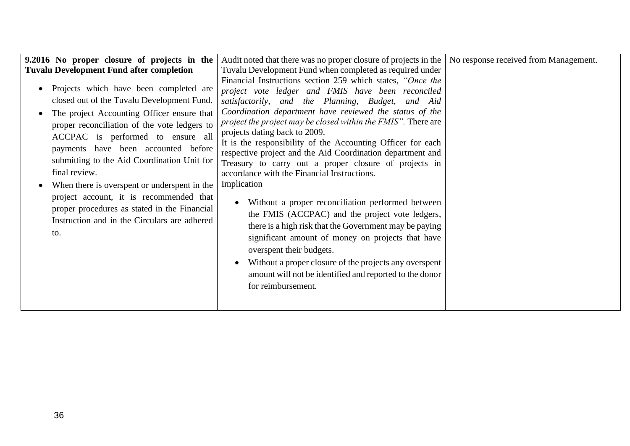| 9.2016 No proper closure of projects in the                                                                                                                                                                                                                                                                                                                                                                                                                                                                                      | Audit noted that there was no proper closure of projects in the   No response received from Management.                                                                                                                                                                                                                                                                                                                                                                                                                                                                                                                                                                                                                                                                                                                                                                                                                                                                                                  |  |
|----------------------------------------------------------------------------------------------------------------------------------------------------------------------------------------------------------------------------------------------------------------------------------------------------------------------------------------------------------------------------------------------------------------------------------------------------------------------------------------------------------------------------------|----------------------------------------------------------------------------------------------------------------------------------------------------------------------------------------------------------------------------------------------------------------------------------------------------------------------------------------------------------------------------------------------------------------------------------------------------------------------------------------------------------------------------------------------------------------------------------------------------------------------------------------------------------------------------------------------------------------------------------------------------------------------------------------------------------------------------------------------------------------------------------------------------------------------------------------------------------------------------------------------------------|--|
| <b>Tuvalu Development Fund after completion</b>                                                                                                                                                                                                                                                                                                                                                                                                                                                                                  | Tuvalu Development Fund when completed as required under                                                                                                                                                                                                                                                                                                                                                                                                                                                                                                                                                                                                                                                                                                                                                                                                                                                                                                                                                 |  |
| Projects which have been completed are<br>closed out of the Tuvalu Development Fund.<br>The project Accounting Officer ensure that<br>proper reconciliation of the vote ledgers to<br>ACCPAC is performed to ensure all<br>payments have been accounted before<br>submitting to the Aid Coordination Unit for<br>final review.<br>When there is overspent or underspent in the<br>project account, it is recommended that<br>proper procedures as stated in the Financial<br>Instruction and in the Circulars are adhered<br>to. | Financial Instructions section 259 which states, "Once the<br>project vote ledger and FMIS have been reconciled<br>satisfactorily, and the Planning, Budget, and Aid<br>Coordination department have reviewed the status of the<br><i>project the project may be closed within the FMIS"</i> . There are<br>projects dating back to 2009.<br>It is the responsibility of the Accounting Officer for each<br>respective project and the Aid Coordination department and<br>Treasury to carry out a proper closure of projects in<br>accordance with the Financial Instructions.<br>Implication<br>Without a proper reconciliation performed between<br>the FMIS (ACCPAC) and the project vote ledgers,<br>there is a high risk that the Government may be paying<br>significant amount of money on projects that have<br>overspent their budgets.<br>Without a proper closure of the projects any overspent<br>$\bullet$<br>amount will not be identified and reported to the donor<br>for reimbursement. |  |
|                                                                                                                                                                                                                                                                                                                                                                                                                                                                                                                                  |                                                                                                                                                                                                                                                                                                                                                                                                                                                                                                                                                                                                                                                                                                                                                                                                                                                                                                                                                                                                          |  |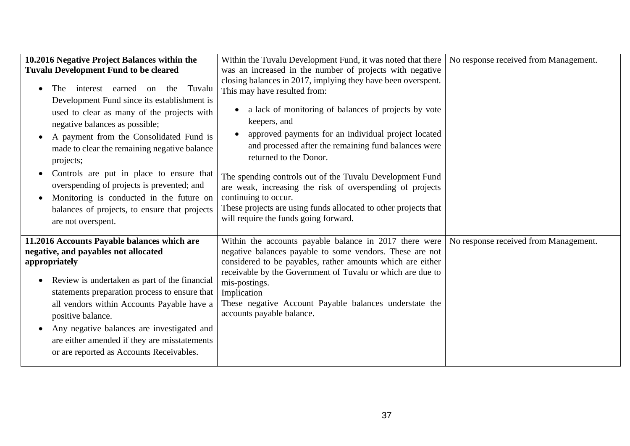| 10.2016 Negative Project Balances within the<br><b>Tuvalu Development Fund to be cleared</b><br>interest earned on<br>Tuvalu<br>the<br><b>The</b><br>Development Fund since its establishment is<br>used to clear as many of the projects with<br>negative balances as possible;<br>A payment from the Consolidated Fund is<br>made to clear the remaining negative balance<br>projects;<br>Controls are put in place to ensure that<br>overspending of projects is prevented; and<br>Monitoring is conducted in the future on<br>balances of projects, to ensure that projects<br>are not overspent. | Within the Tuvalu Development Fund, it was noted that there<br>was an increased in the number of projects with negative<br>closing balances in 2017, implying they have been overspent.<br>This may have resulted from:<br>a lack of monitoring of balances of projects by vote<br>keepers, and<br>approved payments for an individual project located<br>and processed after the remaining fund balances were<br>returned to the Donor.<br>The spending controls out of the Tuvalu Development Fund<br>are weak, increasing the risk of overspending of projects<br>continuing to occur.<br>These projects are using funds allocated to other projects that<br>will require the funds going forward. | No response received from Management. |
|-------------------------------------------------------------------------------------------------------------------------------------------------------------------------------------------------------------------------------------------------------------------------------------------------------------------------------------------------------------------------------------------------------------------------------------------------------------------------------------------------------------------------------------------------------------------------------------------------------|-------------------------------------------------------------------------------------------------------------------------------------------------------------------------------------------------------------------------------------------------------------------------------------------------------------------------------------------------------------------------------------------------------------------------------------------------------------------------------------------------------------------------------------------------------------------------------------------------------------------------------------------------------------------------------------------------------|---------------------------------------|
| 11.2016 Accounts Payable balances which are<br>negative, and payables not allocated<br>appropriately<br>Review is undertaken as part of the financial<br>$\bullet$<br>statements preparation process to ensure that<br>all vendors within Accounts Payable have a<br>positive balance.<br>Any negative balances are investigated and<br>are either amended if they are misstatements<br>or are reported as Accounts Receivables.                                                                                                                                                                      | Within the accounts payable balance in $2017$ there were<br>negative balances payable to some vendors. These are not<br>considered to be payables, rather amounts which are either<br>receivable by the Government of Tuvalu or which are due to<br>mis-postings.<br>Implication<br>These negative Account Payable balances understate the<br>accounts payable balance.                                                                                                                                                                                                                                                                                                                               | No response received from Management. |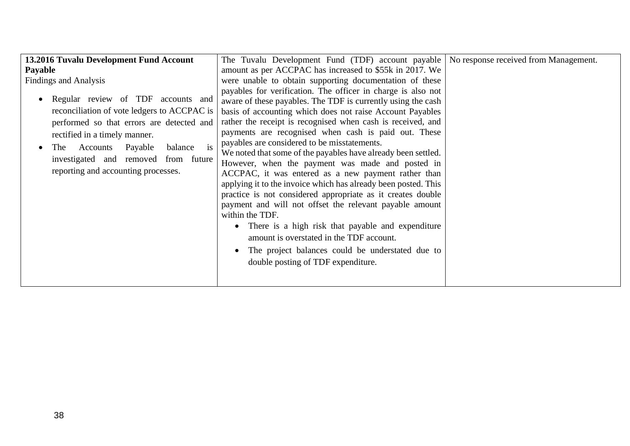| 13.2016 Tuvalu Development Fund Account                                                                                                                                                                                                                                                                                                      | The Tuvalu Development Fund (TDF) account payable   No response received from Management.                                                                                                                                                                                                                                                                                                                                                                                                                                                                                                                                                                                 |  |
|----------------------------------------------------------------------------------------------------------------------------------------------------------------------------------------------------------------------------------------------------------------------------------------------------------------------------------------------|---------------------------------------------------------------------------------------------------------------------------------------------------------------------------------------------------------------------------------------------------------------------------------------------------------------------------------------------------------------------------------------------------------------------------------------------------------------------------------------------------------------------------------------------------------------------------------------------------------------------------------------------------------------------------|--|
|                                                                                                                                                                                                                                                                                                                                              | amount as per ACCPAC has increased to \$55k in 2017. We                                                                                                                                                                                                                                                                                                                                                                                                                                                                                                                                                                                                                   |  |
| <b>Payable</b><br><b>Findings and Analysis</b><br>Regular review of TDF accounts and<br>reconciliation of vote ledgers to ACCPAC is<br>performed so that errors are detected and<br>rectified in a timely manner.<br>Accounts Payable<br>is<br>balance<br>The<br>investigated and removed from future<br>reporting and accounting processes. | were unable to obtain supporting documentation of these<br>payables for verification. The officer in charge is also not<br>aware of these payables. The TDF is currently using the cash<br>basis of accounting which does not raise Account Payables<br>rather the receipt is recognised when cash is received, and<br>payments are recognised when cash is paid out. These<br>payables are considered to be misstatements.<br>We noted that some of the payables have already been settled.<br>However, when the payment was made and posted in<br>ACCPAC, it was entered as a new payment rather than<br>applying it to the invoice which has already been posted. This |  |
|                                                                                                                                                                                                                                                                                                                                              | practice is not considered appropriate as it creates double<br>payment and will not offset the relevant payable amount<br>within the TDF.<br>There is a high risk that payable and expenditure<br>$\bullet$<br>amount is overstated in the TDF account.<br>The project balances could be understated due to<br>double posting of TDF expenditure.                                                                                                                                                                                                                                                                                                                         |  |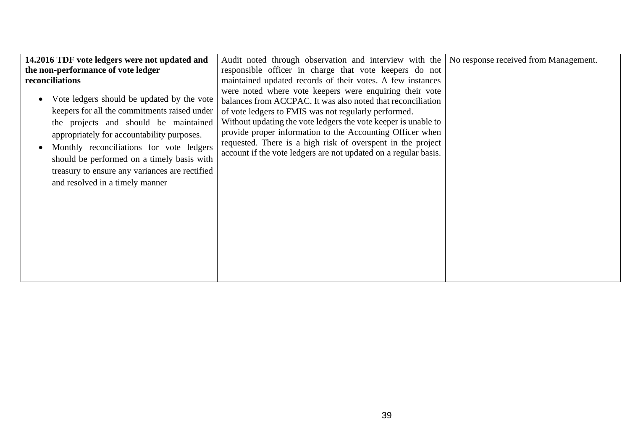| 14.2016 TDF vote ledgers were not updated and                                                                                                                                                                                                                                                                                                                    | Audit noted through observation and interview with the No response received from Management.                                                                                                                                                                                                                                                                                                                                                    |  |
|------------------------------------------------------------------------------------------------------------------------------------------------------------------------------------------------------------------------------------------------------------------------------------------------------------------------------------------------------------------|-------------------------------------------------------------------------------------------------------------------------------------------------------------------------------------------------------------------------------------------------------------------------------------------------------------------------------------------------------------------------------------------------------------------------------------------------|--|
| the non-performance of vote ledger                                                                                                                                                                                                                                                                                                                               | responsible officer in charge that vote keepers do not                                                                                                                                                                                                                                                                                                                                                                                          |  |
| reconciliations                                                                                                                                                                                                                                                                                                                                                  | maintained updated records of their votes. A few instances                                                                                                                                                                                                                                                                                                                                                                                      |  |
| Vote ledgers should be updated by the vote<br>keepers for all the commitments raised under<br>the projects and should be maintained<br>appropriately for accountability purposes.<br>Monthly reconciliations for vote ledgers<br>should be performed on a timely basis with<br>treasury to ensure any variances are rectified<br>and resolved in a timely manner | were noted where vote keepers were enquiring their vote<br>balances from ACCPAC. It was also noted that reconciliation<br>of vote ledgers to FMIS was not regularly performed.<br>Without updating the vote ledgers the vote keeper is unable to<br>provide proper information to the Accounting Officer when<br>requested. There is a high risk of overspent in the project<br>account if the vote ledgers are not updated on a regular basis. |  |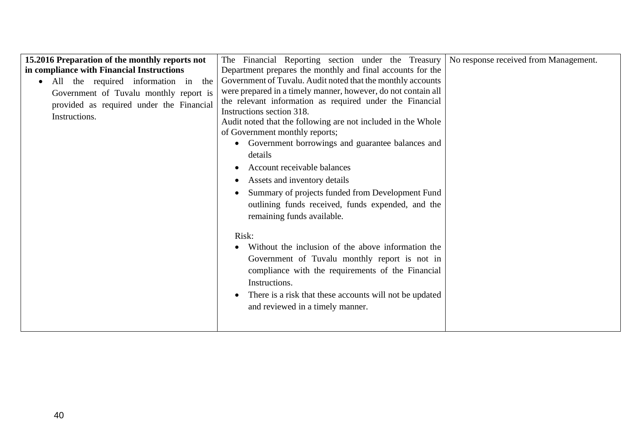| 15.2016 Preparation of the monthly reports not   | The Financial Reporting section under the Treasury                   | No response received from Management. |
|--------------------------------------------------|----------------------------------------------------------------------|---------------------------------------|
| in compliance with Financial Instructions        | Department prepares the monthly and final accounts for the           |                                       |
| All the required information in the<br>$\bullet$ | Government of Tuvalu. Audit noted that the monthly accounts          |                                       |
| Government of Tuvalu monthly report is           | were prepared in a timely manner, however, do not contain all        |                                       |
| provided as required under the Financial         | the relevant information as required under the Financial             |                                       |
| Instructions.                                    | Instructions section 318.                                            |                                       |
|                                                  | Audit noted that the following are not included in the Whole         |                                       |
|                                                  | of Government monthly reports;                                       |                                       |
|                                                  | Government borrowings and guarantee balances and<br>$\bullet$        |                                       |
|                                                  | details                                                              |                                       |
|                                                  | Account receivable balances                                          |                                       |
|                                                  | Assets and inventory details<br>$\bullet$                            |                                       |
|                                                  | Summary of projects funded from Development Fund                     |                                       |
|                                                  | outlining funds received, funds expended, and the                    |                                       |
|                                                  | remaining funds available.                                           |                                       |
|                                                  |                                                                      |                                       |
|                                                  | Risk:                                                                |                                       |
|                                                  | Without the inclusion of the above information the<br>$\bullet$      |                                       |
|                                                  | Government of Tuvalu monthly report is not in                        |                                       |
|                                                  | compliance with the requirements of the Financial                    |                                       |
|                                                  | Instructions.                                                        |                                       |
|                                                  | There is a risk that these accounts will not be updated<br>$\bullet$ |                                       |
|                                                  |                                                                      |                                       |
|                                                  | and reviewed in a timely manner.                                     |                                       |
|                                                  |                                                                      |                                       |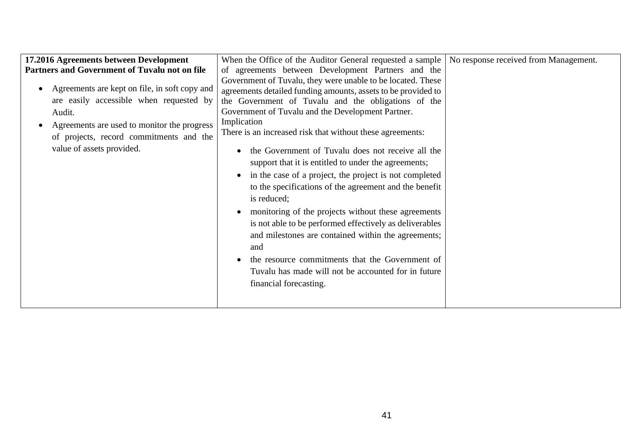| 17.2016 Agreements between Development                                                                                                                                                                                    | When the Office of the Auditor General requested a sample                                                                                                                                                                                                                                                                                                                                                                                                                                                                                                                                                                                                                                                                                                                                                                                                                                | No response received from Management. |
|---------------------------------------------------------------------------------------------------------------------------------------------------------------------------------------------------------------------------|------------------------------------------------------------------------------------------------------------------------------------------------------------------------------------------------------------------------------------------------------------------------------------------------------------------------------------------------------------------------------------------------------------------------------------------------------------------------------------------------------------------------------------------------------------------------------------------------------------------------------------------------------------------------------------------------------------------------------------------------------------------------------------------------------------------------------------------------------------------------------------------|---------------------------------------|
| Partners and Government of Tuvalu not on file                                                                                                                                                                             | of agreements between Development Partners and the                                                                                                                                                                                                                                                                                                                                                                                                                                                                                                                                                                                                                                                                                                                                                                                                                                       |                                       |
| Agreements are kept on file, in soft copy and<br>are easily accessible when requested by<br>Audit.<br>Agreements are used to monitor the progress<br>of projects, record commitments and the<br>value of assets provided. | Government of Tuvalu, they were unable to be located. These<br>agreements detailed funding amounts, assets to be provided to<br>the Government of Tuvalu and the obligations of the<br>Government of Tuvalu and the Development Partner.<br>Implication<br>There is an increased risk that without these agreements:<br>the Government of Tuvalu does not receive all the<br>support that it is entitled to under the agreements;<br>in the case of a project, the project is not completed<br>to the specifications of the agreement and the benefit<br>is reduced;<br>monitoring of the projects without these agreements<br>is not able to be performed effectively as deliverables<br>and milestones are contained within the agreements;<br>and<br>the resource commitments that the Government of<br>Tuvalu has made will not be accounted for in future<br>financial forecasting. |                                       |
|                                                                                                                                                                                                                           |                                                                                                                                                                                                                                                                                                                                                                                                                                                                                                                                                                                                                                                                                                                                                                                                                                                                                          |                                       |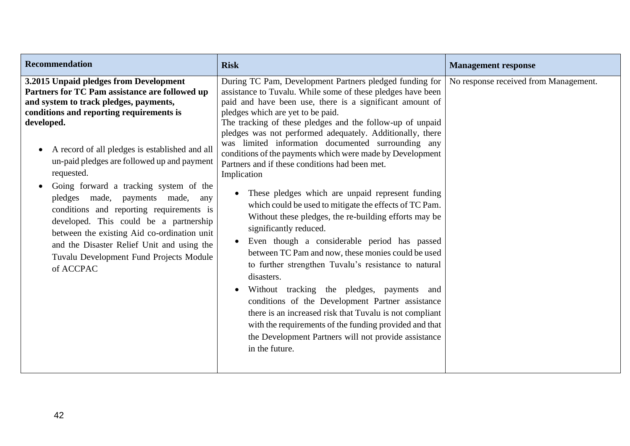| Recommendation                                                                                                                                                                                                                                                                                                                                                                                                                                                                                                                                                                                                                                       | <b>Risk</b>                                                                                                                                                                                                                                                                                                                                                                                                                                                                                                                                                                                                                                                                                                                                                                                                                                                                                                                                                                                                                                                                                                                                                                                                                      | <b>Management response</b>            |
|------------------------------------------------------------------------------------------------------------------------------------------------------------------------------------------------------------------------------------------------------------------------------------------------------------------------------------------------------------------------------------------------------------------------------------------------------------------------------------------------------------------------------------------------------------------------------------------------------------------------------------------------------|----------------------------------------------------------------------------------------------------------------------------------------------------------------------------------------------------------------------------------------------------------------------------------------------------------------------------------------------------------------------------------------------------------------------------------------------------------------------------------------------------------------------------------------------------------------------------------------------------------------------------------------------------------------------------------------------------------------------------------------------------------------------------------------------------------------------------------------------------------------------------------------------------------------------------------------------------------------------------------------------------------------------------------------------------------------------------------------------------------------------------------------------------------------------------------------------------------------------------------|---------------------------------------|
| 3.2015 Unpaid pledges from Development<br>Partners for TC Pam assistance are followed up<br>and system to track pledges, payments,<br>conditions and reporting requirements is<br>developed.<br>A record of all pledges is established and all<br>un-paid pledges are followed up and payment<br>requested.<br>Going forward a tracking system of the<br>$\bullet$<br>pledges made, payments made,<br>any<br>conditions and reporting requirements is<br>developed. This could be a partnership<br>between the existing Aid co-ordination unit<br>and the Disaster Relief Unit and using the<br>Tuvalu Development Fund Projects Module<br>of ACCPAC | During TC Pam, Development Partners pledged funding for<br>assistance to Tuvalu. While some of these pledges have been<br>paid and have been use, there is a significant amount of<br>pledges which are yet to be paid.<br>The tracking of these pledges and the follow-up of unpaid<br>pledges was not performed adequately. Additionally, there<br>was limited information documented surrounding any<br>conditions of the payments which were made by Development<br>Partners and if these conditions had been met.<br>Implication<br>These pledges which are unpaid represent funding<br>$\bullet$<br>which could be used to mitigate the effects of TC Pam.<br>Without these pledges, the re-building efforts may be<br>significantly reduced.<br>Even though a considerable period has passed<br>between TC Pam and now, these monies could be used<br>to further strengthen Tuvalu's resistance to natural<br>disasters.<br>Without tracking the pledges, payments and<br>conditions of the Development Partner assistance<br>there is an increased risk that Tuvalu is not compliant<br>with the requirements of the funding provided and that<br>the Development Partners will not provide assistance<br>in the future. | No response received from Management. |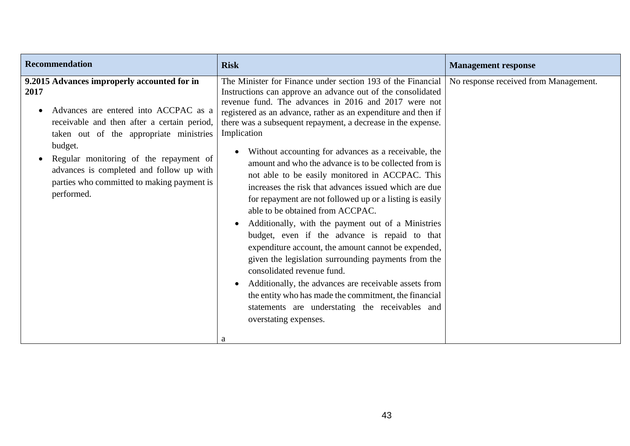| <b>Recommendation</b><br><b>Risk</b>                                                                                                                                                                                                                                                                                                                                                                                                                                                                                                                                                                                                                                                                                                                                                                                                                                                                                                                                                                                                                                                                                                                                                                                                                                                                                                                                                                                                                                          | <b>Management response</b>            |
|-------------------------------------------------------------------------------------------------------------------------------------------------------------------------------------------------------------------------------------------------------------------------------------------------------------------------------------------------------------------------------------------------------------------------------------------------------------------------------------------------------------------------------------------------------------------------------------------------------------------------------------------------------------------------------------------------------------------------------------------------------------------------------------------------------------------------------------------------------------------------------------------------------------------------------------------------------------------------------------------------------------------------------------------------------------------------------------------------------------------------------------------------------------------------------------------------------------------------------------------------------------------------------------------------------------------------------------------------------------------------------------------------------------------------------------------------------------------------------|---------------------------------------|
| 9.2015 Advances improperly accounted for in<br>The Minister for Finance under section 193 of the Financial<br>2017<br>Instructions can approve an advance out of the consolidated<br>revenue fund. The advances in 2016 and 2017 were not<br>Advances are entered into ACCPAC as a<br>registered as an advance, rather as an expenditure and then if<br>receivable and then after a certain period,<br>there was a subsequent repayment, a decrease in the expense.<br>Implication<br>taken out of the appropriate ministries<br>budget.<br>Without accounting for advances as a receivable, the<br>Regular monitoring of the repayment of<br>amount and who the advance is to be collected from is<br>advances is completed and follow up with<br>not able to be easily monitored in ACCPAC. This<br>parties who committed to making payment is<br>increases the risk that advances issued which are due<br>performed.<br>for repayment are not followed up or a listing is easily<br>able to be obtained from ACCPAC.<br>Additionally, with the payment out of a Ministries<br>budget, even if the advance is repaid to that<br>expenditure account, the amount cannot be expended,<br>given the legislation surrounding payments from the<br>consolidated revenue fund.<br>Additionally, the advances are receivable assets from<br>the entity who has made the commitment, the financial<br>statements are understating the receivables and<br>overstating expenses.<br>a | No response received from Management. |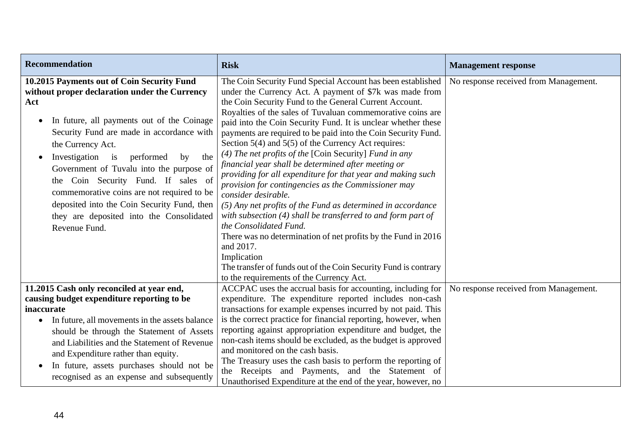| <b>Recommendation</b>                                                                                                                                                                                                                                                                                                                                                                                                                                                                                                       | <b>Risk</b>                                                                                                                                                                                                                                                                                                                                                                                                                                                                                                                                                                                                                                                                                                                                                                                                                                                                                                                                                                                                                                                                      | <b>Management response</b>            |
|-----------------------------------------------------------------------------------------------------------------------------------------------------------------------------------------------------------------------------------------------------------------------------------------------------------------------------------------------------------------------------------------------------------------------------------------------------------------------------------------------------------------------------|----------------------------------------------------------------------------------------------------------------------------------------------------------------------------------------------------------------------------------------------------------------------------------------------------------------------------------------------------------------------------------------------------------------------------------------------------------------------------------------------------------------------------------------------------------------------------------------------------------------------------------------------------------------------------------------------------------------------------------------------------------------------------------------------------------------------------------------------------------------------------------------------------------------------------------------------------------------------------------------------------------------------------------------------------------------------------------|---------------------------------------|
| 10.2015 Payments out of Coin Security Fund<br>without proper declaration under the Currency<br>Act<br>In future, all payments out of the Coinage<br>Security Fund are made in accordance with<br>the Currency Act.<br>Investigation<br>the<br>$\frac{1}{1}$<br>performed<br>by<br>Government of Tuvalu into the purpose of<br>the Coin Security Fund. If sales of<br>commemorative coins are not required to be<br>deposited into the Coin Security Fund, then<br>they are deposited into the Consolidated<br>Revenue Fund. | The Coin Security Fund Special Account has been established<br>under the Currency Act. A payment of \$7k was made from<br>the Coin Security Fund to the General Current Account.<br>Royalties of the sales of Tuvaluan commemorative coins are<br>paid into the Coin Security Fund. It is unclear whether these<br>payments are required to be paid into the Coin Security Fund.<br>Section $5(4)$ and $5(5)$ of the Currency Act requires:<br>(4) The net profits of the [Coin Security] Fund in any<br>financial year shall be determined after meeting or<br>providing for all expenditure for that year and making such<br>provision for contingencies as the Commissioner may<br>consider desirable.<br>$(5)$ Any net profits of the Fund as determined in accordance<br>with subsection (4) shall be transferred to and form part of<br>the Consolidated Fund.<br>There was no determination of net profits by the Fund in 2016<br>and 2017.<br>Implication<br>The transfer of funds out of the Coin Security Fund is contrary<br>to the requirements of the Currency Act. | No response received from Management. |
| 11.2015 Cash only reconciled at year end,                                                                                                                                                                                                                                                                                                                                                                                                                                                                                   | ACCPAC uses the accrual basis for accounting, including for                                                                                                                                                                                                                                                                                                                                                                                                                                                                                                                                                                                                                                                                                                                                                                                                                                                                                                                                                                                                                      | No response received from Management. |
| causing budget expenditure reporting to be<br>inaccurate<br>In future, all movements in the assets balance<br>$\bullet$<br>should be through the Statement of Assets<br>and Liabilities and the Statement of Revenue<br>and Expenditure rather than equity.<br>In future, assets purchases should not be<br>$\bullet$<br>recognised as an expense and subsequently                                                                                                                                                          | expenditure. The expenditure reported includes non-cash<br>transactions for example expenses incurred by not paid. This<br>is the correct practice for financial reporting, however, when<br>reporting against appropriation expenditure and budget, the<br>non-cash items should be excluded, as the budget is approved<br>and monitored on the cash basis.<br>The Treasury uses the cash basis to perform the reporting of<br>the Receipts and Payments, and the Statement of<br>Unauthorised Expenditure at the end of the year, however, no                                                                                                                                                                                                                                                                                                                                                                                                                                                                                                                                  |                                       |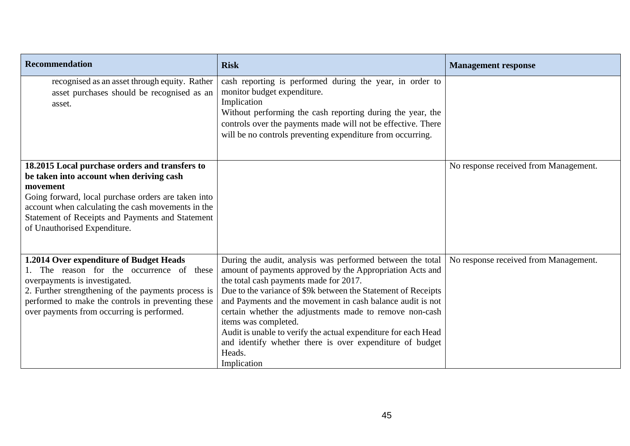| <b>Recommendation</b>                                                                                                                                                                                                                                                                                   | <b>Risk</b>                                                                                                                                                                                                                                                                                                                                                                                                                                                                                                                                | <b>Management response</b>            |
|---------------------------------------------------------------------------------------------------------------------------------------------------------------------------------------------------------------------------------------------------------------------------------------------------------|--------------------------------------------------------------------------------------------------------------------------------------------------------------------------------------------------------------------------------------------------------------------------------------------------------------------------------------------------------------------------------------------------------------------------------------------------------------------------------------------------------------------------------------------|---------------------------------------|
| recognised as an asset through equity. Rather<br>asset purchases should be recognised as an<br>asset.                                                                                                                                                                                                   | cash reporting is performed during the year, in order to<br>monitor budget expenditure.<br>Implication<br>Without performing the cash reporting during the year, the<br>controls over the payments made will not be effective. There<br>will be no controls preventing expenditure from occurring.                                                                                                                                                                                                                                         |                                       |
| 18.2015 Local purchase orders and transfers to<br>be taken into account when deriving cash<br>movement<br>Going forward, local purchase orders are taken into<br>account when calculating the cash movements in the<br>Statement of Receipts and Payments and Statement<br>of Unauthorised Expenditure. |                                                                                                                                                                                                                                                                                                                                                                                                                                                                                                                                            | No response received from Management. |
| 1.2014 Over expenditure of Budget Heads<br>1. The reason for the occurrence of these<br>overpayments is investigated.<br>2. Further strengthening of the payments process is<br>performed to make the controls in preventing these<br>over payments from occurring is performed.                        | During the audit, analysis was performed between the total<br>amount of payments approved by the Appropriation Acts and<br>the total cash payments made for 2017.<br>Due to the variance of \$9k between the Statement of Receipts<br>and Payments and the movement in cash balance audit is not<br>certain whether the adjustments made to remove non-cash<br>items was completed.<br>Audit is unable to verify the actual expenditure for each Head<br>and identify whether there is over expenditure of budget<br>Heads.<br>Implication | No response received from Management. |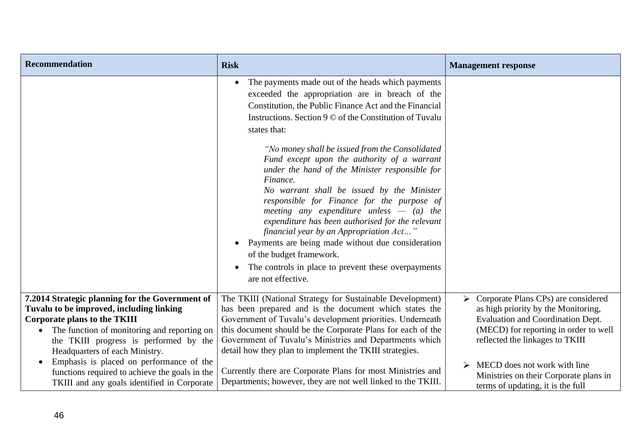| <b>Recommendation</b>                                                                                                                                                                                                                                                                                                  | <b>Risk</b>                                                                                                                                                                                                                                                                                                                                                                                                                                                                                                                                                                                                                                                                                                                                                                                                                    | <b>Management response</b>                                                                                                                                                                       |
|------------------------------------------------------------------------------------------------------------------------------------------------------------------------------------------------------------------------------------------------------------------------------------------------------------------------|--------------------------------------------------------------------------------------------------------------------------------------------------------------------------------------------------------------------------------------------------------------------------------------------------------------------------------------------------------------------------------------------------------------------------------------------------------------------------------------------------------------------------------------------------------------------------------------------------------------------------------------------------------------------------------------------------------------------------------------------------------------------------------------------------------------------------------|--------------------------------------------------------------------------------------------------------------------------------------------------------------------------------------------------|
|                                                                                                                                                                                                                                                                                                                        | The payments made out of the heads which payments<br>$\bullet$<br>exceeded the appropriation are in breach of the<br>Constitution, the Public Finance Act and the Financial<br>Instructions. Section 9 © of the Constitution of Tuvalu<br>states that:<br>"No money shall be issued from the Consolidated"<br>Fund except upon the authority of a warrant<br>under the hand of the Minister responsible for<br>Finance.<br>No warrant shall be issued by the Minister<br>responsible for Finance for the purpose of<br>meeting any expenditure unless $-$ (a) the<br>expenditure has been authorised for the relevant<br>financial year by an Appropriation Act"<br>Payments are being made without due consideration<br>of the budget framework.<br>The controls in place to prevent these overpayments<br>are not effective. |                                                                                                                                                                                                  |
| 7.2014 Strategic planning for the Government of<br>Tuvalu to be improved, including linking<br><b>Corporate plans to the TKIII</b><br>The function of monitoring and reporting on<br>$\bullet$<br>the TKIII progress is performed by the<br>Headquarters of each Ministry.<br>Emphasis is placed on performance of the | The TKIII (National Strategy for Sustainable Development)<br>has been prepared and is the document which states the<br>Government of Tuvalu's development priorities. Underneath<br>this document should be the Corporate Plans for each of the<br>Government of Tuvalu's Ministries and Departments which<br>detail how they plan to implement the TKIII strategies.                                                                                                                                                                                                                                                                                                                                                                                                                                                          | Corporate Plans CPs) are considered<br>➤<br>as high priority by the Monitoring,<br>Evaluation and Coordination Dept.<br>(MECD) for reporting in order to well<br>reflected the linkages to TKIII |
| functions required to achieve the goals in the<br>TKIII and any goals identified in Corporate                                                                                                                                                                                                                          | Currently there are Corporate Plans for most Ministries and<br>Departments; however, they are not well linked to the TKIII.                                                                                                                                                                                                                                                                                                                                                                                                                                                                                                                                                                                                                                                                                                    | MECD does not work with line<br>➤<br>Ministries on their Corporate plans in<br>terms of updating, it is the full                                                                                 |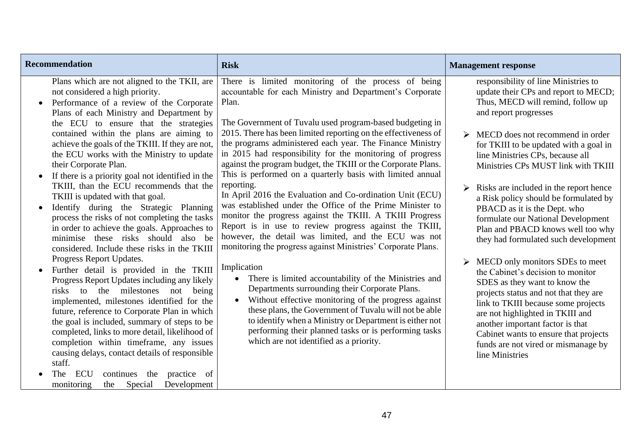| <b>Recommendation</b>                                                                                                                                                                                                                                                                                                                                                                                                                                                                                                                                                                                                                                                                                                                                                                                                                                                                                                                                                                                                                                                                                                                                                                                                                                                                                                                       | <b>Risk</b>                                                                                                                                                                                                                                                                                                                                                                                                                                                                                                                                                                                                                                                                                                                                                                                                                                                                                                                                                                                                                                                                                                                                                                                                                                                                                                                     | <b>Management response</b>                                                                                                                                                                                                                                                                                                                                                                                                                                                                                                                                                                                                                                                                                                                                                                                                                                                                                    |
|---------------------------------------------------------------------------------------------------------------------------------------------------------------------------------------------------------------------------------------------------------------------------------------------------------------------------------------------------------------------------------------------------------------------------------------------------------------------------------------------------------------------------------------------------------------------------------------------------------------------------------------------------------------------------------------------------------------------------------------------------------------------------------------------------------------------------------------------------------------------------------------------------------------------------------------------------------------------------------------------------------------------------------------------------------------------------------------------------------------------------------------------------------------------------------------------------------------------------------------------------------------------------------------------------------------------------------------------|---------------------------------------------------------------------------------------------------------------------------------------------------------------------------------------------------------------------------------------------------------------------------------------------------------------------------------------------------------------------------------------------------------------------------------------------------------------------------------------------------------------------------------------------------------------------------------------------------------------------------------------------------------------------------------------------------------------------------------------------------------------------------------------------------------------------------------------------------------------------------------------------------------------------------------------------------------------------------------------------------------------------------------------------------------------------------------------------------------------------------------------------------------------------------------------------------------------------------------------------------------------------------------------------------------------------------------|---------------------------------------------------------------------------------------------------------------------------------------------------------------------------------------------------------------------------------------------------------------------------------------------------------------------------------------------------------------------------------------------------------------------------------------------------------------------------------------------------------------------------------------------------------------------------------------------------------------------------------------------------------------------------------------------------------------------------------------------------------------------------------------------------------------------------------------------------------------------------------------------------------------|
| Plans which are not aligned to the TKII, are<br>not considered a high priority.<br>Performance of a review of the Corporate<br>Plans of each Ministry and Department by<br>the ECU to ensure that the strategies<br>contained within the plans are aiming to<br>achieve the goals of the TKIII. If they are not,<br>the ECU works with the Ministry to update<br>their Corporate Plan.<br>If there is a priority goal not identified in the<br>TKIII, than the ECU recommends that the<br>TKIII is updated with that goal.<br>Identify during the Strategic Planning<br>process the risks of not completing the tasks<br>in order to achieve the goals. Approaches to<br>minimise these risks should also be<br>considered. Include these risks in the TKIII<br>Progress Report Updates.<br>Further detail is provided in the TKIII<br>Progress Report Updates including any likely<br>milestones<br>the<br>risks<br>to<br>not<br>being<br>implemented, milestones identified for the<br>future, reference to Corporate Plan in which<br>the goal is included, summary of steps to be<br>completed, links to more detail, likelihood of<br>completion within timeframe, any issues<br>causing delays, contact details of responsible<br>staff.<br>ECU<br>continues the<br>practice of<br>The<br>Development<br>Special<br>monitoring<br>the | There is limited monitoring of the process of being<br>accountable for each Ministry and Department's Corporate<br>Plan.<br>The Government of Tuvalu used program-based budgeting in<br>2015. There has been limited reporting on the effectiveness of<br>the programs administered each year. The Finance Ministry<br>in 2015 had responsibility for the monitoring of progress<br>against the program budget, the TKIII or the Corporate Plans.<br>This is performed on a quarterly basis with limited annual<br>reporting.<br>In April 2016 the Evaluation and Co-ordination Unit (ECU)<br>was established under the Office of the Prime Minister to<br>monitor the progress against the TKIII. A TKIII Progress<br>Report is in use to review progress against the TKIII,<br>however, the detail was limited, and the ECU was not<br>monitoring the progress against Ministries' Corporate Plans.<br>Implication<br>• There is limited accountability of the Ministries and<br>Departments surrounding their Corporate Plans.<br>Without effective monitoring of the progress against<br>$\bullet$<br>these plans, the Government of Tuvalu will not be able<br>to identify when a Ministry or Department is either not<br>performing their planned tasks or is performing tasks<br>which are not identified as a priority. | responsibility of line Ministries to<br>update their CPs and report to MECD;<br>Thus, MECD will remind, follow up<br>and report progresses<br>MECD does not recommend in order<br>for TKIII to be updated with a goal in<br>line Ministries CPs, because all<br>Ministries CPs MUST link with TKIII<br>Risks are included in the report hence<br>a Risk policy should be formulated by<br>PBACD as it is the Dept. who<br>formulate our National Development<br>Plan and PBACD knows well too why<br>they had formulated such development<br>MECD only monitors SDEs to meet<br>the Cabinet's decision to monitor<br>SDES as they want to know the<br>projects status and not that they are<br>link to TKIII because some projects<br>are not highlighted in TKIII and<br>another important factor is that<br>Cabinet wants to ensure that projects<br>funds are not vired or mismanage by<br>line Ministries |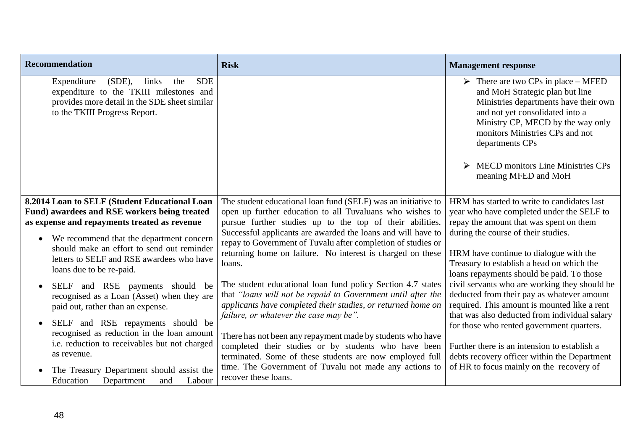| <b>Recommendation</b>                                                                                                                                                               | <b>Risk</b>                                                                                                                                                                                                                           | <b>Management response</b>                                                                                                                                                                                                                                                                                                       |
|-------------------------------------------------------------------------------------------------------------------------------------------------------------------------------------|---------------------------------------------------------------------------------------------------------------------------------------------------------------------------------------------------------------------------------------|----------------------------------------------------------------------------------------------------------------------------------------------------------------------------------------------------------------------------------------------------------------------------------------------------------------------------------|
| $(SDE)$ ,<br><b>SDE</b><br>Expenditure<br>links<br>the<br>expenditure to the TKIII milestones and<br>provides more detail in the SDE sheet similar<br>to the TKIII Progress Report. |                                                                                                                                                                                                                                       | $\triangleright$ There are two CPs in place – MFED<br>and MoH Strategic plan but line<br>Ministries departments have their own<br>and not yet consolidated into a<br>Ministry CP, MECD by the way only<br>monitors Ministries CPs and not<br>departments CPs<br><b>MECD</b> monitors Line Ministries CPs<br>meaning MFED and MoH |
| 8.2014 Loan to SELF (Student Educational Loan                                                                                                                                       | The student educational loan fund (SELF) was an initiative to                                                                                                                                                                         | HRM has started to write to candidates last                                                                                                                                                                                                                                                                                      |
| Fund) awardees and RSE workers being treated                                                                                                                                        | open up further education to all Tuvaluans who wishes to                                                                                                                                                                              | year who have completed under the SELF to                                                                                                                                                                                                                                                                                        |
| as expense and repayments treated as revenue                                                                                                                                        | pursue further studies up to the top of their abilities.                                                                                                                                                                              | repay the amount that was spent on them                                                                                                                                                                                                                                                                                          |
| We recommend that the department concern<br>$\bullet$<br>should make an effort to send out reminder<br>letters to SELF and RSE awardees who have                                    | Successful applicants are awarded the loans and will have to<br>repay to Government of Tuvalu after completion of studies or<br>returning home on failure. No interest is charged on these<br>loans.                                  | during the course of their studies.<br>HRM have continue to dialogue with the<br>Treasury to establish a head on which the                                                                                                                                                                                                       |
| loans due to be re-paid.                                                                                                                                                            |                                                                                                                                                                                                                                       | loans repayments should be paid. To those                                                                                                                                                                                                                                                                                        |
| SELF and RSE payments should be<br>$\bullet$<br>recognised as a Loan (Asset) when they are<br>paid out, rather than an expense.                                                     | The student educational loan fund policy Section 4.7 states<br>that "loans will not be repaid to Government until after the<br>applicants have completed their studies, or returned home on<br>failure, or whatever the case may be". | civil servants who are working they should be<br>deducted from their pay as whatever amount<br>required. This amount is mounted like a rent<br>that was also deducted from individual salary                                                                                                                                     |
| SELF and RSE repayments should be<br>$\bullet$                                                                                                                                      |                                                                                                                                                                                                                                       | for those who rented government quarters.                                                                                                                                                                                                                                                                                        |
| recognised as reduction in the loan amount<br>i.e. reduction to receivables but not charged<br>as revenue.                                                                          | There has not been any repayment made by students who have<br>completed their studies or by students who have been<br>terminated. Some of these students are now employed full                                                        | Further there is an intension to establish a<br>debts recovery officer within the Department                                                                                                                                                                                                                                     |
| The Treasury Department should assist the<br>Education<br>Department<br>Labour<br>and                                                                                               | time. The Government of Tuvalu not made any actions to<br>recover these loans.                                                                                                                                                        | of HR to focus mainly on the recovery of                                                                                                                                                                                                                                                                                         |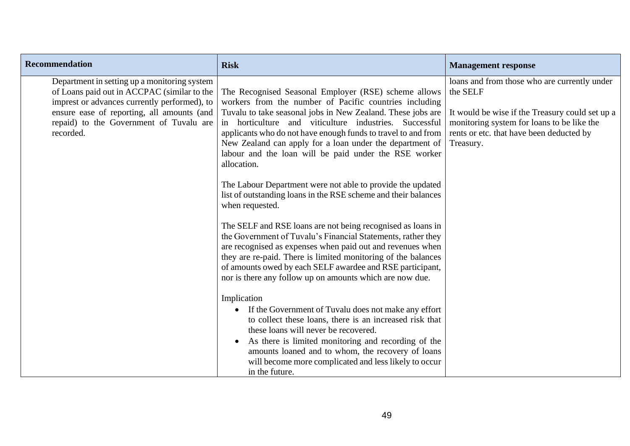| <b>Recommendation</b>                                                                                                                                                                                                                             | <b>Risk</b>                                                                                                                                                                                                                                                                                                                                                                                                                                                                                                                                                                                                                                                                                                                                                                                                                                                                                                                                                                                                                                                                                                                                                                                                                                                                                                                                                             | <b>Management response</b>                                                                                                                                                                                         |
|---------------------------------------------------------------------------------------------------------------------------------------------------------------------------------------------------------------------------------------------------|-------------------------------------------------------------------------------------------------------------------------------------------------------------------------------------------------------------------------------------------------------------------------------------------------------------------------------------------------------------------------------------------------------------------------------------------------------------------------------------------------------------------------------------------------------------------------------------------------------------------------------------------------------------------------------------------------------------------------------------------------------------------------------------------------------------------------------------------------------------------------------------------------------------------------------------------------------------------------------------------------------------------------------------------------------------------------------------------------------------------------------------------------------------------------------------------------------------------------------------------------------------------------------------------------------------------------------------------------------------------------|--------------------------------------------------------------------------------------------------------------------------------------------------------------------------------------------------------------------|
| Department in setting up a monitoring system<br>of Loans paid out in ACCPAC (similar to the<br>imprest or advances currently performed), to<br>ensure ease of reporting, all amounts (and<br>repaid) to the Government of Tuvalu are<br>recorded. | The Recognised Seasonal Employer (RSE) scheme allows<br>workers from the number of Pacific countries including<br>Tuvalu to take seasonal jobs in New Zealand. These jobs are<br>horticulture and viticulture industries. Successful<br>in<br>applicants who do not have enough funds to travel to and from<br>New Zealand can apply for a loan under the department of<br>labour and the loan will be paid under the RSE worker<br>allocation.<br>The Labour Department were not able to provide the updated<br>list of outstanding loans in the RSE scheme and their balances<br>when requested.<br>The SELF and RSE loans are not being recognised as loans in<br>the Government of Tuvalu's Financial Statements, rather they<br>are recognised as expenses when paid out and revenues when<br>they are re-paid. There is limited monitoring of the balances<br>of amounts owed by each SELF awardee and RSE participant,<br>nor is there any follow up on amounts which are now due.<br>Implication<br>If the Government of Tuvalu does not make any effort<br>to collect these loans, there is an increased risk that<br>these loans will never be recovered.<br>As there is limited monitoring and recording of the<br>$\bullet$<br>amounts loaned and to whom, the recovery of loans<br>will become more complicated and less likely to occur<br>in the future. | loans and from those who are currently under<br>the SELF<br>It would be wise if the Treasury could set up a<br>monitoring system for loans to be like the<br>rents or etc. that have been deducted by<br>Treasury. |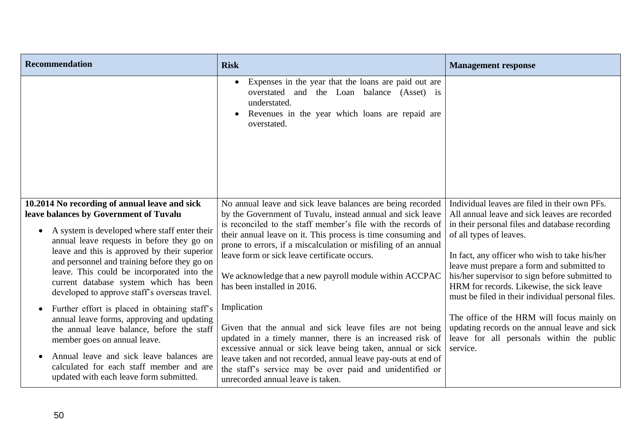| <b>Recommendation</b>                                                                                                                                                                                                                                                                                                                                                                                                                        | <b>Risk</b>                                                                                                                                                                                                                                                                                                                                                                                                                                                         | <b>Management response</b>                                                                                                                                                                                                                                                                                                                                                                                                     |
|----------------------------------------------------------------------------------------------------------------------------------------------------------------------------------------------------------------------------------------------------------------------------------------------------------------------------------------------------------------------------------------------------------------------------------------------|---------------------------------------------------------------------------------------------------------------------------------------------------------------------------------------------------------------------------------------------------------------------------------------------------------------------------------------------------------------------------------------------------------------------------------------------------------------------|--------------------------------------------------------------------------------------------------------------------------------------------------------------------------------------------------------------------------------------------------------------------------------------------------------------------------------------------------------------------------------------------------------------------------------|
|                                                                                                                                                                                                                                                                                                                                                                                                                                              | Expenses in the year that the loans are paid out are<br>$\bullet$<br>overstated and the Loan balance (Asset) is<br>understated.<br>Revenues in the year which loans are repaid are<br>overstated.                                                                                                                                                                                                                                                                   |                                                                                                                                                                                                                                                                                                                                                                                                                                |
| 10.2014 No recording of annual leave and sick<br>leave balances by Government of Tuvalu<br>A system is developed where staff enter their<br>$\bullet$<br>annual leave requests in before they go on<br>leave and this is approved by their superior<br>and personnel and training before they go on<br>leave. This could be incorporated into the<br>current database system which has been<br>developed to approve staff's overseas travel. | No annual leave and sick leave balances are being recorded<br>by the Government of Tuvalu, instead annual and sick leave<br>is reconciled to the staff member's file with the records of<br>their annual leave on it. This process is time consuming and<br>prone to errors, if a miscalculation or misfiling of an annual<br>leave form or sick leave certificate occurs.<br>We acknowledge that a new payroll module within ACCPAC<br>has been installed in 2016. | Individual leaves are filed in their own PFs.<br>All annual leave and sick leaves are recorded<br>in their personal files and database recording<br>of all types of leaves.<br>In fact, any officer who wish to take his/her<br>leave must prepare a form and submitted to<br>his/her supervisor to sign before submitted to<br>HRM for records. Likewise, the sick leave<br>must be filed in their individual personal files. |
| Further effort is placed in obtaining staff's<br>$\bullet$<br>annual leave forms, approving and updating<br>the annual leave balance, before the staff<br>member goes on annual leave.<br>Annual leave and sick leave balances are<br>calculated for each staff member and are<br>updated with each leave form submitted.                                                                                                                    | Implication<br>Given that the annual and sick leave files are not being<br>updated in a timely manner, there is an increased risk of<br>excessive annual or sick leave being taken, annual or sick<br>leave taken and not recorded, annual leave pay-outs at end of<br>the staff's service may be over paid and unidentified or<br>unrecorded annual leave is taken.                                                                                                | The office of the HRM will focus mainly on<br>updating records on the annual leave and sick<br>leave for all personals within the public<br>service.                                                                                                                                                                                                                                                                           |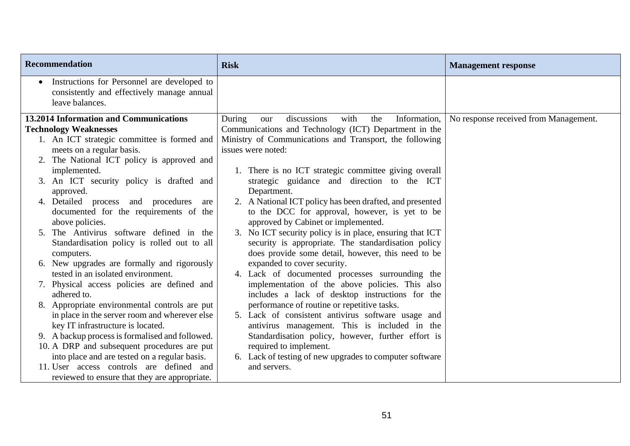| <b>Recommendation</b>                                                                                                     | <b>Risk</b>                                                                                                | <b>Management response</b>            |
|---------------------------------------------------------------------------------------------------------------------------|------------------------------------------------------------------------------------------------------------|---------------------------------------|
| Instructions for Personnel are developed to<br>$\bullet$<br>consistently and effectively manage annual<br>leave balances. |                                                                                                            |                                       |
| 13.2014 Information and Communications                                                                                    | Information,<br>During<br>discussions<br>with<br>the<br>our                                                | No response received from Management. |
| <b>Technology Weaknesses</b>                                                                                              | Communications and Technology (ICT) Department in the                                                      |                                       |
| 1. An ICT strategic committee is formed and                                                                               | Ministry of Communications and Transport, the following                                                    |                                       |
| meets on a regular basis.                                                                                                 | issues were noted:                                                                                         |                                       |
| 2. The National ICT policy is approved and                                                                                |                                                                                                            |                                       |
| implemented.                                                                                                              | 1. There is no ICT strategic committee giving overall                                                      |                                       |
| 3. An ICT security policy is drafted and                                                                                  | strategic guidance and direction to the ICT                                                                |                                       |
| approved.                                                                                                                 | Department.                                                                                                |                                       |
| 4. Detailed process and procedures<br>are<br>documented for the requirements of the                                       | 2. A National ICT policy has been drafted, and presented<br>to the DCC for approval, however, is yet to be |                                       |
| above policies.                                                                                                           | approved by Cabinet or implemented.                                                                        |                                       |
| 5. The Antivirus software defined in the                                                                                  | 3. No ICT security policy is in place, ensuring that ICT                                                   |                                       |
| Standardisation policy is rolled out to all                                                                               | security is appropriate. The standardisation policy                                                        |                                       |
| computers.                                                                                                                | does provide some detail, however, this need to be                                                         |                                       |
| 6. New upgrades are formally and rigorously                                                                               | expanded to cover security.                                                                                |                                       |
| tested in an isolated environment.                                                                                        | 4. Lack of documented processes surrounding the                                                            |                                       |
| 7. Physical access policies are defined and                                                                               | implementation of the above policies. This also                                                            |                                       |
| adhered to.                                                                                                               | includes a lack of desktop instructions for the                                                            |                                       |
| 8. Appropriate environmental controls are put                                                                             | performance of routine or repetitive tasks.                                                                |                                       |
| in place in the server room and wherever else                                                                             | 5. Lack of consistent antivirus software usage and                                                         |                                       |
| key IT infrastructure is located.                                                                                         | antivirus management. This is included in the                                                              |                                       |
| 9. A backup process is formalised and followed.                                                                           | Standardisation policy, however, further effort is                                                         |                                       |
| 10. A DRP and subsequent procedures are put                                                                               | required to implement.                                                                                     |                                       |
| into place and are tested on a regular basis.<br>11. User access controls are defined and                                 | 6. Lack of testing of new upgrades to computer software<br>and servers.                                    |                                       |
| reviewed to ensure that they are appropriate.                                                                             |                                                                                                            |                                       |
|                                                                                                                           |                                                                                                            |                                       |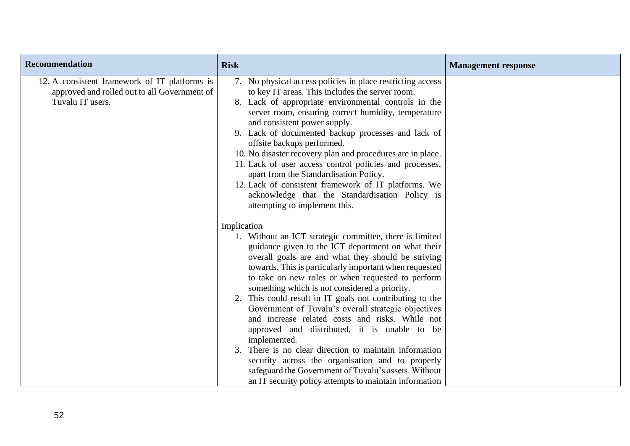| Recommendation                                                                                                    | <b>Risk</b>                                                                                                                                                                                                                                                                                                                                                                                                                                                                                                                                                                                                                                                                                                                                                                                                              | <b>Management response</b> |
|-------------------------------------------------------------------------------------------------------------------|--------------------------------------------------------------------------------------------------------------------------------------------------------------------------------------------------------------------------------------------------------------------------------------------------------------------------------------------------------------------------------------------------------------------------------------------------------------------------------------------------------------------------------------------------------------------------------------------------------------------------------------------------------------------------------------------------------------------------------------------------------------------------------------------------------------------------|----------------------------|
| 12. A consistent framework of IT platforms is<br>approved and rolled out to all Government of<br>Tuvalu IT users. | 7. No physical access policies in place restricting access<br>to key IT areas. This includes the server room.<br>8. Lack of appropriate environmental controls in the<br>server room, ensuring correct humidity, temperature<br>and consistent power supply.<br>9. Lack of documented backup processes and lack of<br>offsite backups performed.<br>10. No disaster recovery plan and procedures are in place.<br>11. Lack of user access control policies and processes,<br>apart from the Standardisation Policy.<br>12. Lack of consistent framework of IT platforms. We<br>acknowledge that the Standardisation Policy is<br>attempting to implement this.                                                                                                                                                           |                            |
|                                                                                                                   | Implication<br>1. Without an ICT strategic committee, there is limited<br>guidance given to the ICT department on what their<br>overall goals are and what they should be striving<br>towards. This is particularly important when requested<br>to take on new roles or when requested to perform<br>something which is not considered a priority.<br>2. This could result in IT goals not contributing to the<br>Government of Tuvalu's overall strategic objectives<br>and increase related costs and risks. While not<br>approved and distributed, it is unable to be<br>implemented.<br>3. There is no clear direction to maintain information<br>security across the organisation and to properly<br>safeguard the Government of Tuvalu's assets. Without<br>an IT security policy attempts to maintain information |                            |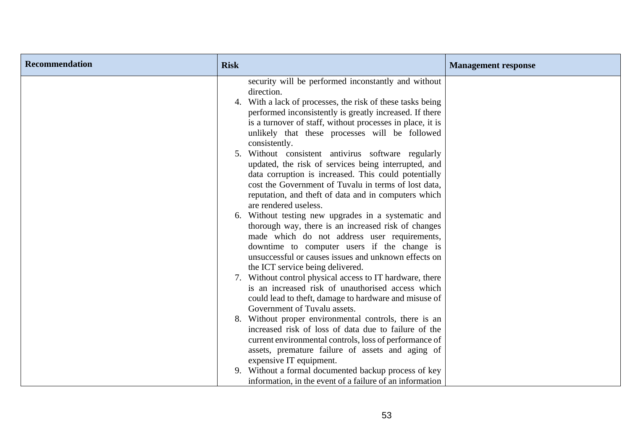| <b>Recommendation</b> | <b>Risk</b> |                                                                                                                                                                                                                                                         | <b>Management response</b> |
|-----------------------|-------------|---------------------------------------------------------------------------------------------------------------------------------------------------------------------------------------------------------------------------------------------------------|----------------------------|
|                       |             | security will be performed inconstantly and without<br>direction.<br>4. With a lack of processes, the risk of these tasks being<br>performed inconsistently is greatly increased. If there<br>is a turnover of staff, without processes in place, it is |                            |
|                       |             | unlikely that these processes will be followed<br>consistently.<br>5. Without consistent antivirus software regularly                                                                                                                                   |                            |
|                       |             | updated, the risk of services being interrupted, and<br>data corruption is increased. This could potentially<br>cost the Government of Tuvalu in terms of lost data,                                                                                    |                            |
|                       |             | reputation, and theft of data and in computers which<br>are rendered useless.<br>6. Without testing new upgrades in a systematic and<br>thorough way, there is an increased risk of changes                                                             |                            |
|                       |             | made which do not address user requirements,<br>downtime to computer users if the change is<br>unsuccessful or causes issues and unknown effects on<br>the ICT service being delivered.                                                                 |                            |
|                       |             | 7. Without control physical access to IT hardware, there<br>is an increased risk of unauthorised access which<br>could lead to theft, damage to hardware and misuse of                                                                                  |                            |
|                       |             | Government of Tuvalu assets.<br>8. Without proper environmental controls, there is an<br>increased risk of loss of data due to failure of the<br>current environmental controls, loss of performance of                                                 |                            |
|                       |             | assets, premature failure of assets and aging of<br>expensive IT equipment.<br>9. Without a formal documented backup process of key                                                                                                                     |                            |
|                       |             | information, in the event of a failure of an information                                                                                                                                                                                                |                            |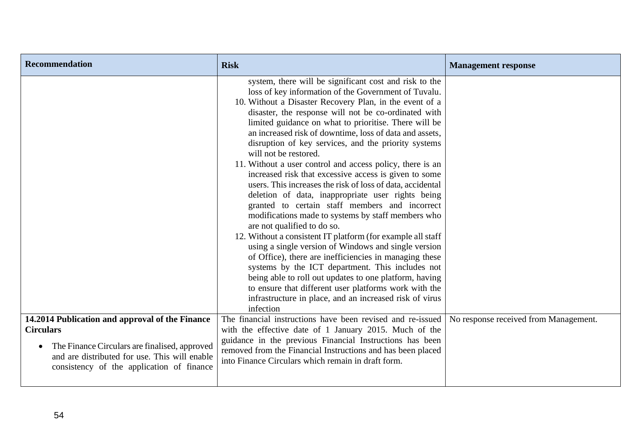| <b>Recommendation</b>                                                                                                                                                                                                           | <b>Risk</b>                                                                                                                                                                                                                                                                                                                                                                                                                                                                                                                                                                                                                                                                                                                                                                                                                                                                                                                                                                                                                                                                                                                                                                                                                                            | <b>Management response</b>            |
|---------------------------------------------------------------------------------------------------------------------------------------------------------------------------------------------------------------------------------|--------------------------------------------------------------------------------------------------------------------------------------------------------------------------------------------------------------------------------------------------------------------------------------------------------------------------------------------------------------------------------------------------------------------------------------------------------------------------------------------------------------------------------------------------------------------------------------------------------------------------------------------------------------------------------------------------------------------------------------------------------------------------------------------------------------------------------------------------------------------------------------------------------------------------------------------------------------------------------------------------------------------------------------------------------------------------------------------------------------------------------------------------------------------------------------------------------------------------------------------------------|---------------------------------------|
|                                                                                                                                                                                                                                 | system, there will be significant cost and risk to the<br>loss of key information of the Government of Tuvalu.<br>10. Without a Disaster Recovery Plan, in the event of a<br>disaster, the response will not be co-ordinated with<br>limited guidance on what to prioritise. There will be<br>an increased risk of downtime, loss of data and assets,<br>disruption of key services, and the priority systems<br>will not be restored.<br>11. Without a user control and access policy, there is an<br>increased risk that excessive access is given to some<br>users. This increases the risk of loss of data, accidental<br>deletion of data, inappropriate user rights being<br>granted to certain staff members and incorrect<br>modifications made to systems by staff members who<br>are not qualified to do so.<br>12. Without a consistent IT platform (for example all staff<br>using a single version of Windows and single version<br>of Office), there are inefficiencies in managing these<br>systems by the ICT department. This includes not<br>being able to roll out updates to one platform, having<br>to ensure that different user platforms work with the<br>infrastructure in place, and an increased risk of virus<br>infection |                                       |
| 14.2014 Publication and approval of the Finance<br><b>Circulars</b><br>The Finance Circulars are finalised, approved<br>$\bullet$<br>and are distributed for use. This will enable<br>consistency of the application of finance | The financial instructions have been revised and re-issued<br>with the effective date of 1 January 2015. Much of the<br>guidance in the previous Financial Instructions has been<br>removed from the Financial Instructions and has been placed<br>into Finance Circulars which remain in draft form.                                                                                                                                                                                                                                                                                                                                                                                                                                                                                                                                                                                                                                                                                                                                                                                                                                                                                                                                                  | No response received from Management. |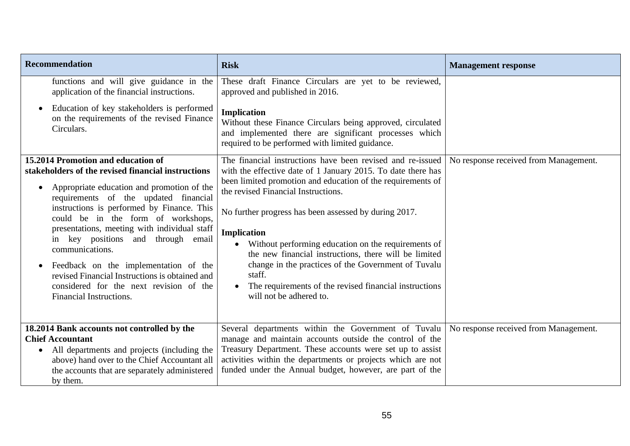| <b>Recommendation</b>                                                                                                                                                                                                                                                                                                                                                                                                                                                                                                                                                   | <b>Risk</b>                                                                                                                                                                                                                                                                                                                                                                                                                                                                                                                                                                    | <b>Management response</b>            |
|-------------------------------------------------------------------------------------------------------------------------------------------------------------------------------------------------------------------------------------------------------------------------------------------------------------------------------------------------------------------------------------------------------------------------------------------------------------------------------------------------------------------------------------------------------------------------|--------------------------------------------------------------------------------------------------------------------------------------------------------------------------------------------------------------------------------------------------------------------------------------------------------------------------------------------------------------------------------------------------------------------------------------------------------------------------------------------------------------------------------------------------------------------------------|---------------------------------------|
| functions and will give guidance in the<br>application of the financial instructions.                                                                                                                                                                                                                                                                                                                                                                                                                                                                                   | These draft Finance Circulars are yet to be reviewed,<br>approved and published in 2016.                                                                                                                                                                                                                                                                                                                                                                                                                                                                                       |                                       |
| Education of key stakeholders is performed<br>$\bullet$<br>on the requirements of the revised Finance<br>Circulars.                                                                                                                                                                                                                                                                                                                                                                                                                                                     | <b>Implication</b><br>Without these Finance Circulars being approved, circulated<br>and implemented there are significant processes which<br>required to be performed with limited guidance.                                                                                                                                                                                                                                                                                                                                                                                   |                                       |
| 15.2014 Promotion and education of<br>stakeholders of the revised financial instructions<br>Appropriate education and promotion of the<br>$\bullet$<br>requirements of the updated financial<br>instructions is performed by Finance. This<br>could be in the form of workshops,<br>presentations, meeting with individual staff<br>in key positions and through email<br>communications.<br>Feedback on the implementation of the<br>$\bullet$<br>revised Financial Instructions is obtained and<br>considered for the next revision of the<br>Financial Instructions. | The financial instructions have been revised and re-issued<br>with the effective date of 1 January 2015. To date there has<br>been limited promotion and education of the requirements of<br>the revised Financial Instructions.<br>No further progress has been assessed by during 2017.<br>Implication<br>Without performing education on the requirements of<br>the new financial instructions, there will be limited<br>change in the practices of the Government of Tuvalu<br>staff.<br>The requirements of the revised financial instructions<br>will not be adhered to. | No response received from Management. |
| 18.2014 Bank accounts not controlled by the<br><b>Chief Accountant</b><br>All departments and projects (including the<br>$\bullet$<br>above) hand over to the Chief Accountant all<br>the accounts that are separately administered<br>by them.                                                                                                                                                                                                                                                                                                                         | Several departments within the Government of Tuvalu<br>manage and maintain accounts outside the control of the<br>Treasury Department. These accounts were set up to assist<br>activities within the departments or projects which are not<br>funded under the Annual budget, however, are part of the                                                                                                                                                                                                                                                                         | No response received from Management. |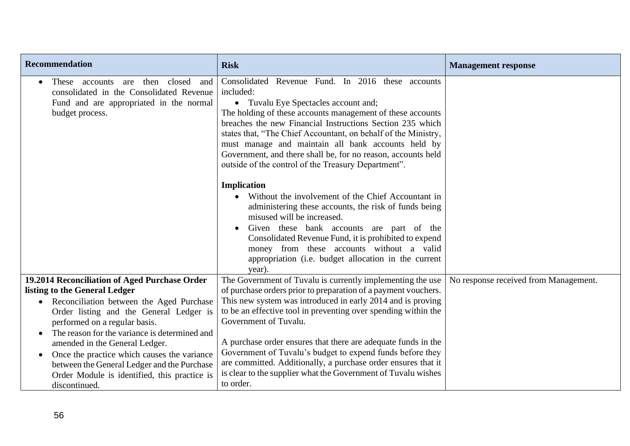| <b>Recommendation</b>                                                                                                                                                                                                                                                                                                                                                                            | <b>Risk</b>                                                                                                                                                                                                                                                                                                                                                                                                                                                                                                                                                                                                                                                                                                                                                                                                                                                                         | <b>Management response</b>            |
|--------------------------------------------------------------------------------------------------------------------------------------------------------------------------------------------------------------------------------------------------------------------------------------------------------------------------------------------------------------------------------------------------|-------------------------------------------------------------------------------------------------------------------------------------------------------------------------------------------------------------------------------------------------------------------------------------------------------------------------------------------------------------------------------------------------------------------------------------------------------------------------------------------------------------------------------------------------------------------------------------------------------------------------------------------------------------------------------------------------------------------------------------------------------------------------------------------------------------------------------------------------------------------------------------|---------------------------------------|
| then<br>closed<br>These accounts<br>are<br>and<br>$\bullet$<br>consolidated in the Consolidated Revenue<br>Fund and are appropriated in the normal<br>budget process.                                                                                                                                                                                                                            | Consolidated Revenue Fund. In 2016 these accounts<br>included:<br>Tuvalu Eye Spectacles account and;<br>$\bullet$<br>The holding of these accounts management of these accounts<br>breaches the new Financial Instructions Section 235 which<br>states that, "The Chief Accountant, on behalf of the Ministry,<br>must manage and maintain all bank accounts held by<br>Government, and there shall be, for no reason, accounts held<br>outside of the control of the Treasury Department".<br><b>Implication</b><br>Without the involvement of the Chief Accountant in<br>administering these accounts, the risk of funds being<br>misused will be increased.<br>Given these bank accounts are part of the<br>Consolidated Revenue Fund, it is prohibited to expend<br>money from these accounts without a valid<br>appropriation (i.e. budget allocation in the current<br>year). |                                       |
| 19.2014 Reconciliation of Aged Purchase Order<br>listing to the General Ledger                                                                                                                                                                                                                                                                                                                   | The Government of Tuvalu is currently implementing the use<br>of purchase orders prior to preparation of a payment vouchers.                                                                                                                                                                                                                                                                                                                                                                                                                                                                                                                                                                                                                                                                                                                                                        | No response received from Management. |
| Reconciliation between the Aged Purchase<br>$\bullet$<br>Order listing and the General Ledger is<br>performed on a regular basis.<br>The reason for the variance is determined and<br>amended in the General Ledger.<br>Once the practice which causes the variance<br>$\bullet$<br>between the General Ledger and the Purchase<br>Order Module is identified, this practice is<br>discontinued. | This new system was introduced in early 2014 and is proving<br>to be an effective tool in preventing over spending within the<br>Government of Tuvalu.<br>A purchase order ensures that there are adequate funds in the<br>Government of Tuvalu's budget to expend funds before they<br>are committed. Additionally, a purchase order ensures that it<br>is clear to the supplier what the Government of Tuvalu wishes<br>to order.                                                                                                                                                                                                                                                                                                                                                                                                                                                 |                                       |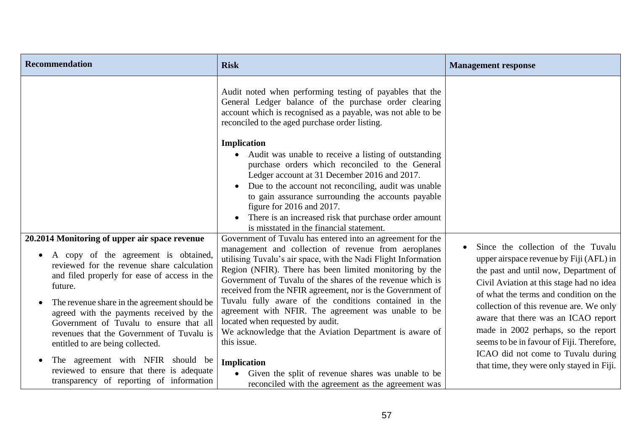| <b>Recommendation</b>                                                                                                                                                                                                                                                                                                                                                                                                                                                                                                                                             | <b>Risk</b>                                                                                                                                                                                                                                                                                                                                                                                                                                                                                                                                                                                                                                                                                                                                              | <b>Management response</b>                                                                                                                                                                                                                                                                                                                                                                                                                                            |
|-------------------------------------------------------------------------------------------------------------------------------------------------------------------------------------------------------------------------------------------------------------------------------------------------------------------------------------------------------------------------------------------------------------------------------------------------------------------------------------------------------------------------------------------------------------------|----------------------------------------------------------------------------------------------------------------------------------------------------------------------------------------------------------------------------------------------------------------------------------------------------------------------------------------------------------------------------------------------------------------------------------------------------------------------------------------------------------------------------------------------------------------------------------------------------------------------------------------------------------------------------------------------------------------------------------------------------------|-----------------------------------------------------------------------------------------------------------------------------------------------------------------------------------------------------------------------------------------------------------------------------------------------------------------------------------------------------------------------------------------------------------------------------------------------------------------------|
|                                                                                                                                                                                                                                                                                                                                                                                                                                                                                                                                                                   | Audit noted when performing testing of payables that the<br>General Ledger balance of the purchase order clearing<br>account which is recognised as a payable, was not able to be<br>reconciled to the aged purchase order listing.<br><b>Implication</b><br>Audit was unable to receive a listing of outstanding<br>purchase orders which reconciled to the General<br>Ledger account at 31 December 2016 and 2017.<br>Due to the account not reconciling, audit was unable<br>to gain assurance surrounding the accounts payable<br>figure for 2016 and 2017.<br>There is an increased risk that purchase order amount<br>$\bullet$<br>is misstated in the financial statement.                                                                        |                                                                                                                                                                                                                                                                                                                                                                                                                                                                       |
| 20.2014 Monitoring of upper air space revenue<br>A copy of the agreement is obtained,<br>reviewed for the revenue share calculation<br>and filed properly for ease of access in the<br>future.<br>The revenue share in the agreement should be<br>$\bullet$<br>agreed with the payments received by the<br>Government of Tuvalu to ensure that all<br>revenues that the Government of Tuvalu is<br>entitled to are being collected.<br>The agreement with NFIR should be<br>reviewed to ensure that there is adequate<br>transparency of reporting of information | Government of Tuvalu has entered into an agreement for the<br>management and collection of revenue from aeroplanes<br>utilising Tuvalu's air space, with the Nadi Flight Information<br>Region (NFIR). There has been limited monitoring by the<br>Government of Tuvalu of the shares of the revenue which is<br>received from the NFIR agreement, nor is the Government of<br>Tuvalu fully aware of the conditions contained in the<br>agreement with NFIR. The agreement was unable to be<br>located when requested by audit.<br>We acknowledge that the Aviation Department is aware of<br>this issue.<br><b>Implication</b><br>Given the split of revenue shares was unable to be<br>$\bullet$<br>reconciled with the agreement as the agreement was | Since the collection of the Tuvalu<br>upper airspace revenue by Fiji (AFL) in<br>the past and until now, Department of<br>Civil Aviation at this stage had no idea<br>of what the terms and condition on the<br>collection of this revenue are. We only<br>aware that there was an ICAO report<br>made in 2002 perhaps, so the report<br>seems to be in favour of Fiji. Therefore,<br>ICAO did not come to Tuvalu during<br>that time, they were only stayed in Fiji. |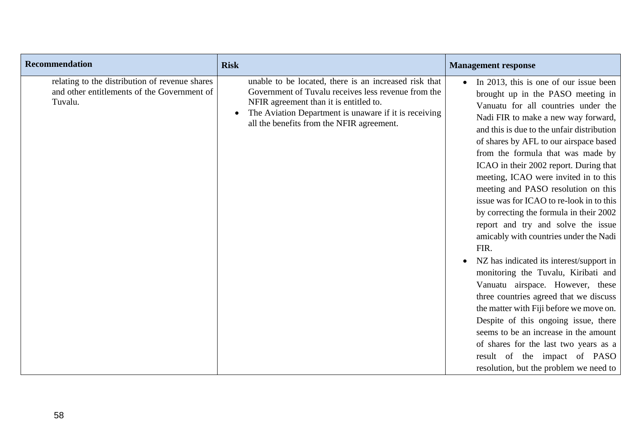| <b>Recommendation</b>                                                                                    | <b>Risk</b>                                                                                                                                                                                                                                                  | <b>Management response</b>                                                                                                                                                                                                                                                                                                                                                                                                                                                                                                                                                                                                                                                                                                                                                                                                                                                                                                                                                                                        |
|----------------------------------------------------------------------------------------------------------|--------------------------------------------------------------------------------------------------------------------------------------------------------------------------------------------------------------------------------------------------------------|-------------------------------------------------------------------------------------------------------------------------------------------------------------------------------------------------------------------------------------------------------------------------------------------------------------------------------------------------------------------------------------------------------------------------------------------------------------------------------------------------------------------------------------------------------------------------------------------------------------------------------------------------------------------------------------------------------------------------------------------------------------------------------------------------------------------------------------------------------------------------------------------------------------------------------------------------------------------------------------------------------------------|
| relating to the distribution of revenue shares<br>and other entitlements of the Government of<br>Tuvalu. | unable to be located, there is an increased risk that<br>Government of Tuvalu receives less revenue from the<br>NFIR agreement than it is entitled to.<br>The Aviation Department is unaware if it is receiving<br>all the benefits from the NFIR agreement. | • In 2013, this is one of our issue been<br>brought up in the PASO meeting in<br>Vanuatu for all countries under the<br>Nadi FIR to make a new way forward,<br>and this is due to the unfair distribution<br>of shares by AFL to our airspace based<br>from the formula that was made by<br>ICAO in their 2002 report. During that<br>meeting, ICAO were invited in to this<br>meeting and PASO resolution on this<br>issue was for ICAO to re-look in to this<br>by correcting the formula in their 2002<br>report and try and solve the issue<br>amicably with countries under the Nadi<br>FIR.<br>NZ has indicated its interest/support in<br>monitoring the Tuvalu, Kiribati and<br>Vanuatu airspace. However, these<br>three countries agreed that we discuss<br>the matter with Fiji before we move on.<br>Despite of this ongoing issue, there<br>seems to be an increase in the amount<br>of shares for the last two years as a<br>result of the impact of PASO<br>resolution, but the problem we need to |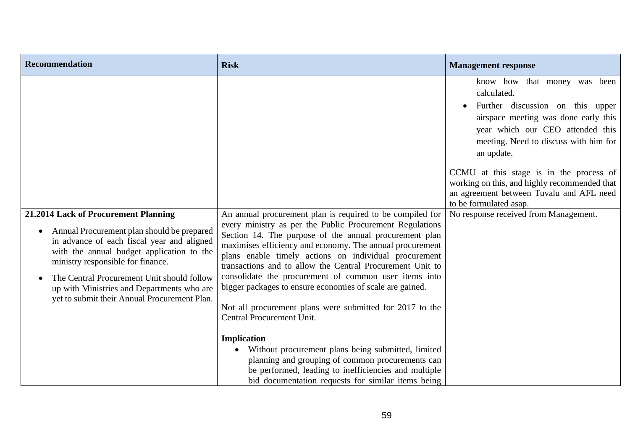| <b>Recommendation</b>                                                                                                                                                                                                                                                                                                                                                                    | <b>Risk</b>                                                                                                                                                                                                                                                                                                                                                                                                                                                                                                                                                                                           | <b>Management response</b>                                                                                                                                                                                         |
|------------------------------------------------------------------------------------------------------------------------------------------------------------------------------------------------------------------------------------------------------------------------------------------------------------------------------------------------------------------------------------------|-------------------------------------------------------------------------------------------------------------------------------------------------------------------------------------------------------------------------------------------------------------------------------------------------------------------------------------------------------------------------------------------------------------------------------------------------------------------------------------------------------------------------------------------------------------------------------------------------------|--------------------------------------------------------------------------------------------------------------------------------------------------------------------------------------------------------------------|
|                                                                                                                                                                                                                                                                                                                                                                                          |                                                                                                                                                                                                                                                                                                                                                                                                                                                                                                                                                                                                       | know how that money was been<br>calculated.<br>Further discussion on this upper<br>airspace meeting was done early this<br>year which our CEO attended this<br>meeting. Need to discuss with him for<br>an update. |
|                                                                                                                                                                                                                                                                                                                                                                                          |                                                                                                                                                                                                                                                                                                                                                                                                                                                                                                                                                                                                       | CCMU at this stage is in the process of<br>working on this, and highly recommended that<br>an agreement between Tuvalu and AFL need<br>to be formulated asap.                                                      |
| 21.2014 Lack of Procurement Planning<br>Annual Procurement plan should be prepared<br>$\bullet$<br>in advance of each fiscal year and aligned<br>with the annual budget application to the<br>ministry responsible for finance.<br>The Central Procurement Unit should follow<br>$\bullet$<br>up with Ministries and Departments who are<br>yet to submit their Annual Procurement Plan. | An annual procurement plan is required to be compiled for<br>every ministry as per the Public Procurement Regulations<br>Section 14. The purpose of the annual procurement plan<br>maximises efficiency and economy. The annual procurement<br>plans enable timely actions on individual procurement<br>transactions and to allow the Central Procurement Unit to<br>consolidate the procurement of common user items into<br>bigger packages to ensure economies of scale are gained.<br>Not all procurement plans were submitted for 2017 to the<br>Central Procurement Unit.<br><b>Implication</b> | No response received from Management.                                                                                                                                                                              |
|                                                                                                                                                                                                                                                                                                                                                                                          | Without procurement plans being submitted, limited<br>planning and grouping of common procurements can<br>be performed, leading to inefficiencies and multiple<br>bid documentation requests for similar items being                                                                                                                                                                                                                                                                                                                                                                                  |                                                                                                                                                                                                                    |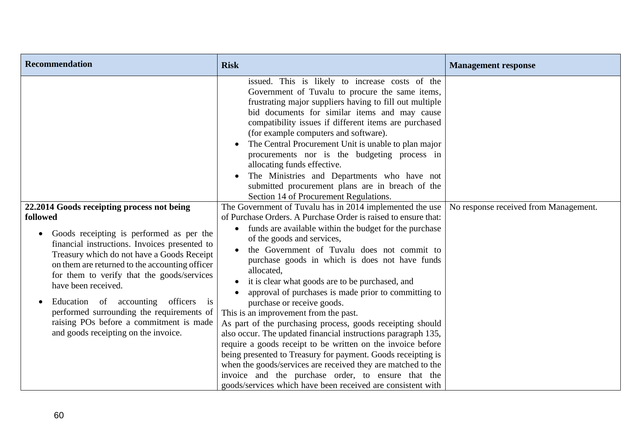| <b>Recommendation</b>                                                                                                                                                                                                                                                                                                                                                                                                                                                                                                           | <b>Risk</b>                                                                                                                                                                                                                                                                                                                                                                                                                                                                                                                                                                                                                                                                                                                                                                                                                                                                                                                                                                         | <b>Management response</b>            |
|---------------------------------------------------------------------------------------------------------------------------------------------------------------------------------------------------------------------------------------------------------------------------------------------------------------------------------------------------------------------------------------------------------------------------------------------------------------------------------------------------------------------------------|-------------------------------------------------------------------------------------------------------------------------------------------------------------------------------------------------------------------------------------------------------------------------------------------------------------------------------------------------------------------------------------------------------------------------------------------------------------------------------------------------------------------------------------------------------------------------------------------------------------------------------------------------------------------------------------------------------------------------------------------------------------------------------------------------------------------------------------------------------------------------------------------------------------------------------------------------------------------------------------|---------------------------------------|
|                                                                                                                                                                                                                                                                                                                                                                                                                                                                                                                                 | issued. This is likely to increase costs of the<br>Government of Tuvalu to procure the same items,<br>frustrating major suppliers having to fill out multiple<br>bid documents for similar items and may cause<br>compatibility issues if different items are purchased<br>(for example computers and software).<br>The Central Procurement Unit is unable to plan major<br>procurements nor is the budgeting process in<br>allocating funds effective.<br>The Ministries and Departments who have not<br>submitted procurement plans are in breach of the<br>Section 14 of Procurement Regulations.                                                                                                                                                                                                                                                                                                                                                                                |                                       |
| 22.2014 Goods receipting process not being<br>followed<br>Goods receipting is performed as per the<br>$\bullet$<br>financial instructions. Invoices presented to<br>Treasury which do not have a Goods Receipt<br>on them are returned to the accounting officer<br>for them to verify that the goods/services<br>have been received.<br>Education of accounting<br>officers<br>$\overline{1}S$<br>performed surrounding the requirements of<br>raising POs before a commitment is made<br>and goods receipting on the invoice. | The Government of Tuvalu has in 2014 implemented the use<br>of Purchase Orders. A Purchase Order is raised to ensure that:<br>funds are available within the budget for the purchase<br>$\bullet$<br>of the goods and services,<br>the Government of Tuvalu does not commit to<br>purchase goods in which is does not have funds<br>allocated,<br>it is clear what goods are to be purchased, and<br>approval of purchases is made prior to committing to<br>purchase or receive goods.<br>This is an improvement from the past.<br>As part of the purchasing process, goods receipting should<br>also occur. The updated financial instructions paragraph 135,<br>require a goods receipt to be written on the invoice before<br>being presented to Treasury for payment. Goods receipting is<br>when the goods/services are received they are matched to the<br>invoice and the purchase order, to ensure that the<br>goods/services which have been received are consistent with | No response received from Management. |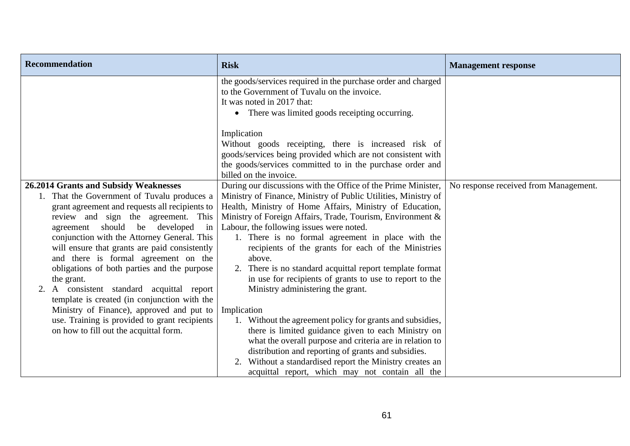| <b>Recommendation</b>                                                                                                                                                                                                                                                                                                                                                                                                                                                                                                        | <b>Risk</b>                                                                                                                                                                                                                                                                                                                                                                                                                                                                                                                                                                             | <b>Management response</b>            |
|------------------------------------------------------------------------------------------------------------------------------------------------------------------------------------------------------------------------------------------------------------------------------------------------------------------------------------------------------------------------------------------------------------------------------------------------------------------------------------------------------------------------------|-----------------------------------------------------------------------------------------------------------------------------------------------------------------------------------------------------------------------------------------------------------------------------------------------------------------------------------------------------------------------------------------------------------------------------------------------------------------------------------------------------------------------------------------------------------------------------------------|---------------------------------------|
|                                                                                                                                                                                                                                                                                                                                                                                                                                                                                                                              | the goods/services required in the purchase order and charged<br>to the Government of Tuvalu on the invoice.<br>It was noted in 2017 that:<br>• There was limited goods receipting occurring.                                                                                                                                                                                                                                                                                                                                                                                           |                                       |
|                                                                                                                                                                                                                                                                                                                                                                                                                                                                                                                              | Implication<br>Without goods receipting, there is increased risk of<br>goods/services being provided which are not consistent with<br>the goods/services committed to in the purchase order and<br>billed on the invoice.                                                                                                                                                                                                                                                                                                                                                               |                                       |
| 26.2014 Grants and Subsidy Weaknesses<br>1. That the Government of Tuvalu produces a<br>grant agreement and requests all recipients to<br>review and sign the agreement. This<br>be developed<br>agreement should<br>in<br>conjunction with the Attorney General. This<br>will ensure that grants are paid consistently<br>and there is formal agreement on the<br>obligations of both parties and the purpose<br>the grant.<br>A consistent standard acquittal report<br>2.<br>template is created (in conjunction with the | During our discussions with the Office of the Prime Minister,<br>Ministry of Finance, Ministry of Public Utilities, Ministry of<br>Health, Ministry of Home Affairs, Ministry of Education,<br>Ministry of Foreign Affairs, Trade, Tourism, Environment &<br>Labour, the following issues were noted.<br>1. There is no formal agreement in place with the<br>recipients of the grants for each of the Ministries<br>above.<br>2. There is no standard acquittal report template format<br>in use for recipients of grants to use to report to the<br>Ministry administering the grant. | No response received from Management. |
| Ministry of Finance), approved and put to<br>use. Training is provided to grant recipients<br>on how to fill out the acquittal form.                                                                                                                                                                                                                                                                                                                                                                                         | Implication<br>1. Without the agreement policy for grants and subsidies,<br>there is limited guidance given to each Ministry on<br>what the overall purpose and criteria are in relation to<br>distribution and reporting of grants and subsidies.<br>Without a standardised report the Ministry creates an<br>2.<br>acquittal report, which may not contain all the                                                                                                                                                                                                                    |                                       |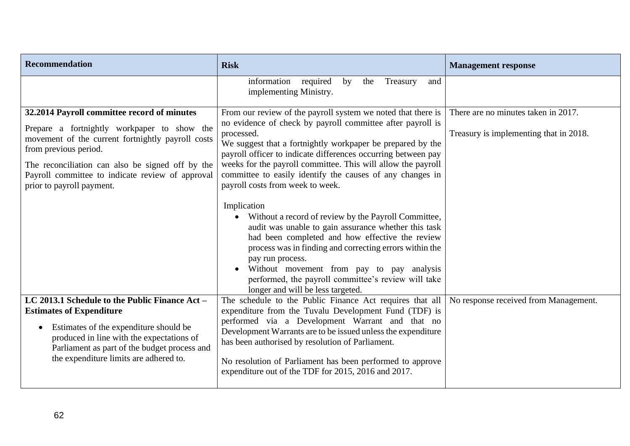| <b>Recommendation</b>                                                                                                                                                                                                                                                                                         | <b>Risk</b>                                                                                                                                                                                                                                                                                                                                                                                                                                                                                                                                                                                                                                                                                                                                                                                                                                        | <b>Management response</b>                                                    |
|---------------------------------------------------------------------------------------------------------------------------------------------------------------------------------------------------------------------------------------------------------------------------------------------------------------|----------------------------------------------------------------------------------------------------------------------------------------------------------------------------------------------------------------------------------------------------------------------------------------------------------------------------------------------------------------------------------------------------------------------------------------------------------------------------------------------------------------------------------------------------------------------------------------------------------------------------------------------------------------------------------------------------------------------------------------------------------------------------------------------------------------------------------------------------|-------------------------------------------------------------------------------|
|                                                                                                                                                                                                                                                                                                               | information<br>required<br>by<br>the<br>Treasury<br>and<br>implementing Ministry.                                                                                                                                                                                                                                                                                                                                                                                                                                                                                                                                                                                                                                                                                                                                                                  |                                                                               |
| 32.2014 Payroll committee record of minutes<br>Prepare a fortnightly workpaper to show the<br>movement of the current fortnightly payroll costs<br>from previous period.<br>The reconciliation can also be signed off by the<br>Payroll committee to indicate review of approval<br>prior to payroll payment. | From our review of the payroll system we noted that there is<br>no evidence of check by payroll committee after payroll is<br>processed.<br>We suggest that a fortnightly workpaper be prepared by the<br>payroll officer to indicate differences occurring between pay<br>weeks for the payroll committee. This will allow the payroll<br>committee to easily identify the causes of any changes in<br>payroll costs from week to week.<br>Implication<br>Without a record of review by the Payroll Committee,<br>audit was unable to gain assurance whether this task<br>had been completed and how effective the review<br>process was in finding and correcting errors within the<br>pay run process.<br>Without movement from pay to pay analysis<br>performed, the payroll committee's review will take<br>longer and will be less targeted. | There are no minutes taken in 2017.<br>Treasury is implementing that in 2018. |
| LC 2013.1 Schedule to the Public Finance Act -<br><b>Estimates of Expenditure</b><br>Estimates of the expenditure should be<br>$\bullet$<br>produced in line with the expectations of<br>Parliament as part of the budget process and<br>the expenditure limits are adhered to.                               | The schedule to the Public Finance Act requires that all $\vert$<br>expenditure from the Tuvalu Development Fund (TDF) is<br>performed via a Development Warrant and that no<br>Development Warrants are to be issued unless the expenditure<br>has been authorised by resolution of Parliament.<br>No resolution of Parliament has been performed to approve<br>expenditure out of the TDF for 2015, 2016 and 2017.                                                                                                                                                                                                                                                                                                                                                                                                                               | No response received from Management.                                         |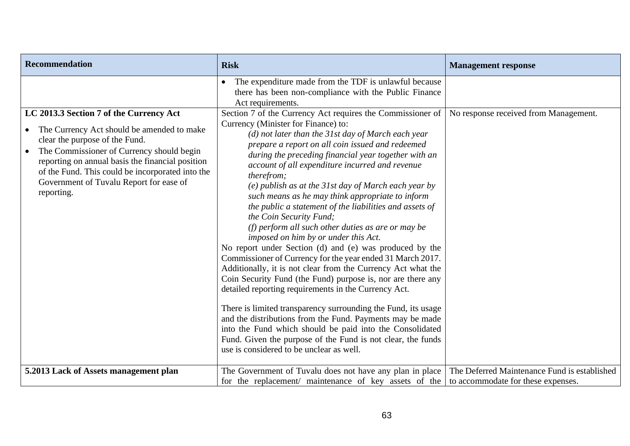| <b>Recommendation</b>                                                                                                                                                                                                                                                                                                                                           | <b>Risk</b>                                                                                                                                                                                                                                                                                                                                                                                                                                                                                                                                                                                                                                                                                                                                                                                                                                                                                                                                                                                                                                                                                                                                                                                                                                                   | <b>Management response</b>                                                         |
|-----------------------------------------------------------------------------------------------------------------------------------------------------------------------------------------------------------------------------------------------------------------------------------------------------------------------------------------------------------------|---------------------------------------------------------------------------------------------------------------------------------------------------------------------------------------------------------------------------------------------------------------------------------------------------------------------------------------------------------------------------------------------------------------------------------------------------------------------------------------------------------------------------------------------------------------------------------------------------------------------------------------------------------------------------------------------------------------------------------------------------------------------------------------------------------------------------------------------------------------------------------------------------------------------------------------------------------------------------------------------------------------------------------------------------------------------------------------------------------------------------------------------------------------------------------------------------------------------------------------------------------------|------------------------------------------------------------------------------------|
|                                                                                                                                                                                                                                                                                                                                                                 | The expenditure made from the TDF is unlawful because<br>$\bullet$<br>there has been non-compliance with the Public Finance<br>Act requirements.                                                                                                                                                                                                                                                                                                                                                                                                                                                                                                                                                                                                                                                                                                                                                                                                                                                                                                                                                                                                                                                                                                              |                                                                                    |
| LC 2013.3 Section 7 of the Currency Act<br>The Currency Act should be amended to make<br>$\bullet$<br>clear the purpose of the Fund.<br>The Commissioner of Currency should begin<br>$\bullet$<br>reporting on annual basis the financial position<br>of the Fund. This could be incorporated into the<br>Government of Tuvalu Report for ease of<br>reporting. | Section 7 of the Currency Act requires the Commissioner of<br>Currency (Minister for Finance) to:<br>$(d)$ not later than the 31st day of March each year<br>prepare a report on all coin issued and redeemed<br>during the preceding financial year together with an<br>account of all expenditure incurred and revenue<br>therefrom;<br>$(e)$ publish as at the 31st day of March each year by<br>such means as he may think appropriate to inform<br>the public a statement of the liabilities and assets of<br>the Coin Security Fund;<br>(f) perform all such other duties as are or may be<br>imposed on him by or under this Act.<br>No report under Section (d) and (e) was produced by the<br>Commissioner of Currency for the year ended 31 March 2017.<br>Additionally, it is not clear from the Currency Act what the<br>Coin Security Fund (the Fund) purpose is, nor are there any<br>detailed reporting requirements in the Currency Act.<br>There is limited transparency surrounding the Fund, its usage<br>and the distributions from the Fund. Payments may be made<br>into the Fund which should be paid into the Consolidated<br>Fund. Given the purpose of the Fund is not clear, the funds<br>use is considered to be unclear as well. | No response received from Management.                                              |
| 5.2013 Lack of Assets management plan                                                                                                                                                                                                                                                                                                                           | The Government of Tuvalu does not have any plan in place<br>for the replacement/ maintenance of key assets of the                                                                                                                                                                                                                                                                                                                                                                                                                                                                                                                                                                                                                                                                                                                                                                                                                                                                                                                                                                                                                                                                                                                                             | The Deferred Maintenance Fund is established<br>to accommodate for these expenses. |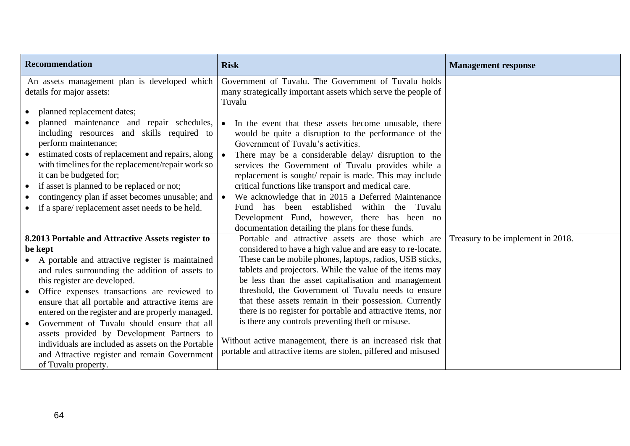| <b>Recommendation</b>                                                                                                                                                                                                                                                                                                                                                                                                                                                                                                                                                                    | <b>Risk</b>                                                                                                                                                                                                                                                                                                                                                                                                                                                                                                                                                                                                                                                            | <b>Management response</b>        |
|------------------------------------------------------------------------------------------------------------------------------------------------------------------------------------------------------------------------------------------------------------------------------------------------------------------------------------------------------------------------------------------------------------------------------------------------------------------------------------------------------------------------------------------------------------------------------------------|------------------------------------------------------------------------------------------------------------------------------------------------------------------------------------------------------------------------------------------------------------------------------------------------------------------------------------------------------------------------------------------------------------------------------------------------------------------------------------------------------------------------------------------------------------------------------------------------------------------------------------------------------------------------|-----------------------------------|
| An assets management plan is developed which<br>details for major assets:                                                                                                                                                                                                                                                                                                                                                                                                                                                                                                                | Government of Tuvalu. The Government of Tuvalu holds<br>many strategically important assets which serve the people of<br>Tuvalu                                                                                                                                                                                                                                                                                                                                                                                                                                                                                                                                        |                                   |
| planned replacement dates;<br>planned maintenance and repair schedules,<br>including resources and skills required to<br>perform maintenance;<br>estimated costs of replacement and repairs, along<br>with timelines for the replacement/repair work so<br>it can be budgeted for;<br>if asset is planned to be replaced or not;<br>$\bullet$<br>contingency plan if asset becomes unusable; and<br>if a spare/replacement asset needs to be held.                                                                                                                                       | In the event that these assets become unusable, there<br>$\bullet$<br>would be quite a disruption to the performance of the<br>Government of Tuvalu's activities.<br>There may be a considerable delay/ disruption to the<br>services the Government of Tuvalu provides while a<br>replacement is sought/ repair is made. This may include<br>critical functions like transport and medical care.<br>We acknowledge that in 2015 a Deferred Maintenance<br>$\bullet$<br>Fund has been established within the Tuvalu<br>Development Fund, however, there has been no<br>documentation detailing the plans for these funds.                                              |                                   |
| 8.2013 Portable and Attractive Assets register to<br>be kept<br>A portable and attractive register is maintained<br>and rules surrounding the addition of assets to<br>this register are developed.<br>Office expenses transactions are reviewed to<br>ensure that all portable and attractive items are<br>entered on the register and are properly managed.<br>Government of Tuvalu should ensure that all<br>assets provided by Development Partners to<br>individuals are included as assets on the Portable<br>and Attractive register and remain Government<br>of Tuvalu property. | Portable and attractive assets are those which are<br>considered to have a high value and are easy to re-locate.<br>These can be mobile phones, laptops, radios, USB sticks,<br>tablets and projectors. While the value of the items may<br>be less than the asset capitalisation and management<br>threshold, the Government of Tuvalu needs to ensure<br>that these assets remain in their possession. Currently<br>there is no register for portable and attractive items, nor<br>is there any controls preventing theft or misuse.<br>Without active management, there is an increased risk that<br>portable and attractive items are stolen, pilfered and misused | Treasury to be implement in 2018. |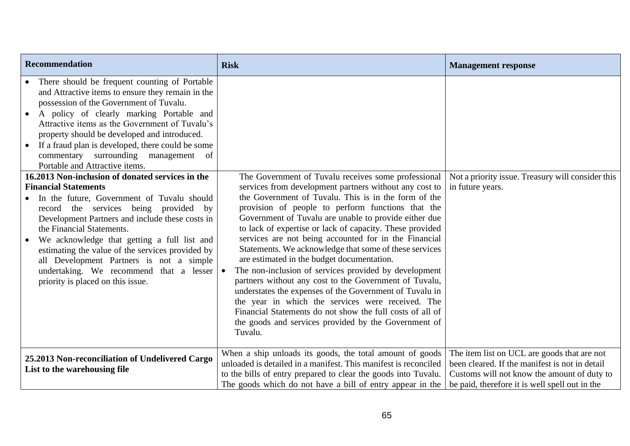| <b>Recommendation</b>                                                                                                                                                                                                                                                                                                                                                                                                                                                                                                                                                                                                                                                                                                                                                                                                                                                                                                                               | <b>Risk</b>                                                                                                                                                                                                                                                                                                                                                                                                                                                                                                                                                                                                                                                                                                                                                                                                                                                                         | <b>Management response</b>                                                                                                                                                                     |
|-----------------------------------------------------------------------------------------------------------------------------------------------------------------------------------------------------------------------------------------------------------------------------------------------------------------------------------------------------------------------------------------------------------------------------------------------------------------------------------------------------------------------------------------------------------------------------------------------------------------------------------------------------------------------------------------------------------------------------------------------------------------------------------------------------------------------------------------------------------------------------------------------------------------------------------------------------|-------------------------------------------------------------------------------------------------------------------------------------------------------------------------------------------------------------------------------------------------------------------------------------------------------------------------------------------------------------------------------------------------------------------------------------------------------------------------------------------------------------------------------------------------------------------------------------------------------------------------------------------------------------------------------------------------------------------------------------------------------------------------------------------------------------------------------------------------------------------------------------|------------------------------------------------------------------------------------------------------------------------------------------------------------------------------------------------|
| There should be frequent counting of Portable<br>and Attractive items to ensure they remain in the<br>possession of the Government of Tuvalu.<br>A policy of clearly marking Portable and<br>$\bullet$<br>Attractive items as the Government of Tuvalu's<br>property should be developed and introduced.<br>If a fraud plan is developed, there could be some<br>commentary surrounding management<br>of<br>Portable and Attractive items.<br>16.2013 Non-inclusion of donated services in the<br><b>Financial Statements</b><br>In the future, Government of Tuvalu should<br>record the services being provided<br>by<br>Development Partners and include these costs in<br>the Financial Statements.<br>We acknowledge that getting a full list and<br>$\bullet$<br>estimating the value of the services provided by<br>all Development Partners is not a simple<br>undertaking. We recommend that a lesser<br>priority is placed on this issue. | The Government of Tuvalu receives some professional<br>services from development partners without any cost to<br>the Government of Tuvalu. This is in the form of the<br>provision of people to perform functions that the<br>Government of Tuvalu are unable to provide either due<br>to lack of expertise or lack of capacity. These provided<br>services are not being accounted for in the Financial<br>Statements. We acknowledge that some of these services<br>are estimated in the budget documentation.<br>The non-inclusion of services provided by development<br>partners without any cost to the Government of Tuvalu,<br>understates the expenses of the Government of Tuvalu in<br>the year in which the services were received. The<br>Financial Statements do not show the full costs of all of<br>the goods and services provided by the Government of<br>Tuvalu. | Not a priority issue. Treasury will consider this<br>in future years.                                                                                                                          |
| 25.2013 Non-reconciliation of Undelivered Cargo<br>List to the warehousing file                                                                                                                                                                                                                                                                                                                                                                                                                                                                                                                                                                                                                                                                                                                                                                                                                                                                     | When a ship unloads its goods, the total amount of goods<br>unloaded is detailed in a manifest. This manifest is reconciled<br>to the bills of entry prepared to clear the goods into Tuvalu.<br>The goods which do not have a bill of entry appear in the                                                                                                                                                                                                                                                                                                                                                                                                                                                                                                                                                                                                                          | The item list on UCL are goods that are not<br>been cleared. If the manifest is not in detail<br>Customs will not know the amount of duty to<br>be paid, therefore it is well spell out in the |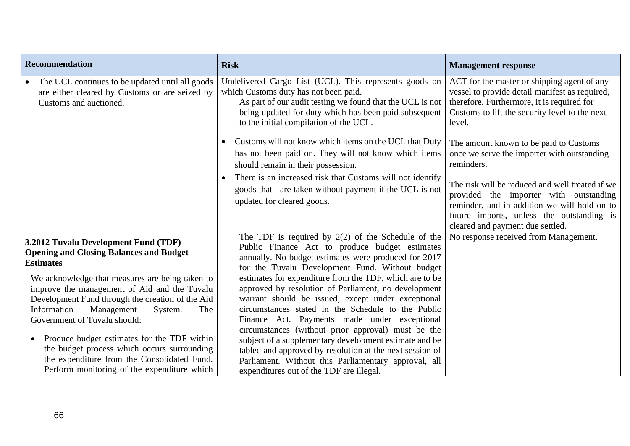| <b>Recommendation</b>                                                                                                                                                                                                                                                                                                                                                                                                                                                                                                                                     | <b>Risk</b>                                                                                                                                                                                                                                                                                                                                                                                                                                                                                                                                                                                                                                                                                                                                                                      | <b>Management response</b>                                                                                                                                                                                                 |
|-----------------------------------------------------------------------------------------------------------------------------------------------------------------------------------------------------------------------------------------------------------------------------------------------------------------------------------------------------------------------------------------------------------------------------------------------------------------------------------------------------------------------------------------------------------|----------------------------------------------------------------------------------------------------------------------------------------------------------------------------------------------------------------------------------------------------------------------------------------------------------------------------------------------------------------------------------------------------------------------------------------------------------------------------------------------------------------------------------------------------------------------------------------------------------------------------------------------------------------------------------------------------------------------------------------------------------------------------------|----------------------------------------------------------------------------------------------------------------------------------------------------------------------------------------------------------------------------|
| The UCL continues to be updated until all goods<br>are either cleared by Customs or are seized by<br>Customs and auctioned.                                                                                                                                                                                                                                                                                                                                                                                                                               | Undelivered Cargo List (UCL). This represents goods on<br>which Customs duty has not been paid.<br>As part of our audit testing we found that the UCL is not<br>being updated for duty which has been paid subsequent<br>to the initial compilation of the UCL.                                                                                                                                                                                                                                                                                                                                                                                                                                                                                                                  | ACT for the master or shipping agent of any<br>vessel to provide detail manifest as required,<br>therefore. Furthermore, it is required for<br>Customs to lift the security level to the next<br>level.                    |
|                                                                                                                                                                                                                                                                                                                                                                                                                                                                                                                                                           | Customs will not know which items on the UCL that Duty<br>$\bullet$<br>has not been paid on. They will not know which items<br>should remain in their possession.                                                                                                                                                                                                                                                                                                                                                                                                                                                                                                                                                                                                                | The amount known to be paid to Customs<br>once we serve the importer with outstanding<br>reminders.                                                                                                                        |
|                                                                                                                                                                                                                                                                                                                                                                                                                                                                                                                                                           | There is an increased risk that Customs will not identify<br>goods that are taken without payment if the UCL is not<br>updated for cleared goods.                                                                                                                                                                                                                                                                                                                                                                                                                                                                                                                                                                                                                                | The risk will be reduced and well treated if we<br>provided the importer with outstanding<br>reminder, and in addition we will hold on to<br>future imports, unless the outstanding is<br>cleared and payment due settled. |
| 3.2012 Tuvalu Development Fund (TDF)<br><b>Opening and Closing Balances and Budget</b><br><b>Estimates</b><br>We acknowledge that measures are being taken to<br>improve the management of Aid and the Tuvalu<br>Development Fund through the creation of the Aid<br>Information<br>Management<br>System.<br>The<br>Government of Tuvalu should:<br>Produce budget estimates for the TDF within<br>$\bullet$<br>the budget process which occurs surrounding<br>the expenditure from the Consolidated Fund.<br>Perform monitoring of the expenditure which | The TDF is required by $2(2)$ of the Schedule of the<br>Public Finance Act to produce budget estimates<br>annually. No budget estimates were produced for 2017<br>for the Tuvalu Development Fund. Without budget<br>estimates for expenditure from the TDF, which are to be<br>approved by resolution of Parliament, no development<br>warrant should be issued, except under exceptional<br>circumstances stated in the Schedule to the Public<br>Finance Act. Payments made under exceptional<br>circumstances (without prior approval) must be the<br>subject of a supplementary development estimate and be<br>tabled and approved by resolution at the next session of<br>Parliament. Without this Parliamentary approval, all<br>expenditures out of the TDF are illegal. | No response received from Management.                                                                                                                                                                                      |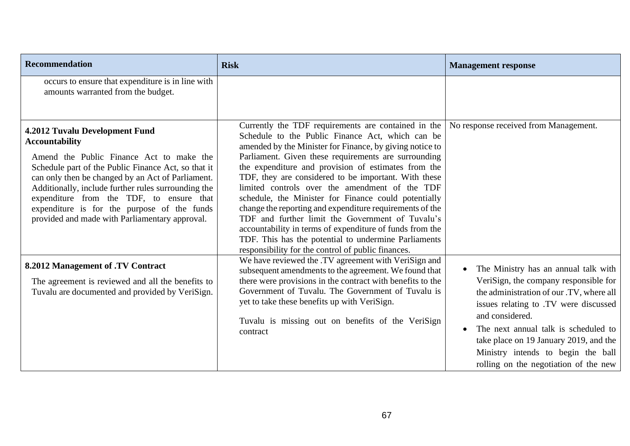| Recommendation                                                                                                                                                                                                                                                                                                                                                                                                      | <b>Risk</b>                                                                                                                                                                                                                                                                                                                                                                                                                                                                                                                                                                                                                                                                                                                                                                            | <b>Management response</b>                                                                                                                                                                                                                                                                                                                             |
|---------------------------------------------------------------------------------------------------------------------------------------------------------------------------------------------------------------------------------------------------------------------------------------------------------------------------------------------------------------------------------------------------------------------|----------------------------------------------------------------------------------------------------------------------------------------------------------------------------------------------------------------------------------------------------------------------------------------------------------------------------------------------------------------------------------------------------------------------------------------------------------------------------------------------------------------------------------------------------------------------------------------------------------------------------------------------------------------------------------------------------------------------------------------------------------------------------------------|--------------------------------------------------------------------------------------------------------------------------------------------------------------------------------------------------------------------------------------------------------------------------------------------------------------------------------------------------------|
| occurs to ensure that expenditure is in line with<br>amounts warranted from the budget.                                                                                                                                                                                                                                                                                                                             |                                                                                                                                                                                                                                                                                                                                                                                                                                                                                                                                                                                                                                                                                                                                                                                        |                                                                                                                                                                                                                                                                                                                                                        |
| 4.2012 Tuvalu Development Fund<br><b>Accountability</b><br>Amend the Public Finance Act to make the<br>Schedule part of the Public Finance Act, so that it<br>can only then be changed by an Act of Parliament.<br>Additionally, include further rules surrounding the<br>expenditure from the TDF, to ensure that<br>expenditure is for the purpose of the funds<br>provided and made with Parliamentary approval. | Currently the TDF requirements are contained in the   No response received from Management.<br>Schedule to the Public Finance Act, which can be<br>amended by the Minister for Finance, by giving notice to<br>Parliament. Given these requirements are surrounding<br>the expenditure and provision of estimates from the<br>TDF, they are considered to be important. With these<br>limited controls over the amendment of the TDF<br>schedule, the Minister for Finance could potentially<br>change the reporting and expenditure requirements of the<br>TDF and further limit the Government of Tuvalu's<br>accountability in terms of expenditure of funds from the<br>TDF. This has the potential to undermine Parliaments<br>responsibility for the control of public finances. |                                                                                                                                                                                                                                                                                                                                                        |
| 8.2012 Management of .TV Contract<br>The agreement is reviewed and all the benefits to<br>Tuvalu are documented and provided by VeriSign.                                                                                                                                                                                                                                                                           | We have reviewed the .TV agreement with VeriSign and<br>subsequent amendments to the agreement. We found that<br>there were provisions in the contract with benefits to the<br>Government of Tuvalu. The Government of Tuvalu is<br>yet to take these benefits up with VeriSign.<br>Tuvalu is missing out on benefits of the VeriSign<br>contract                                                                                                                                                                                                                                                                                                                                                                                                                                      | The Ministry has an annual talk with<br>VeriSign, the company responsible for<br>the administration of our .TV, where all<br>issues relating to .TV were discussed<br>and considered.<br>The next annual talk is scheduled to<br>take place on 19 January 2019, and the<br>Ministry intends to begin the ball<br>rolling on the negotiation of the new |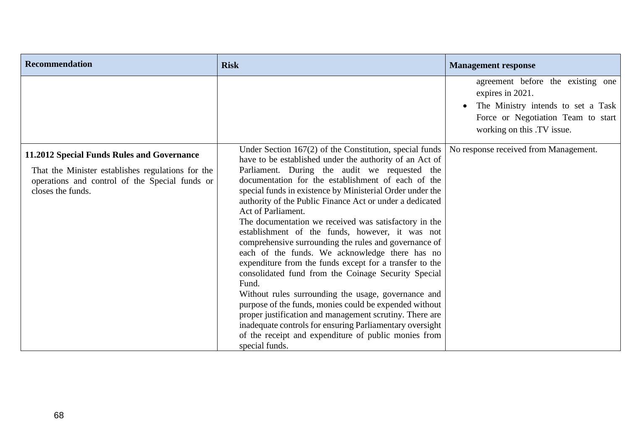| <b>Recommendation</b>                                                                                                                                                  | <b>Risk</b>                                                                                                                                                                                                                                                                                                                                                                                                                                                                                                                                                                                                                                                                                                                                                                                                                                                                                                                                                                                                                                          | <b>Management response</b>                                                                                                                                      |
|------------------------------------------------------------------------------------------------------------------------------------------------------------------------|------------------------------------------------------------------------------------------------------------------------------------------------------------------------------------------------------------------------------------------------------------------------------------------------------------------------------------------------------------------------------------------------------------------------------------------------------------------------------------------------------------------------------------------------------------------------------------------------------------------------------------------------------------------------------------------------------------------------------------------------------------------------------------------------------------------------------------------------------------------------------------------------------------------------------------------------------------------------------------------------------------------------------------------------------|-----------------------------------------------------------------------------------------------------------------------------------------------------------------|
|                                                                                                                                                                        |                                                                                                                                                                                                                                                                                                                                                                                                                                                                                                                                                                                                                                                                                                                                                                                                                                                                                                                                                                                                                                                      | agreement before the existing one<br>expires in 2021.<br>The Ministry intends to set a Task<br>Force or Negotiation Team to start<br>working on this .TV issue. |
| 11.2012 Special Funds Rules and Governance<br>That the Minister establishes regulations for the<br>operations and control of the Special funds or<br>closes the funds. | Under Section 167(2) of the Constitution, special funds $\vert$<br>have to be established under the authority of an Act of<br>Parliament. During the audit we requested the<br>documentation for the establishment of each of the<br>special funds in existence by Ministerial Order under the<br>authority of the Public Finance Act or under a dedicated<br>Act of Parliament.<br>The documentation we received was satisfactory in the<br>establishment of the funds, however, it was not<br>comprehensive surrounding the rules and governance of<br>each of the funds. We acknowledge there has no<br>expenditure from the funds except for a transfer to the<br>consolidated fund from the Coinage Security Special<br>Fund.<br>Without rules surrounding the usage, governance and<br>purpose of the funds, monies could be expended without<br>proper justification and management scrutiny. There are<br>inadequate controls for ensuring Parliamentary oversight<br>of the receipt and expenditure of public monies from<br>special funds. | No response received from Management.                                                                                                                           |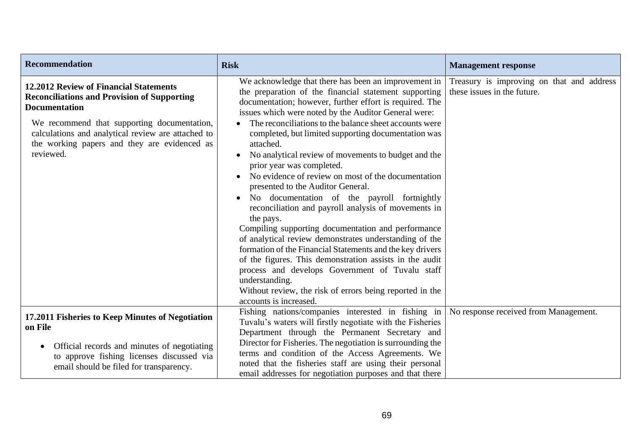| <b>Recommendation</b>                                                                                                                                                                                                                                                                  | <b>Risk</b>                                                                                                                                                                                                                                                                                                                                                                                                                                                                                                                                                                                                                                                                                                                                                                                                                                                                                                                                                                                                                                                         | <b>Management response</b>                                               |
|----------------------------------------------------------------------------------------------------------------------------------------------------------------------------------------------------------------------------------------------------------------------------------------|---------------------------------------------------------------------------------------------------------------------------------------------------------------------------------------------------------------------------------------------------------------------------------------------------------------------------------------------------------------------------------------------------------------------------------------------------------------------------------------------------------------------------------------------------------------------------------------------------------------------------------------------------------------------------------------------------------------------------------------------------------------------------------------------------------------------------------------------------------------------------------------------------------------------------------------------------------------------------------------------------------------------------------------------------------------------|--------------------------------------------------------------------------|
| 12.2012 Review of Financial Statements<br><b>Reconciliations and Provision of Supporting</b><br><b>Documentation</b><br>We recommend that supporting documentation,<br>calculations and analytical review are attached to<br>the working papers and they are evidenced as<br>reviewed. | We acknowledge that there has been an improvement in<br>the preparation of the financial statement supporting<br>documentation; however, further effort is required. The<br>issues which were noted by the Auditor General were:<br>The reconciliations to the balance sheet accounts were<br>completed, but limited supporting documentation was<br>attached.<br>No analytical review of movements to budget and the<br>prior year was completed.<br>No evidence of review on most of the documentation<br>presented to the Auditor General.<br>No documentation of the payroll fortnightly<br>reconciliation and payroll analysis of movements in<br>the pays.<br>Compiling supporting documentation and performance<br>of analytical review demonstrates understanding of the<br>formation of the Financial Statements and the key drivers<br>of the figures. This demonstration assists in the audit<br>process and develops Government of Tuvalu staff<br>understanding.<br>Without review, the risk of errors being reported in the<br>accounts is increased. | Treasury is improving on that and address<br>these issues in the future. |
| 17.2011 Fisheries to Keep Minutes of Negotiation<br>on File                                                                                                                                                                                                                            | Fishing nations/companies interested in fishing in<br>Tuvalu's waters will firstly negotiate with the Fisheries<br>Department through the Permanent Secretary and                                                                                                                                                                                                                                                                                                                                                                                                                                                                                                                                                                                                                                                                                                                                                                                                                                                                                                   | No response received from Management.                                    |
| Official records and minutes of negotiating<br>$\bullet$<br>to approve fishing licenses discussed via<br>email should be filed for transparency.                                                                                                                                       | Director for Fisheries. The negotiation is surrounding the<br>terms and condition of the Access Agreements. We<br>noted that the fisheries staff are using their personal<br>email addresses for negotiation purposes and that there                                                                                                                                                                                                                                                                                                                                                                                                                                                                                                                                                                                                                                                                                                                                                                                                                                |                                                                          |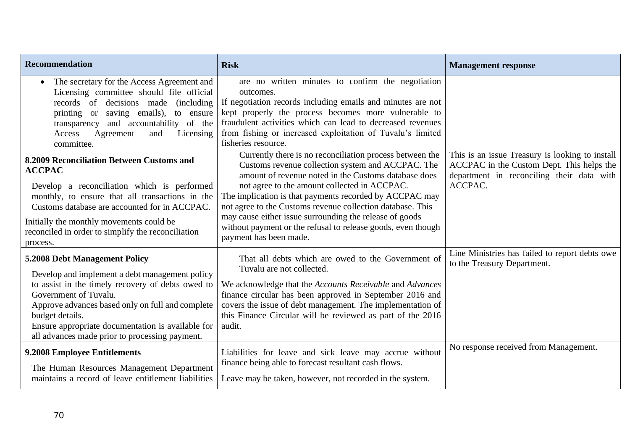| <b>Recommendation</b>                                                                                                                                                                                                                                                                                                                       | <b>Risk</b>                                                                                                                                                                                                                                                                                                                                                                                                                                                                                         | <b>Management response</b>                                                                                                                           |
|---------------------------------------------------------------------------------------------------------------------------------------------------------------------------------------------------------------------------------------------------------------------------------------------------------------------------------------------|-----------------------------------------------------------------------------------------------------------------------------------------------------------------------------------------------------------------------------------------------------------------------------------------------------------------------------------------------------------------------------------------------------------------------------------------------------------------------------------------------------|------------------------------------------------------------------------------------------------------------------------------------------------------|
| The secretary for the Access Agreement and<br>Licensing committee should file official<br>records of decisions made (including<br>printing or saving emails), to ensure<br>and accountability of the<br>transparency<br>Agreement<br>Access<br>Licensing<br>and<br>committee.                                                               | are no written minutes to confirm the negotiation<br>outcomes.<br>If negotiation records including emails and minutes are not<br>kept properly the process becomes more vulnerable to<br>fraudulent activities which can lead to decreased revenues<br>from fishing or increased exploitation of Tuvalu's limited<br>fisheries resource.                                                                                                                                                            |                                                                                                                                                      |
| 8.2009 Reconciliation Between Customs and<br><b>ACCPAC</b><br>Develop a reconciliation which is performed<br>monthly, to ensure that all transactions in the<br>Customs database are accounted for in ACCPAC.<br>Initially the monthly movements could be<br>reconciled in order to simplify the reconciliation<br>process.                 | Currently there is no reconciliation process between the<br>Customs revenue collection system and ACCPAC. The<br>amount of revenue noted in the Customs database does<br>not agree to the amount collected in ACCPAC.<br>The implication is that payments recorded by ACCPAC may<br>not agree to the Customs revenue collection database. This<br>may cause either issue surrounding the release of goods<br>without payment or the refusal to release goods, even though<br>payment has been made. | This is an issue Treasury is looking to install<br>ACCPAC in the Custom Dept. This helps the<br>department in reconciling their data with<br>ACCPAC. |
| 5.2008 Debt Management Policy<br>Develop and implement a debt management policy<br>to assist in the timely recovery of debts owed to<br>Government of Tuvalu.<br>Approve advances based only on full and complete<br>budget details.<br>Ensure appropriate documentation is available for<br>all advances made prior to processing payment. | That all debts which are owed to the Government of<br>Tuvalu are not collected.<br>We acknowledge that the Accounts Receivable and Advances<br>finance circular has been approved in September 2016 and<br>covers the issue of debt management. The implementation of<br>this Finance Circular will be reviewed as part of the 2016<br>audit.                                                                                                                                                       | Line Ministries has failed to report debts owe<br>to the Treasury Department.                                                                        |
| 9.2008 Employee Entitlements<br>The Human Resources Management Department<br>maintains a record of leave entitlement liabilities                                                                                                                                                                                                            | Liabilities for leave and sick leave may accrue without<br>finance being able to forecast resultant cash flows.<br>Leave may be taken, however, not recorded in the system.                                                                                                                                                                                                                                                                                                                         | No response received from Management.                                                                                                                |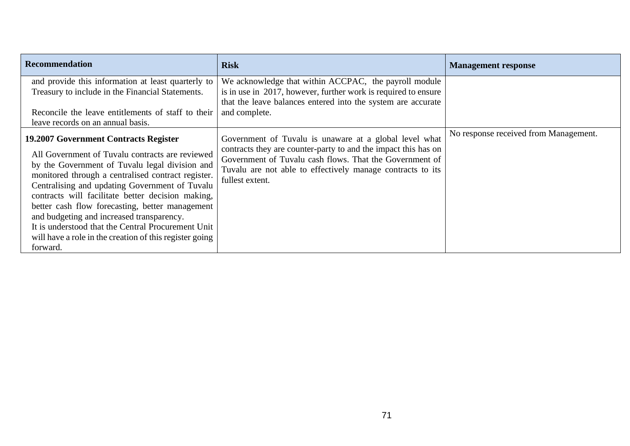| <b>Recommendation</b>                                                                                                                                                                                                                                                                                                                                                                                                                                                                       | <b>Risk</b>                                                                                                                                                                                                | <b>Management response</b>            |
|---------------------------------------------------------------------------------------------------------------------------------------------------------------------------------------------------------------------------------------------------------------------------------------------------------------------------------------------------------------------------------------------------------------------------------------------------------------------------------------------|------------------------------------------------------------------------------------------------------------------------------------------------------------------------------------------------------------|---------------------------------------|
| and provide this information at least quarterly to                                                                                                                                                                                                                                                                                                                                                                                                                                          | We acknowledge that within ACCPAC, the payroll module                                                                                                                                                      |                                       |
| Treasury to include in the Financial Statements.                                                                                                                                                                                                                                                                                                                                                                                                                                            | is in use in 2017, however, further work is required to ensure                                                                                                                                             |                                       |
| Reconcile the leave entitlements of staff to their<br>leave records on an annual basis.                                                                                                                                                                                                                                                                                                                                                                                                     | that the leave balances entered into the system are accurate<br>and complete.                                                                                                                              |                                       |
| <b>19.2007 Government Contracts Register</b>                                                                                                                                                                                                                                                                                                                                                                                                                                                | Government of Tuvalu is unaware at a global level what                                                                                                                                                     | No response received from Management. |
| All Government of Tuvalu contracts are reviewed<br>by the Government of Tuvalu legal division and<br>monitored through a centralised contract register.<br>Centralising and updating Government of Tuvalu<br>contracts will facilitate better decision making,<br>better cash flow forecasting, better management<br>and budgeting and increased transparency.<br>It is understood that the Central Procurement Unit<br>will have a role in the creation of this register going<br>forward. | contracts they are counter-party to and the impact this has on<br>Government of Tuvalu cash flows. That the Government of<br>Tuvalu are not able to effectively manage contracts to its<br>fullest extent. |                                       |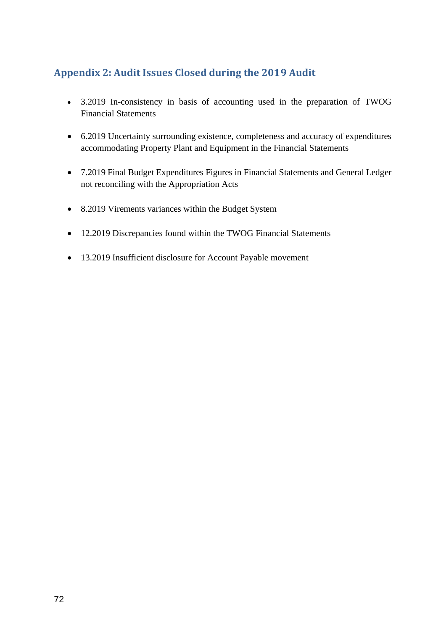## **Appendix 2: Audit Issues Closed during the 2019 Audit**

- 3.2019 In-consistency in basis of accounting used in the preparation of TWOG Financial Statements
- 6.2019 Uncertainty surrounding existence, completeness and accuracy of expenditures accommodating Property Plant and Equipment in the Financial Statements
- 7.2019 Final Budget Expenditures Figures in Financial Statements and General Ledger not reconciling with the Appropriation Acts
- 8.2019 Virements variances within the Budget System
- 12.2019 Discrepancies found within the TWOG Financial Statements
- 13.2019 Insufficient disclosure for Account Payable movement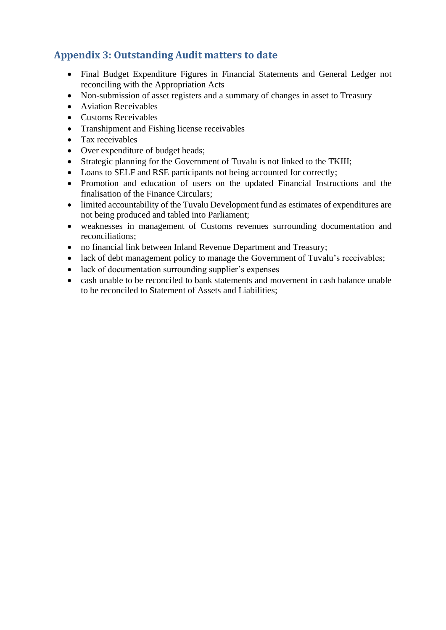# **Appendix 3: Outstanding Audit matters to date**

- Final Budget Expenditure Figures in Financial Statements and General Ledger not reconciling with the Appropriation Acts
- Non-submission of asset registers and a summary of changes in asset to Treasury
- Aviation Receivables
- Customs Receivables
- Transhipment and Fishing license receivables
- Tax receivables
- Over expenditure of budget heads;
- Strategic planning for the Government of Tuvalu is not linked to the TKIII;
- Loans to SELF and RSE participants not being accounted for correctly;
- Promotion and education of users on the updated Financial Instructions and the finalisation of the Finance Circulars;
- limited accountability of the Tuvalu Development fund as estimates of expenditures are not being produced and tabled into Parliament;
- weaknesses in management of Customs revenues surrounding documentation and reconciliations;
- no financial link between Inland Revenue Department and Treasury;
- lack of debt management policy to manage the Government of Tuvalu's receivables;
- lack of documentation surrounding supplier's expenses
- cash unable to be reconciled to bank statements and movement in cash balance unable to be reconciled to Statement of Assets and Liabilities;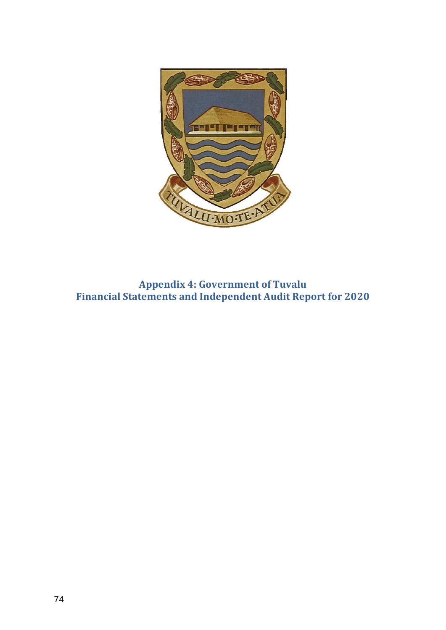

**Appendix 4: Government of Tuvalu Financial Statements and Independent Audit Report for 2020**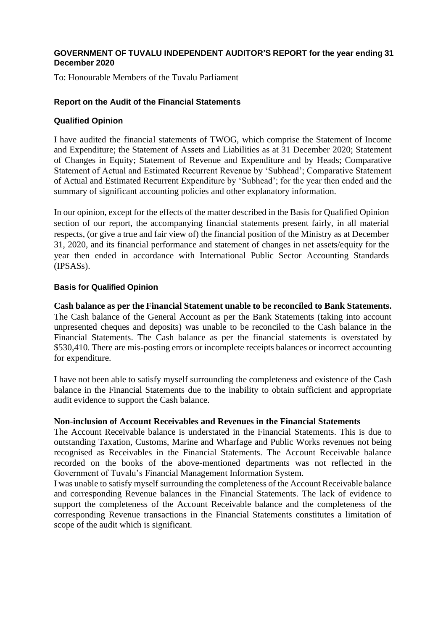#### **GOVERNMENT OF TUVALU INDEPENDENT AUDITOR'S REPORT for the year ending 31 December 2020**

To: Honourable Members of the Tuvalu Parliament

## **Report on the Audit of the Financial Statements**

## **Qualified Opinion**

I have audited the financial statements of TWOG, which comprise the Statement of Income and Expenditure; the Statement of Assets and Liabilities as at 31 December 2020; Statement of Changes in Equity; Statement of Revenue and Expenditure and by Heads; Comparative Statement of Actual and Estimated Recurrent Revenue by 'Subhead'; Comparative Statement of Actual and Estimated Recurrent Expenditure by 'Subhead'; for the year then ended and the summary of significant accounting policies and other explanatory information.

In our opinion, except for the effects of the matter described in the Basis for Qualified Opinion section of our report, the accompanying financial statements present fairly, in all material respects, (or give a true and fair view of) the financial position of the Ministry as at December 31, 2020, and its financial performance and statement of changes in net assets/equity for the year then ended in accordance with International Public Sector Accounting Standards (IPSASs).

# **Basis for Qualified Opinion**

**Cash balance as per the Financial Statement unable to be reconciled to Bank Statements.** The Cash balance of the General Account as per the Bank Statements (taking into account unpresented cheques and deposits) was unable to be reconciled to the Cash balance in the Financial Statements. The Cash balance as per the financial statements is overstated by \$530,410. There are mis-posting errors or incomplete receipts balances or incorrect accounting for expenditure.

I have not been able to satisfy myself surrounding the completeness and existence of the Cash balance in the Financial Statements due to the inability to obtain sufficient and appropriate audit evidence to support the Cash balance.

#### **Non-inclusion of Account Receivables and Revenues in the Financial Statements**

The Account Receivable balance is understated in the Financial Statements. This is due to outstanding Taxation, Customs, Marine and Wharfage and Public Works revenues not being recognised as Receivables in the Financial Statements. The Account Receivable balance recorded on the books of the above-mentioned departments was not reflected in the Government of Tuvalu's Financial Management Information System.

I was unable to satisfy myself surrounding the completeness of the Account Receivable balance and corresponding Revenue balances in the Financial Statements. The lack of evidence to support the completeness of the Account Receivable balance and the completeness of the corresponding Revenue transactions in the Financial Statements constitutes a limitation of scope of the audit which is significant.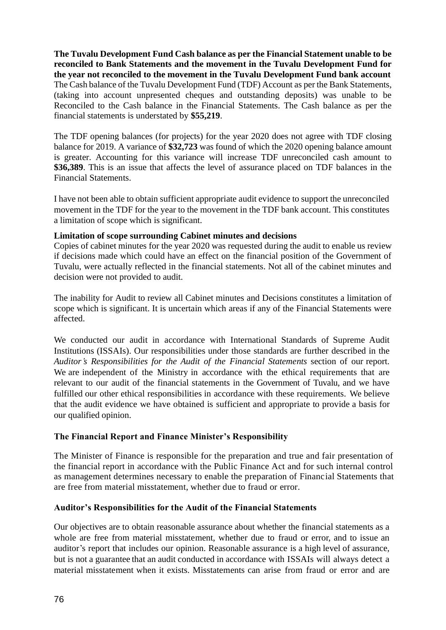**The Tuvalu Development Fund Cash balance as per the Financial Statement unable to be reconciled to Bank Statements and the movement in the Tuvalu Development Fund for the year not reconciled to the movement in the Tuvalu Development Fund bank account** The Cash balance of the Tuvalu Development Fund (TDF) Account as per the Bank Statements, (taking into account unpresented cheques and outstanding deposits) was unable to be Reconciled to the Cash balance in the Financial Statements. The Cash balance as per the financial statements is understated by **\$55,219**.

The TDF opening balances (for projects) for the year 2020 does not agree with TDF closing balance for 2019. A variance of **\$32,723** was found of which the 2020 opening balance amount is greater. Accounting for this variance will increase TDF unreconciled cash amount to **\$36,389**. This is an issue that affects the level of assurance placed on TDF balances in the Financial Statements.

I have not been able to obtain sufficient appropriate audit evidence to support the unreconciled movement in the TDF for the year to the movement in the TDF bank account. This constitutes a limitation of scope which is significant.

#### **Limitation of scope surrounding Cabinet minutes and decisions**

Copies of cabinet minutes for the year 2020 was requested during the audit to enable us review if decisions made which could have an effect on the financial position of the Government of Tuvalu, were actually reflected in the financial statements. Not all of the cabinet minutes and decision were not provided to audit.

The inability for Audit to review all Cabinet minutes and Decisions constitutes a limitation of scope which is significant. It is uncertain which areas if any of the Financial Statements were affected.

We conducted our audit in accordance with International Standards of Supreme Audit Institutions (ISSAIs). Our responsibilities under those standards are further described in the *Auditor's Responsibilities for the Audit of the Financial Statements* section of our report. We are independent of the Ministry in accordance with the ethical requirements that are relevant to our audit of the financial statements in the Government of Tuvalu, and we have fulfilled our other ethical responsibilities in accordance with these requirements. We believe that the audit evidence we have obtained is sufficient and appropriate to provide a basis for our qualified opinion.

# **The Financial Report and Finance Minister's Responsibility**

The Minister of Finance is responsible for the preparation and true and fair presentation of the financial report in accordance with the Public Finance Act and for such internal control as management determines necessary to enable the preparation of Financial Statements that are free from material misstatement, whether due to fraud or error.

#### **Auditor's Responsibilities for the Audit of the Financial Statements**

Our objectives are to obtain reasonable assurance about whether the financial statements as a whole are free from material misstatement, whether due to fraud or error, and to issue an auditor's report that includes our opinion. Reasonable assurance is a high level of assurance, but is not a guarantee that an audit conducted in accordance with ISSAIs will always detect a material misstatement when it exists. Misstatements can arise from fraud or error and are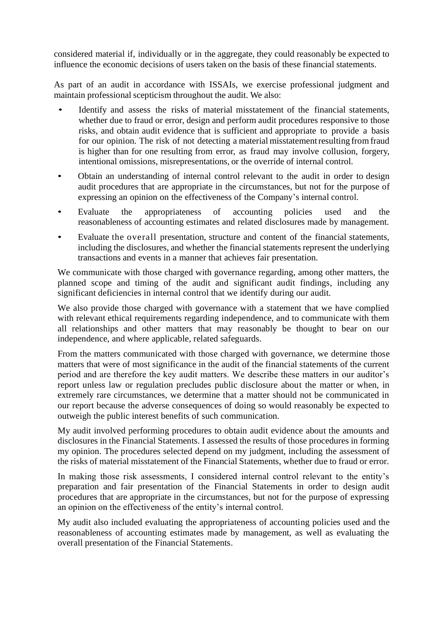considered material if, individually or in the aggregate, they could reasonably be expected to influence the economic decisions of users taken on the basis of these financial statements.

As part of an audit in accordance with ISSAIs, we exercise professional judgment and maintain professional scepticism throughout the audit. We also:

- Identify and assess the risks of material misstatement of the financial statements, whether due to fraud or error, design and perform audit procedures responsive to those risks, and obtain audit evidence that is sufficient and appropriate to provide a basis for our opinion. The risk of not detecting a material misstatementresulting from fraud is higher than for one resulting from error, as fraud may involve collusion, forgery, intentional omissions, misrepresentations, or the override of internal control.
- Obtain an understanding of internal control relevant to the audit in order to design audit procedures that are appropriate in the circumstances, but not for the purpose of expressing an opinion on the effectiveness of the Company's internal control.
- Evaluate the appropriateness of accounting policies used and the reasonableness of accounting estimates and related disclosures made by management.
- Evaluate the overall presentation, structure and content of the financial statements, including the disclosures, and whether the financial statements represent the underlying transactions and events in a manner that achieves fair presentation.

We communicate with those charged with governance regarding, among other matters, the planned scope and timing of the audit and significant audit findings, including any significant deficiencies in internal control that we identify during our audit.

We also provide those charged with governance with a statement that we have complied with relevant ethical requirements regarding independence, and to communicate with them all relationships and other matters that may reasonably be thought to bear on our independence, and where applicable, related safeguards.

From the matters communicated with those charged with governance, we determine those matters that were of most significance in the audit of the financial statements of the current period and are therefore the key audit matters. We describe these matters in our auditor's report unless law or regulation precludes public disclosure about the matter or when, in extremely rare circumstances, we determine that a matter should not be communicated in our report because the adverse consequences of doing so would reasonably be expected to outweigh the public interest benefits of such communication.

My audit involved performing procedures to obtain audit evidence about the amounts and disclosures in the Financial Statements. I assessed the results of those procedures in forming my opinion. The procedures selected depend on my judgment, including the assessment of the risks of material misstatement of the Financial Statements, whether due to fraud or error.

In making those risk assessments, I considered internal control relevant to the entity's preparation and fair presentation of the Financial Statements in order to design audit procedures that are appropriate in the circumstances, but not for the purpose of expressing an opinion on the effectiveness of the entity's internal control.

My audit also included evaluating the appropriateness of accounting policies used and the reasonableness of accounting estimates made by management, as well as evaluating the overall presentation of the Financial Statements.